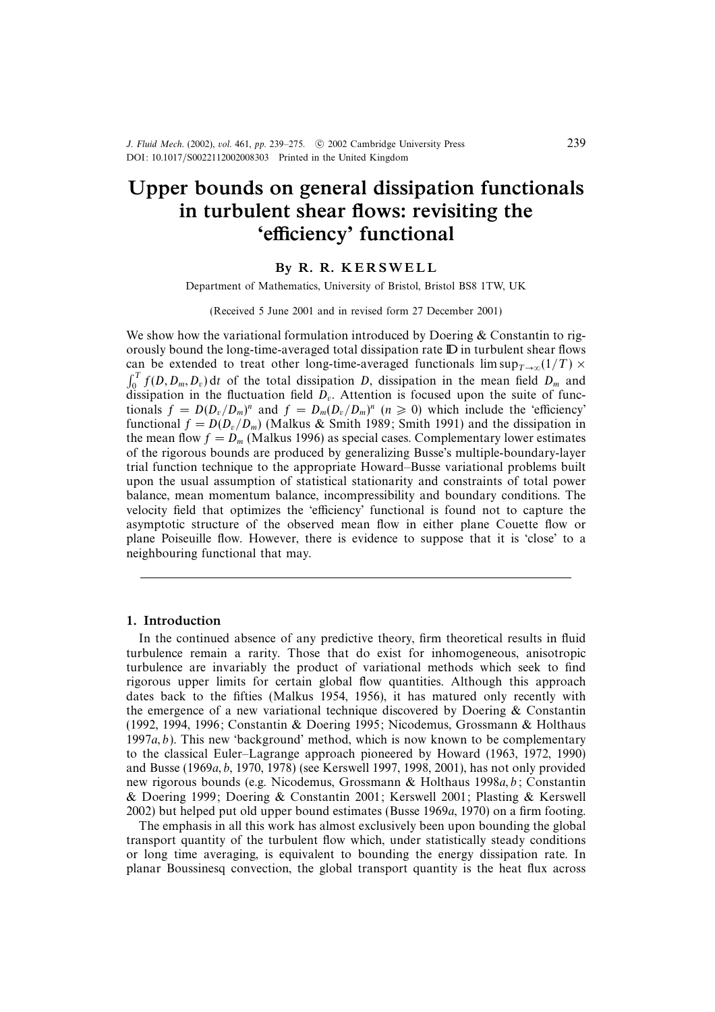# Upper bounds on general dissipation functionals in turbulent shear flows: revisiting the 'efficiency' functional

## By R. R. KERSWELL

Department of Mathematics, University of Bristol, Bristol BS8 1TW, UK

#### (Received 5 June 2001 and in revised form 27 December 2001)

We show how the variational formulation introduced by Doering  $&$  Constantin to rigorously bound the long-time-averaged total dissipation rate  $\mathbb D$  in turbulent shear flows can be extended to treat other long-time-averaged functionals  $\limsup_{T\to\infty}(1/T) \times$  $\int_0^T f(D, D_m, D_v) dt$  of the total dissipation D, dissipation in the mean field  $D_m$  and dissipation in the fluctuation field  $D_v$ . Attention is focused upon the suite of functionals  $f = D(D_v/D_m)^n$  and  $f = D_m(D_v/D_m)^n$  ( $n \ge 0$ ) which include the 'efficiency' functional  $f = D(D_v/D_m)$  (Malkus & Smith 1989; Smith 1991) and the dissipation in the mean flow  $f = D_m$  (Malkus 1996) as special cases. Complementary lower estimates of the rigorous bounds are produced by generalizing Busse's multiple-boundary-layer trial function technique to the appropriate Howard–Busse variational problems built upon the usual assumption of statistical stationarity and constraints of total power balance, mean momentum balance, incompressibility and boundary conditions. The velocity field that optimizes the 'efficiency' functional is found not to capture the asymptotic structure of the observed mean flow in either plane Couette flow or plane Poiseuille flow. However, there is evidence to suppose that it is 'close' to a neighbouring functional that may.

#### 1. Introduction

In the continued absence of any predictive theory, firm theoretical results in fluid turbulence remain a rarity. Those that do exist for inhomogeneous, anisotropic turbulence are invariably the product of variational methods which seek to find rigorous upper limits for certain global flow quantities. Although this approach dates back to the fifties (Malkus 1954, 1956), it has matured only recently with the emergence of a new variational technique discovered by Doering & Constantin (1992, 1994, 1996; Constantin & Doering 1995; Nicodemus, Grossmann & Holthaus 1997 $a, b$ ). This new 'background' method, which is now known to be complementary to the classical Euler–Lagrange approach pioneered by Howard (1963, 1972, 1990) and Busse (1969a, b, 1970, 1978) (see Kerswell 1997, 1998, 2001), has not only provided new rigorous bounds (e.g. Nicodemus, Grossmann & Holthaus 1998a, b; Constantin & Doering 1999; Doering & Constantin 2001; Kerswell 2001; Plasting & Kerswell 2002) but helped put old upper bound estimates (Busse 1969a, 1970) on a firm footing.

The emphasis in all this work has almost exclusively been upon bounding the global transport quantity of the turbulent flow which, under statistically steady conditions or long time averaging, is equivalent to bounding the energy dissipation rate. In planar Boussinesq convection, the global transport quantity is the heat flux across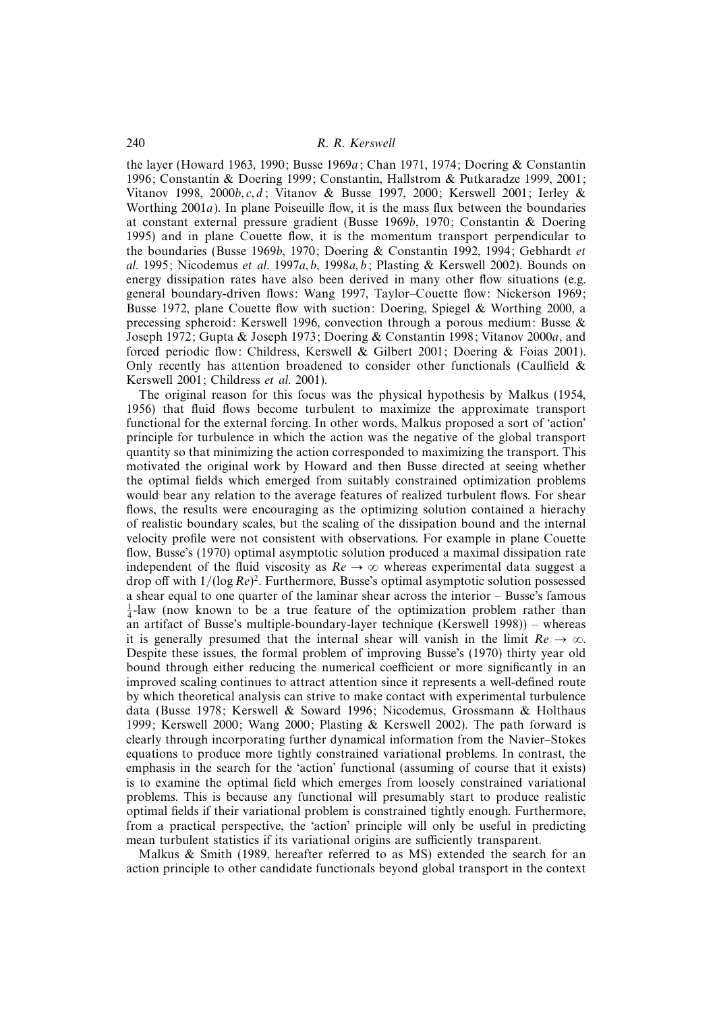the layer (Howard 1963, 1990; Busse 1969a; Chan 1971, 1974; Doering & Constantin 1996; Constantin & Doering 1999; Constantin, Hallstrom & Putkaradze 1999, 2001; Vitanov 1998, 2000 $b, c, d$ ; Vitanov & Busse 1997, 2000; Kerswell 2001; Ierley & Worthing  $2001a$ ). In plane Poiseuille flow, it is the mass flux between the boundaries at constant external pressure gradient (Busse 1969b, 1970; Constantin & Doering 1995) and in plane Couette flow, it is the momentum transport perpendicular to the boundaries (Busse 1969b, 1970; Doering & Constantin 1992, 1994; Gebhardt et al. 1995; Nicodemus et al. 1997a, b, 1998a, b; Plasting & Kerswell 2002). Bounds on energy dissipation rates have also been derived in many other flow situations (e.g. general boundary-driven flows: Wang 1997, Taylor–Couette flow: Nickerson 1969; Busse 1972, plane Couette flow with suction: Doering, Spiegel & Worthing 2000, a precessing spheroid: Kerswell 1996, convection through a porous medium: Busse  $\&$ Joseph 1972; Gupta & Joseph 1973; Doering & Constantin 1998; Vitanov 2000a, and forced periodic flow: Childress, Kerswell & Gilbert 2001; Doering & Foias 2001). Only recently has attention broadened to consider other functionals (Caulfield  $\&$ Kerswell 2001; Childress et al. 2001).

The original reason for this focus was the physical hypothesis by Malkus (1954, 1956) that fluid flows become turbulent to maximize the approximate transport functional for the external forcing. In other words, Malkus proposed a sort of 'action' principle for turbulence in which the action was the negative of the global transport quantity so that minimizing the action corresponded to maximizing the transport. This motivated the original work by Howard and then Busse directed at seeing whether the optimal fields which emerged from suitably constrained optimization problems would bear any relation to the average features of realized turbulent flows. For shear flows, the results were encouraging as the optimizing solution contained a hierachy of realistic boundary scales, but the scaling of the dissipation bound and the internal velocity profile were not consistent with observations. For example in plane Couette flow, Busse's (1970) optimal asymptotic solution produced a maximal dissipation rate independent of the fluid viscosity as  $Re \rightarrow \infty$  whereas experimental data suggest a drop off with  $1/(\log Re)^2$ . Furthermore, Busse's optimal asymptotic solution possessed a shear equal to one quarter of the laminar shear across the interior – Busse's famous  $\frac{1}{4}$ -law (now known to be a true feature of the optimization problem rather than an artifact of Busse's multiple-boundary-layer technique (Kerswell 1998)) – whereas it is generally presumed that the internal shear will vanish in the limit  $Re \rightarrow \infty$ . Despite these issues, the formal problem of improving Busse's (1970) thirty year old bound through either reducing the numerical coefficient or more significantly in an improved scaling continues to attract attention since it represents a well-defined route by which theoretical analysis can strive to make contact with experimental turbulence data (Busse 1978; Kerswell & Soward 1996; Nicodemus, Grossmann & Holthaus 1999; Kerswell 2000; Wang 2000; Plasting & Kerswell 2002). The path forward is clearly through incorporating further dynamical information from the Navier–Stokes equations to produce more tightly constrained variational problems. In contrast, the emphasis in the search for the 'action' functional (assuming of course that it exists) is to examine the optimal field which emerges from loosely constrained variational problems. This is because any functional will presumably start to produce realistic optimal fields if their variational problem is constrained tightly enough. Furthermore, from a practical perspective, the 'action' principle will only be useful in predicting mean turbulent statistics if its variational origins are sufficiently transparent.

Malkus & Smith (1989, hereafter referred to as MS) extended the search for an action principle to other candidate functionals beyond global transport in the context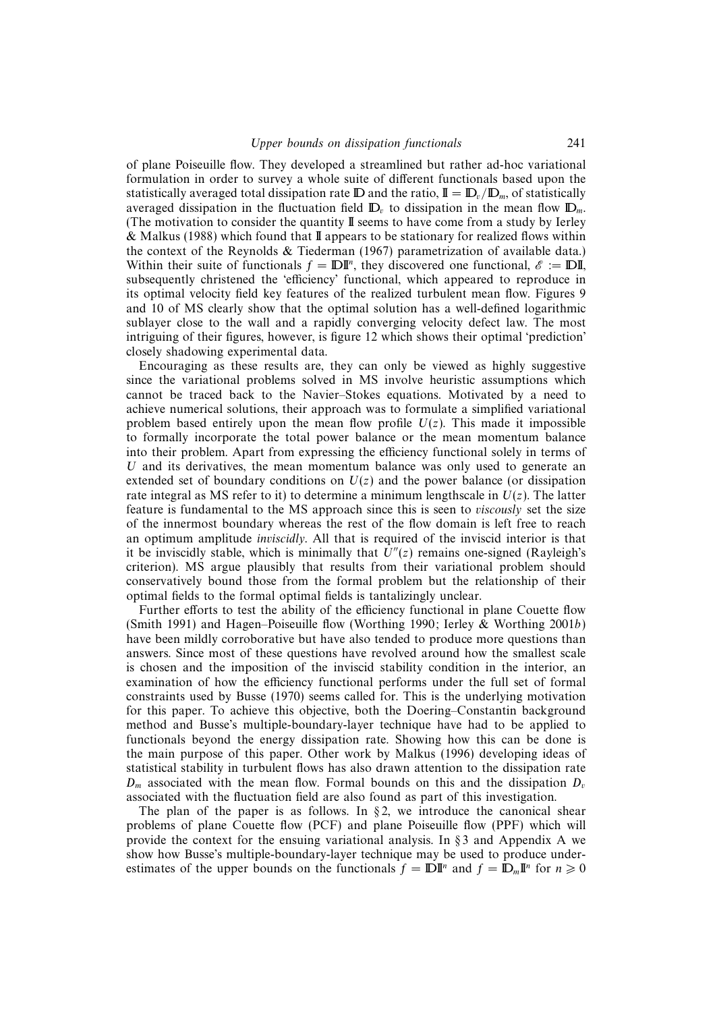of plane Poiseuille flow. They developed a streamlined but rather ad-hoc variational formulation in order to survey a whole suite of different functionals based upon the statistically averaged total dissipation rate  $\mathbb D$  and the ratio,  $\mathbb I = \mathbb D_v/\mathbb D_m$ , of statistically averaged dissipation in the fluctuation field  $\mathbb{D}_v$  to dissipation in the mean flow  $\mathbb{D}_m$ . (The motivation to consider the quantity I seems to have come from a study by Ierley & Malkus (1988) which found that I appears to be stationary for realized flows within the context of the Reynolds & Tiederman (1967) parametrization of available data.) Within their suite of functionals  $f = \mathbb{D} \mathbb{I}^n$ , they discovered one functional,  $\mathscr{E} := \mathbb{D} \mathbb{I}$ , subsequently christened the 'efficiency' functional, which appeared to reproduce in its optimal velocity field key features of the realized turbulent mean flow. Figures 9 and 10 of MS clearly show that the optimal solution has a well-defined logarithmic sublayer close to the wall and a rapidly converging velocity defect law. The most intriguing of their figures, however, is figure 12 which shows their optimal 'prediction' closely shadowing experimental data.

Encouraging as these results are, they can only be viewed as highly suggestive since the variational problems solved in MS involve heuristic assumptions which cannot be traced back to the Navier–Stokes equations. Motivated by a need to achieve numerical solutions, their approach was to formulate a simplified variational problem based entirely upon the mean flow profile  $U(z)$ . This made it impossible to formally incorporate the total power balance or the mean momentum balance into their problem. Apart from expressing the efficiency functional solely in terms of U and its derivatives, the mean momentum balance was only used to generate an extended set of boundary conditions on  $U(z)$  and the power balance (or dissipation rate integral as MS refer to it) to determine a minimum lengthscale in  $U(z)$ . The latter feature is fundamental to the MS approach since this is seen to viscously set the size of the innermost boundary whereas the rest of the flow domain is left free to reach an optimum amplitude inviscidly. All that is required of the inviscid interior is that it be inviscidly stable, which is minimally that  $U''(z)$  remains one-signed (Rayleigh's criterion). MS argue plausibly that results from their variational problem should conservatively bound those from the formal problem but the relationship of their optimal fields to the formal optimal fields is tantalizingly unclear.

Further efforts to test the ability of the efficiency functional in plane Couette flow (Smith 1991) and Hagen–Poiseuille flow (Worthing 1990; Ierley & Worthing 2001b) have been mildly corroborative but have also tended to produce more questions than answers. Since most of these questions have revolved around how the smallest scale is chosen and the imposition of the inviscid stability condition in the interior, an examination of how the efficiency functional performs under the full set of formal constraints used by Busse (1970) seems called for. This is the underlying motivation for this paper. To achieve this objective, both the Doering–Constantin background method and Busse's multiple-boundary-layer technique have had to be applied to functionals beyond the energy dissipation rate. Showing how this can be done is the main purpose of this paper. Other work by Malkus (1996) developing ideas of statistical stability in turbulent flows has also drawn attention to the dissipation rate  $D_m$  associated with the mean flow. Formal bounds on this and the dissipation  $D_v$ associated with the fluctuation field are also found as part of this investigation.

The plan of the paper is as follows. In  $\S$ 2, we introduce the canonical shear problems of plane Couette flow (PCF) and plane Poiseuille flow (PPF) which will provide the context for the ensuing variational analysis. In § 3 and Appendix A we show how Busse's multiple-boundary-layer technique may be used to produce underestimates of the upper bounds on the functionals  $f = \mathbb{D}\mathbb{I}^n$  and  $f = \mathbb{D}_m\mathbb{I}^n$  for  $n \geq 0$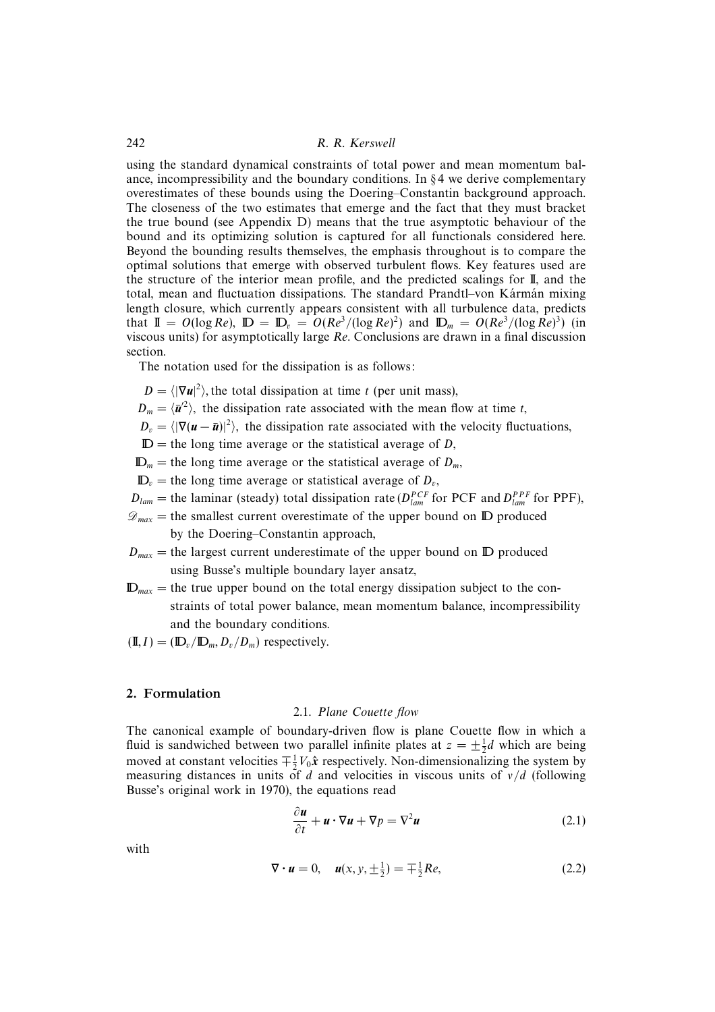using the standard dynamical constraints of total power and mean momentum balance, incompressibility and the boundary conditions. In  $\S 4$  we derive complementary overestimates of these bounds using the Doering–Constantin background approach. The closeness of the two estimates that emerge and the fact that they must bracket the true bound (see Appendix D) means that the true asymptotic behaviour of the bound and its optimizing solution is captured for all functionals considered here. Beyond the bounding results themselves, the emphasis throughout is to compare the optimal solutions that emerge with observed turbulent flows. Key features used are the structure of the interior mean profile, and the predicted scalings for I, and the total, mean and fluctuation dissipations. The standard Prandtl–von Karman mixing length closure, which currently appears consistent with all turbulence data, predicts that  $\mathbb{I} = O(\log Re)$ ,  $\mathbb{D} = \mathbb{D}_v = O(Re^3/(\log Re)^2)$  and  $\mathbb{D}_m = O(Re^3/(\log Re)^3)$  (in viscous units) for asymptotically large Re. Conclusions are drawn in a final discussion section.

The notation used for the dissipation is as follows:

 $D = \langle |\nabla u|^2 \rangle$ , the total dissipation at time t (per unit mass),

 $D_m = \langle \bar{u}^2 \rangle$ , the dissipation rate associated with the mean flow at time t,

 $D_v = \langle |\nabla(u - \bar{u})|^2 \rangle$ , the dissipation rate associated with the velocity fluctuations,

 $\mathbb{D}$  = the long time average or the statistical average of D,

 $\mathbb{D}_m$  = the long time average or the statistical average of  $D_m$ ,

 $\mathbb{D}_{v}$  = the long time average or statistical average of  $D_{v}$ ,

 $D_{lam}$  = the laminar (steady) total dissipation rate ( $D_{lam}^{PCF}$  for PCF and  $D_{lam}^{PPF}$  for PPF),

- $\mathscr{D}_{max}$  = the smallest current overestimate of the upper bound on **D** produced by the Doering–Constantin approach,
- $D_{max}$  = the largest current underestimate of the upper bound on  $\mathbb D$  produced using Busse's multiple boundary layer ansatz,
- $\mathbb{D}_{max}$  = the true upper bound on the total energy dissipation subject to the constraints of total power balance, mean momentum balance, incompressibility and the boundary conditions.

 $(\mathbb{I}, I)=(\mathbb{D}_v/\mathbb{D}_m, D_v/D_m)$  respectively.

#### 2. Formulation

#### 2.1. Plane Couette flow

The canonical example of boundary-driven flow is plane Couette flow in which a fluid is sandwiched between two parallel infinite plates at  $z = \pm \frac{1}{2}d$  which are being moved at constant velocities  $\pm \frac{1}{2}V_0\hat{x}$  respectively. Non-dimensionalizing the system by measuring distances in units of d and velocities in viscous units of  $v/d$  (following Busse's original work in 1970), the equations read

$$
\frac{\partial \mathbf{u}}{\partial t} + \mathbf{u} \cdot \nabla \mathbf{u} + \nabla p = \nabla^2 \mathbf{u}
$$
 (2.1)

with

$$
\nabla \cdot \mathbf{u} = 0, \quad \mathbf{u}(x, y, \pm \frac{1}{2}) = \mp \frac{1}{2} Re,
$$
\n(2.2)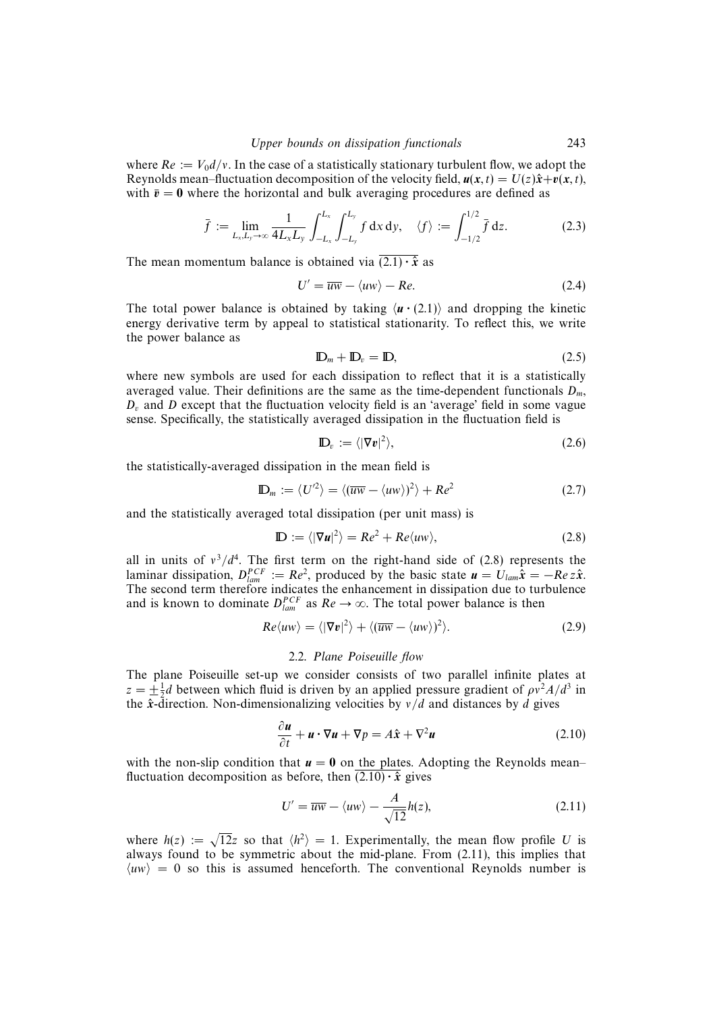where  $Re := V_0 d/v$ . In the case of a statistically stationary turbulent flow, we adopt the Reynolds mean–fluctuation decomposition of the velocity field,  $u(x, t) = U(z)\hat{x} + v(x, t)$ , with  $\bar{v} = 0$  where the horizontal and bulk averaging procedures are defined as

$$
\bar{f} := \lim_{L_x, L_y \to \infty} \frac{1}{4L_xL_y} \int_{-L_x}^{L_x} \int_{-L_y}^{L_y} f \, dx \, dy, \quad \langle f \rangle := \int_{-1/2}^{1/2} \bar{f} \, dz. \tag{2.3}
$$

The mean momentum balance is obtained via  $\overline{(2.1) \cdot \hat{x}}$  as

$$
U' = \overline{uw} - \langle uw \rangle - Re. \tag{2.4}
$$

The total power balance is obtained by taking  $\langle \mathbf{u} \cdot (2.1) \rangle$  and dropping the kinetic energy derivative term by appeal to statistical stationarity. To reflect this, we write the power balance as

$$
\mathbb{D}_m + \mathbb{D}_v = \mathbb{D},\tag{2.5}
$$

where new symbols are used for each dissipation to reflect that it is a statistically averaged value. Their definitions are the same as the time-dependent functionals  $D_m$ ,  $D<sub>v</sub>$  and D except that the fluctuation velocity field is an 'average' field in some vague sense. Specifically, the statistically averaged dissipation in the fluctuation field is

$$
\mathbb{D}_v := \langle |\nabla v|^2 \rangle, \tag{2.6}
$$

the statistically-averaged dissipation in the mean field is

$$
\mathbb{D}_m := \langle U'^2 \rangle = \langle (\overline{uw} - \langle uw \rangle)^2 \rangle + Re^2 \tag{2.7}
$$

and the statistically averaged total dissipation (per unit mass) is

$$
\mathbb{D} := \langle |\nabla u|^2 \rangle = Re^2 + Re \langle uw \rangle, \tag{2.8}
$$

all in units of  $v^3/d^4$ . The first term on the right-hand side of (2.8) represents the laminar dissipation,  $D_{lam}^{PCF} := Re^2$ , produced by the basic state  $\mathbf{u} = U_{lam} \hat{\mathbf{x}} = -Re z \hat{\mathbf{x}}$ . The second term therefore indicates the enhancement in dissipation due to turbulence and is known to dominate  $D_{lam}^{PCF}$  as  $Re \rightarrow \infty$ . The total power balance is then

$$
Re\langle uw \rangle = \langle |\nabla v|^2 \rangle + \langle (\overline{uw} - \langle uw \rangle)^2 \rangle. \tag{2.9}
$$

## 2.2. Plane Poiseuille flow

The plane Poiseuille set-up we consider consists of two parallel infinite plates at  $z = \pm \frac{1}{2}d$  between which fluid is driven by an applied pressure gradient of  $\rho v^2 A/d^3$  in the  $\hat{x}$ -direction. Non-dimensionalizing velocities by  $v/d$  and distances by d gives

$$
\frac{\partial \mathbf{u}}{\partial t} + \mathbf{u} \cdot \nabla \mathbf{u} + \nabla p = A\hat{\mathbf{x}} + \nabla^2 \mathbf{u}
$$
 (2.10)

with the non-slip condition that  $u = 0$  on the plates. Adopting the Reynolds mean– fluctuation decomposition as before, then  $\overline{(2.10) \cdot \hat{x}}$  gives

$$
U' = \overline{uw} - \langle uw \rangle - \frac{A}{\sqrt{12}}h(z),\tag{2.11}
$$

where  $h(z) := \sqrt{12}z$  so that  $\langle h^2 \rangle = 1$ . Experimentally, the mean flow profile U is always found to be symmetric about the mid-plane. From (2.11), this implies that  $\langle uw \rangle = 0$  so this is assumed henceforth. The conventional Reynolds number is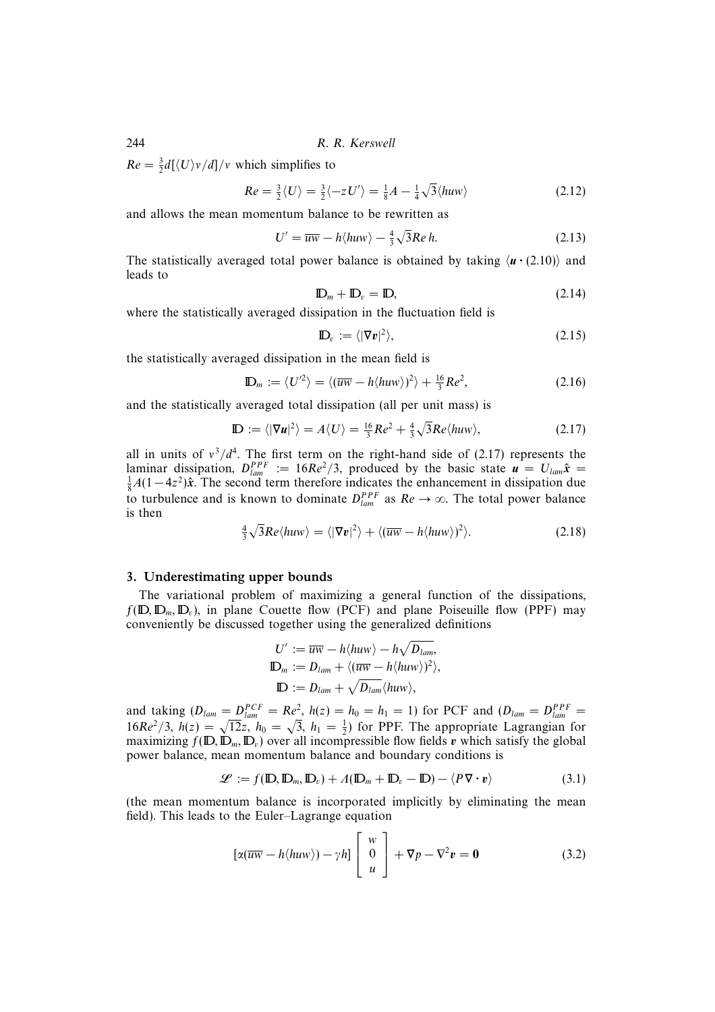$Re = \frac{3}{2}d[\langle U \rangle v/d]/v$  which simplifies to

$$
Re = \frac{3}{2} \langle U \rangle = \frac{3}{2} \langle -zU' \rangle = \frac{1}{8}A - \frac{1}{4}\sqrt{3} \langle huw \rangle
$$
 (2.12)

and allows the mean momentum balance to be rewritten as

$$
U' = \overline{uw} - h\langle huw \rangle - \frac{4}{3}\sqrt{3}Re\,h.
$$
 (2.13)

The statistically averaged total power balance is obtained by taking  $\langle \mathbf{u} \cdot (2.10) \rangle$  and leads to

$$
\mathbb{D}_m + \mathbb{D}_v = \mathbb{D},\tag{2.14}
$$

where the statistically averaged dissipation in the fluctuation field is

$$
\mathbb{D}_v := \langle |\nabla v|^2 \rangle, \tag{2.15}
$$

the statistically averaged dissipation in the mean field is

$$
\mathbb{D}_m := \langle U^2 \rangle = \langle (\overline{uw} - h \langle huw \rangle)^2 \rangle + \frac{16}{3} Re^2,
$$
 (2.16)

and the statistically averaged total dissipation (all per unit mass) is

$$
\mathbb{D} := \langle |\nabla \mathbf{u}|^2 \rangle = A \langle U \rangle = \frac{16}{3} Re^2 + \frac{4}{3} \sqrt{3} Re \langle h u w \rangle, \tag{2.17}
$$

all in units of  $v^3/d^4$ . The first term on the right-hand side of (2.17) represents the laminar dissipation,  $D_{lam}^{PPF} := 16Re^2/3$ , produced by the basic state  $u = U_{lam} \hat{x} = \frac{1}{8}A(1-4z^2)\hat{x}$ . The second term therefore indicates the enhancement in dissipation due to turbulence and is known to dominate  $D_{lam}^{PPF}$  as  $Re \rightarrow \infty$ . The total power balance is then √

$$
\frac{4}{3}\sqrt{3}Re\langle huw \rangle = \langle |\nabla v|^2 \rangle + \langle (\overline{uw} - h\langle huw \rangle)^2 \rangle. \tag{2.18}
$$

## 3. Underestimating upper bounds

The variational problem of maximizing a general function of the dissipations,  $f(\mathbb{D}, \mathbb{D}_m, \mathbb{D}_v)$ , in plane Couette flow (PCF) and plane Poiseuille flow (PPF) may conveniently be discussed together using the generalized definitions

$$
U' := \overline{uw} - h\langle huw \rangle - h\sqrt{D_{lam}},
$$
  

$$
\mathbb{D}_m := D_{lam} + \langle (\overline{uw} - h\langle huw \rangle)^2 \rangle,
$$
  

$$
\mathbb{D} := D_{lam} + \sqrt{D_{lam}} \langle huw \rangle,
$$

and taking  $(D_{lam} = D_{lam}^{PCF} = Re^2$ ,  $h(z) = h_0 = h_1 = 1$ ) for PCF and  $(D_{lam} = D_{lam}^{PPF} = 16Re^2/3$ ,  $h(z) = \sqrt{12}z$ ,  $h_0 = \sqrt{3}$ ,  $h_1 = \frac{1}{2}$ ) for PPF. The appropriate Lagrangian for maximizing  $f(D, D_m, D_v)$  over all incompressible flow fields *v* which satisfy the global power balance, mean momentum balance and boundary conditions is

$$
\mathcal{L} := f(\mathbf{D}, \mathbf{D}_m, \mathbf{D}_v) + A(\mathbf{D}_m + \mathbf{D}_v - \mathbf{D}) - \langle P \nabla \cdot \mathbf{v} \rangle \tag{3.1}
$$

(the mean momentum balance is incorporated implicitly by eliminating the mean field). This leads to the Euler–Lagrange equation

$$
\left[\alpha(\overline{uw} - h\langle huw \rangle) - \gamma h\right] \begin{bmatrix} w \\ 0 \\ u \end{bmatrix} + \nabla p - \nabla^2 v = \mathbf{0}
$$
 (3.2)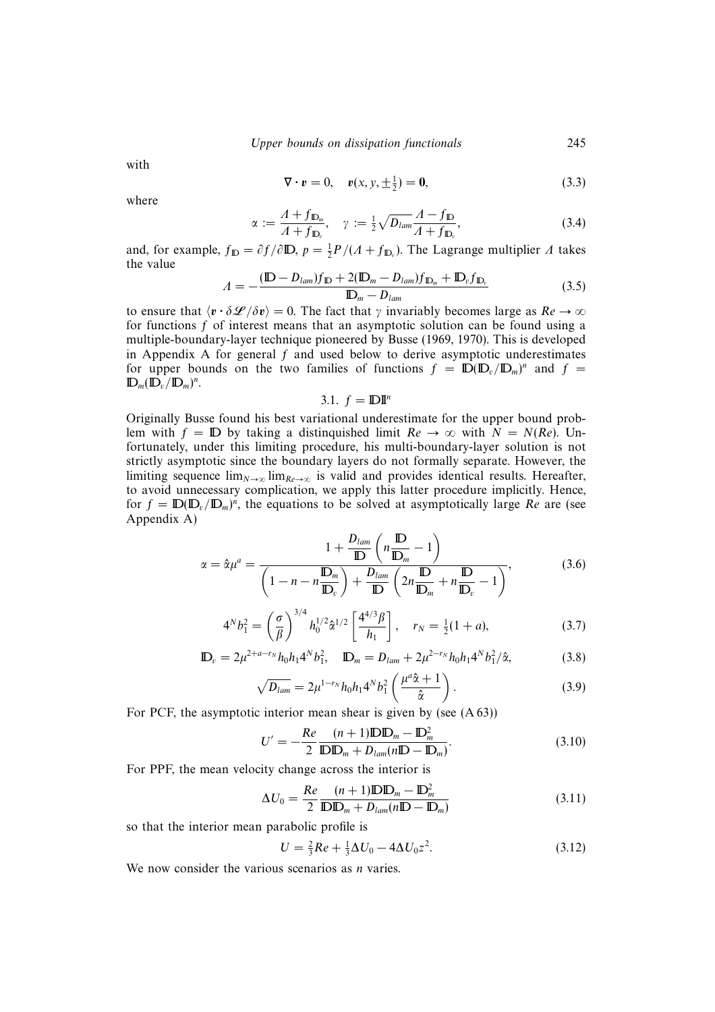with

$$
\nabla \cdot \mathbf{v} = 0, \quad \mathbf{v}(x, y, \pm \frac{1}{2}) = \mathbf{0}, \tag{3.3}
$$

where

$$
\alpha := \frac{A + f_{\mathbb{D}_m}}{A + f_{\mathbb{D}_e}}, \quad \gamma := \frac{1}{2} \sqrt{D_{lam}} \frac{A - f_{\mathbb{D}}}{A + f_{\mathbb{D}_e}},
$$
(3.4)

and, for example,  $f_{\mathbb{D}} = \partial f / \partial \mathbb{D}$ ,  $p = \frac{1}{2}P / (A + f_{\mathbb{D}_v})$ . The Lagrange multiplier  $A$  takes the value

$$
A = -\frac{(D - D_{lam})f_{\mathbb{D}} + 2(D_m - D_{lam})f_{\mathbb{D}_m} + D_v f_{\mathbb{D}_v}}{D_m - D_{lam}}
$$
(3.5)

to ensure that  $\langle v \cdot \delta \mathcal{L}/\delta v \rangle = 0$ . The fact that  $\gamma$  invariably becomes large as  $Re \to \infty$ for functions  $f$  of interest means that an asymptotic solution can be found using a multiple-boundary-layer technique pioneered by Busse (1969, 1970). This is developed in Appendix A for general  $f$  and used below to derive asymptotic underestimates for upper bounds on the two families of functions  $f = D(D_v/D_m)^n$  and  $f =$  $\mathbb{D}_m(\mathbb{D}_v/\mathbb{D}_m)^n$ .

3.1. 
$$
f = \mathbb{D}\mathbb{I}^n
$$

Originally Busse found his best variational underestimate for the upper bound problem with  $f = \mathbb{D}$  by taking a distinguished limit  $Re \rightarrow \infty$  with  $N = N(Re)$ . Unfortunately, under this limiting procedure, his multi-boundary-layer solution is not strictly asymptotic since the boundary layers do not formally separate. However, the limiting sequence  $\lim_{N\to\infty} \lim_{Re\to\infty}$  is valid and provides identical results. Hereafter, to avoid unnecessary complication, we apply this latter procedure implicitly. Hence, for  $f = \mathbb{D}(\mathbb{D}_v/\mathbb{D}_m)^n$ , the equations to be solved at asymptotically large Re are (see Appendix A)

$$
\alpha = \hat{\alpha}\mu^{a} = \frac{1 + \frac{D_{lam}}{D} \left(n\frac{D}{D_{m}} - 1\right)}{\left(1 - n - n\frac{D_{m}}{D_{v}}\right) + \frac{D_{lam}}{D} \left(2n\frac{D}{D_{m}} + n\frac{D}{D_{v}} - 1\right)},
$$
(3.6)

$$
4^N b_1^2 = \left(\frac{\sigma}{\beta}\right)^{3/4} h_0^{1/2} \hat{\alpha}^{1/2} \left[\frac{4^{4/3} \beta}{h_1}\right], \quad r_N = \frac{1}{2}(1+a), \tag{3.7}
$$

$$
\mathbb{D}_v = 2\mu^{2+a-r_N} h_0 h_1 4^N b_1^2, \quad \mathbb{D}_m = D_{lam} + 2\mu^{2-r_N} h_0 h_1 4^N b_1^2 / \hat{\alpha}, \tag{3.8}
$$

$$
\sqrt{D_{lam}} = 2\mu^{1-r_N} h_0 h_1 4^N b_1^2 \left(\frac{\mu^a \hat{\alpha} + 1}{\hat{\alpha}}\right).
$$
 (3.9)

For PCF, the asymptotic interior mean shear is given by (see (A 63))

$$
U' = -\frac{Re}{2} \frac{(n+1)\mathbf{D}\mathbf{D}_m - \mathbf{D}_m^2}{\mathbf{D}\mathbf{D}_m + D_{lam}(n\mathbf{D} - \mathbf{D}_m)}.
$$
(3.10)

For PPF, the mean velocity change across the interior is

$$
\Delta U_0 = \frac{Re}{2} \frac{(n+1)\mathbb{D} \mathbb{D}_m - \mathbb{D}_m^2}{\mathbb{D} \mathbb{D}_m + D_{lam}(n\mathbb{D} - \mathbb{D}_m)}
$$
(3.11)

so that the interior mean parabolic profile is

$$
U = \frac{2}{3}Re + \frac{1}{3}\Delta U_0 - 4\Delta U_0 z^2.
$$
 (3.12)

We now consider the various scenarios as  $n$  varies.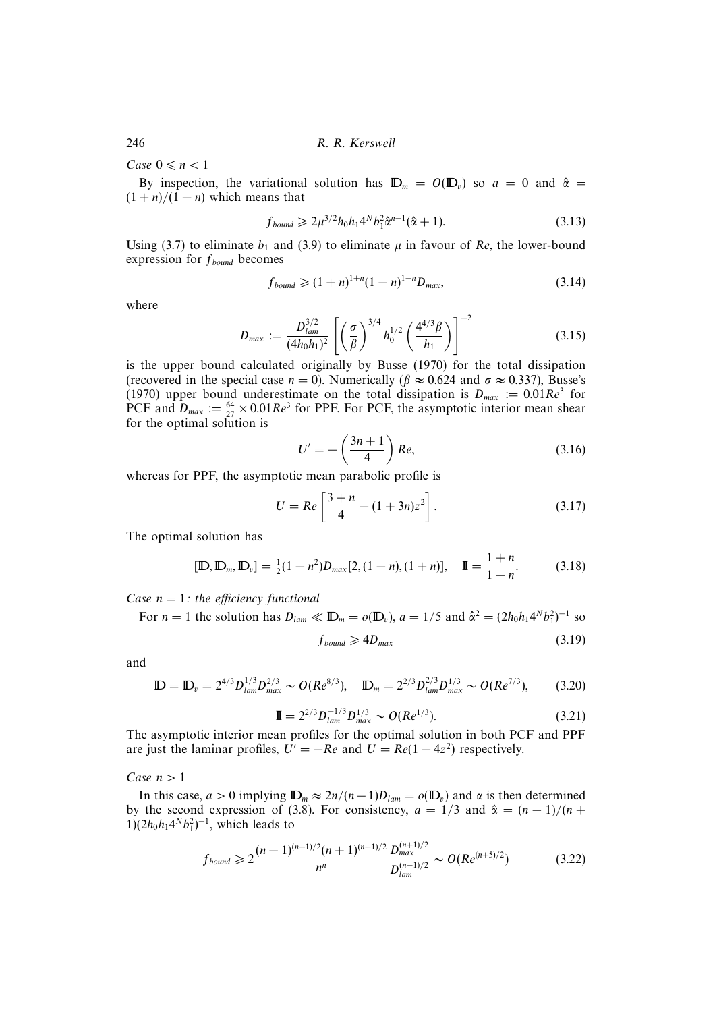Case  $0 \leq n < 1$ 

By inspection, the variational solution has  $\mathbb{D}_m = O(\mathbb{D}_v)$  so  $a = 0$  and  $\hat{\alpha} =$  $(1 + n)/(1 - n)$  which means that

$$
f_{bound} \ge 2\mu^{3/2}h_0h_14^Nb_1^2\hat{\alpha}^{n-1}(\hat{\alpha}+1). \tag{3.13}
$$

Using (3.7) to eliminate  $b_1$  and (3.9) to eliminate  $\mu$  in favour of Re, the lower-bound expression for  $f_{bound}$  becomes

$$
f_{bound} \geqslant (1+n)^{1+n} (1-n)^{1-n} D_{max}, \tag{3.14}
$$

where

$$
D_{max} := \frac{D_{lam}^{3/2}}{(4h_0h_1)^2} \left[ \left(\frac{\sigma}{\beta}\right)^{3/4} h_0^{1/2} \left(\frac{4^{4/3}\beta}{h_1}\right) \right]^{-2} \tag{3.15}
$$

is the upper bound calculated originally by Busse (1970) for the total dissipation (recovered in the special case  $n = 0$ ). Numerically ( $\beta \approx 0.624$  and  $\sigma \approx 0.337$ ), Busse's (1970) upper bound underestimate on the total dissipation is  $D_{max} := 0.01Re^3$  for PCF and  $D_{max} := \frac{64}{27} \times 0.01 Re^3$  for PPF. For PCF, the asymptotic interior mean shear for the optimal solution is

$$
U' = -\left(\frac{3n+1}{4}\right) Re,
$$
\n(3.16)

whereas for PPF, the asymptotic mean parabolic profile is

$$
U = Re\left[\frac{3+n}{4} - (1+3n)z^2\right].
$$
 (3.17)

The optimal solution has

$$
[\mathbb{D}, \mathbb{D}_m, \mathbb{D}_v] = \frac{1}{2}(1 - n^2)D_{max}[2, (1 - n), (1 + n)], \quad \mathbb{I} = \frac{1 + n}{1 - n}.
$$
 (3.18)

Case  $n = 1$ : the efficiency functional

For  $n = 1$  the solution has  $D_{lam} \ll \mathbb{D}_m = o(\mathbb{D}_v)$ ,  $a = 1/5$  and  $\hat{\alpha}^2 = (2h_0h_14^Nb_1^2)^{-1}$  so

$$
f_{bound} \geq 4D_{max} \tag{3.19}
$$

and

$$
\mathbb{D} = \mathbb{D}_v = 2^{4/3} D_{lam}^{1/3} D_{max}^{2/3} \sim O(Re^{8/3}), \quad \mathbb{D}_m = 2^{2/3} D_{lam}^{2/3} D_{max}^{1/3} \sim O(Re^{7/3}), \quad (3.20)
$$

$$
\mathbb{I} = 2^{2/3} D_{lam}^{-1/3} D_{max}^{1/3} \sim O(Re^{1/3}).
$$
\n(3.21)

The asymptotic interior mean profiles for the optimal solution in both PCF and PPF are just the laminar profiles,  $U' = -Re$  and  $U = Re(1 - 4z^2)$  respectively.

Case  $n > 1$ 

In this case,  $a > 0$  implying  $\mathbb{D}_m \approx 2n/(n-1)D_{lam} = o(\mathbb{D}_v)$  and  $\alpha$  is then determined by the second expression of (3.8). For consistency,  $a = 1/3$  and  $\hat{\alpha} = (n - 1)/(n + 1)$  $1(2h_0h_14^Nb_1^2)^{-1}$ , which leads to

$$
f_{bound} \geq 2 \frac{(n-1)^{(n-1)/2} (n+1)^{(n+1)/2}}{n^n} \frac{D_{max}^{(n+1)/2}}{D_{lam}^{(n-1)/2}} \sim O(Re^{(n+5)/2}) \tag{3.22}
$$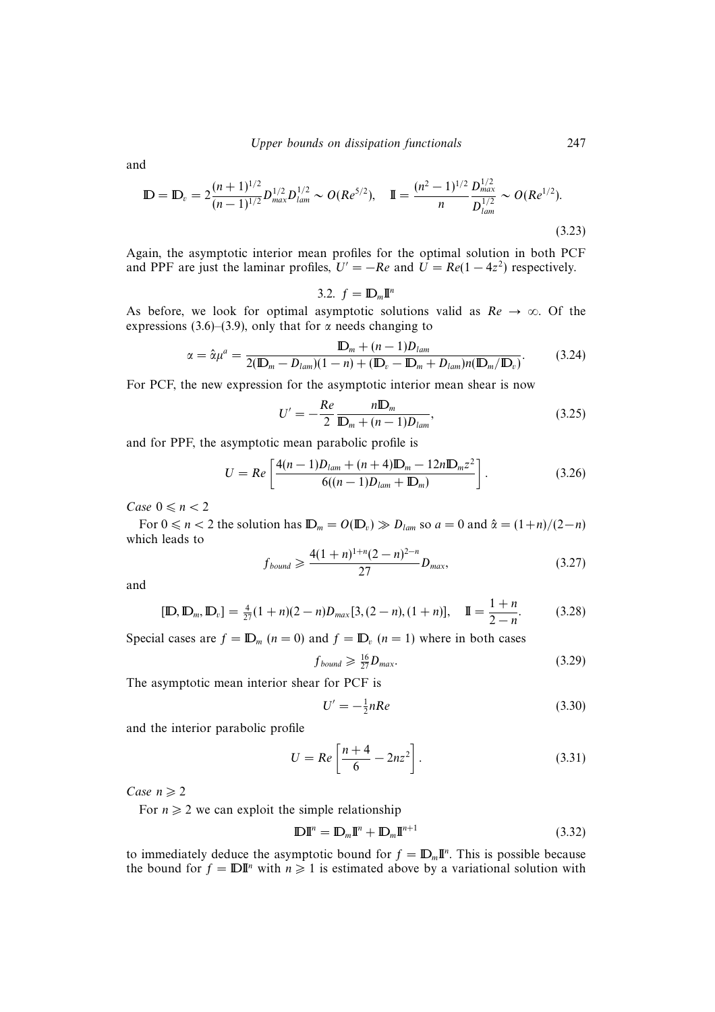and

$$
\mathbb{D} = \mathbb{D}_{v} = 2 \frac{(n+1)^{1/2}}{(n-1)^{1/2}} D_{\text{max}}^{1/2} D_{\text{lam}}^{1/2} \sim O(Re^{5/2}), \quad \mathbb{I} = \frac{(n^2-1)^{1/2}}{n} \frac{D_{\text{max}}^{1/2}}{D_{\text{lam}}^{1/2}} \sim O(Re^{1/2}).
$$
\n(3.23)

Again, the asymptotic interior mean profiles for the optimal solution in both PCF and PPF are just the laminar profiles,  $U' = -Re$  and  $U = Re(1 - 4z^2)$  respectively.

3.2. 
$$
f = \mathbb{D}_m \mathbb{I}^n
$$

As before, we look for optimal asymptotic solutions valid as  $Re \rightarrow \infty$ . Of the expressions (3.6)–(3.9), only that for  $\alpha$  needs changing to

$$
\alpha = \hat{\alpha}\mu^a = \frac{\mathbb{D}_m + (n-1)D_{lam}}{2(\mathbb{D}_m - D_{lam})(1-n) + (\mathbb{D}_v - \mathbb{D}_m + D_{lam})n(\mathbb{D}_m/\mathbb{D}_v)}.
$$
(3.24)

For PCF, the new expression for the asymptotic interior mean shear is now

$$
U' = -\frac{Re}{2} \frac{nD_m}{D_m + (n-1)D_{lam}},
$$
\n(3.25)

and for PPF, the asymptotic mean parabolic profile is

$$
U = Re \left[ \frac{4(n-1)D_{lam} + (n+4)\mathbb{D}_m - 12n \mathbb{D}_m z^2}{6((n-1)D_{lam} + \mathbb{D}_m)} \right].
$$
 (3.26)

Case  $0 \leq n < 2$ 

For  $0 \le n < 2$  the solution has  $\mathbb{D}_m = O(\mathbb{D}_v) \gg D_{lam}$  so  $a = 0$  and  $\hat{\alpha} = (1+n)/(2-n)$ which leads to

$$
f_{bound} \geq \frac{4(1+n)^{1+n}(2-n)^{2-n}}{27}D_{max},
$$
\n(3.27)

and

$$
[\mathbb{D}, \mathbb{D}_m, \mathbb{D}_v] = \frac{4}{27}(1+n)(2-n)D_{max}[3, (2-n), (1+n)], \quad \mathbb{I} = \frac{1+n}{2-n}.
$$
 (3.28)

Special cases are  $f = \mathbb{D}_m$  ( $n = 0$ ) and  $f = \mathbb{D}_v$  ( $n = 1$ ) where in both cases

$$
f_{bound} \ge \frac{16}{27} D_{max}.
$$
\n(3.29)

The asymptotic mean interior shear for PCF is

$$
U' = -\frac{1}{2}nRe\tag{3.30}
$$

and the interior parabolic profile

$$
U = Re\left[\frac{n+4}{6} - 2nz^2\right].
$$
\n(3.31)

Case  $n \geqslant 2$ 

For  $n \geqslant 2$  we can exploit the simple relationship

$$
\mathbb{D}\mathbb{I}^n = \mathbb{D}_m\mathbb{I}^n + \mathbb{D}_m\mathbb{I}^{n+1}
$$
\n(3.32)

to immediately deduce the asymptotic bound for  $f = \mathbb{D}_m \mathbb{I}^n$ . This is possible because the bound for  $f = \mathbb{D} \mathbb{I}^n$  with  $n \geq 1$  is estimated above by a variational solution with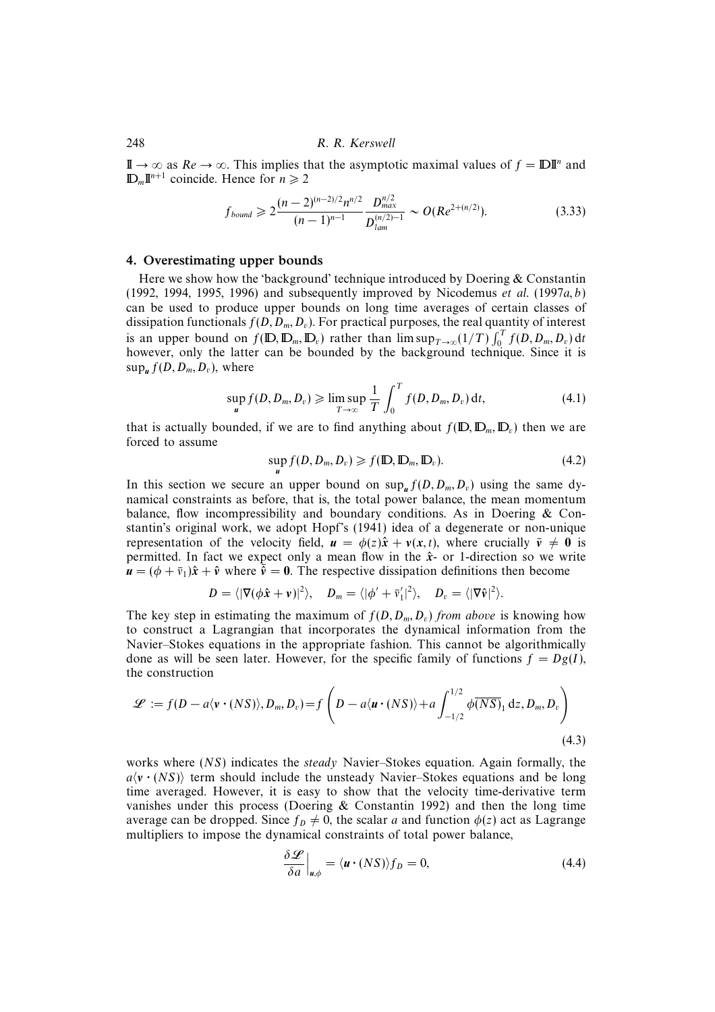$\mathbb{I} \to \infty$  as  $Re \to \infty$ . This implies that the asymptotic maximal values of  $f = \mathbb{D} \mathbb{I}^n$  and  $\mathbb{D}_{m}\mathbb{I}^{n+1}$  coincide. Hence for  $n \geq 2$ 

$$
f_{bound} \ge 2 \frac{(n-2)^{(n-2)/2} n^{n/2}}{(n-1)^{n-1}} \frac{D_{max}^{n/2}}{D_{lam}^{(n/2)-1}} \sim O(Re^{2+(n/2)}).
$$
 (3.33)

## 4. Overestimating upper bounds

Here we show how the 'background' technique introduced by Doering  $&$  Constantin (1992, 1994, 1995, 1996) and subsequently improved by Nicodemus *et al.* (1997 $a, b$ ) can be used to produce upper bounds on long time averages of certain classes of dissipation functionals  $f(D, D_m, D_v)$ . For practical purposes, the real quantity of interest is an upper bound on  $f(\mathbb{D}, \mathbb{D}_m, \mathbb{D}_v)$  rather than  $\limsup_{T\to\infty}(1/T)\int_0^T f(D, D_m, D_v) dt$ however, only the latter can be bounded by the background technique. Since it is  $\sup_{u} f(D, D_m, D_v)$ , where

$$
\sup_{u} f(D, D_m, D_v) \geqslant \limsup_{T \to \infty} \frac{1}{T} \int_0^T f(D, D_m, D_v) dt,
$$
\n(4.1)

that is actually bounded, if we are to find anything about  $f(D, D_m, D_v)$  then we are forced to assume

$$
\sup_{u} f(D, D_m, D_v) \ge f(\mathbb{D}, \mathbb{D}_m, \mathbb{D}_v). \tag{4.2}
$$

In this section we secure an upper bound on  $\sup_{u} f(D, D_m, D_v)$  using the same dynamical constraints as before, that is, the total power balance, the mean momentum balance, flow incompressibility and boundary conditions. As in Doering  $\&$  Constantin's original work, we adopt Hopf's (1941) idea of a degenerate or non-unique representation of the velocity field,  $u = \phi(z)\hat{x} + v(x, t)$ , where crucially  $\bar{v} \neq 0$  is permitted. In fact we expect only a mean flow in the  $\hat{x}$ - or 1-direction so we write  $u = (\phi + \bar{v}_1)\hat{x} + \hat{v}$  where  $\bar{\hat{v}} = 0$ . The respective dissipation definitions then become

$$
D=\langle |\nabla(\phi\hat{\mathbf{x}}+\mathbf{v})|^2 \rangle, \quad D_m=\langle |\phi'+\bar{v}_1'|^2 \rangle, \quad D_v=\langle |\nabla \hat{\mathbf{v}}|^2 \rangle.
$$

The key step in estimating the maximum of  $f(D, D_m, D_v)$  from above is knowing how to construct a Lagrangian that incorporates the dynamical information from the Navier–Stokes equations in the appropriate fashion. This cannot be algorithmically done as will be seen later. However, for the specific family of functions  $f = Dg(I)$ , the construction

$$
\mathcal{L} := f(D - a\langle v \cdot (NS) \rangle, D_m, D_v) = f\left(D - a\langle u \cdot (NS) \rangle + a \int_{-1/2}^{1/2} \phi \overline{(NS)}_1 \,dz, D_m, D_v\right)
$$
\n(4.3)

works where  $(NS)$  indicates the *steady* Navier–Stokes equation. Again formally, the  $a\langle v \cdot (NS) \rangle$  term should include the unsteady Navier–Stokes equations and be long time averaged. However, it is easy to show that the velocity time-derivative term vanishes under this process (Doering  $\&$  Constantin 1992) and then the long time average can be dropped. Since  $f_D \neq 0$ , the scalar a and function  $\phi(z)$  act as Lagrange multipliers to impose the dynamical constraints of total power balance,

$$
\frac{\delta \mathcal{L}}{\delta a}\Big|_{u,\phi} = \langle u \cdot (NS) \rangle f_D = 0, \tag{4.4}
$$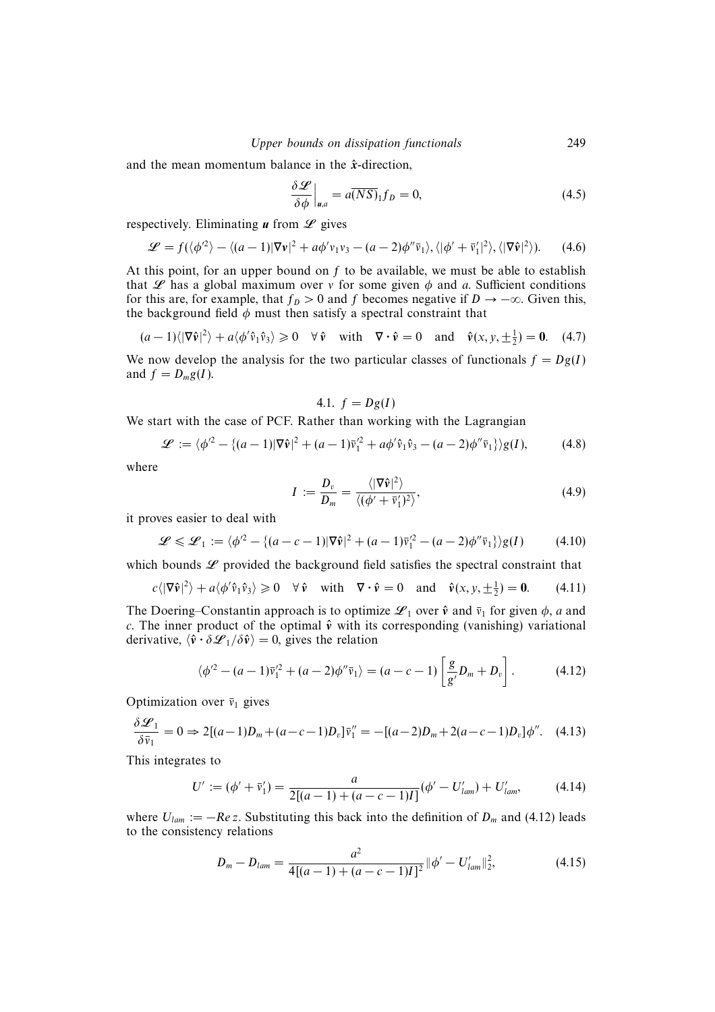and the mean momentum balance in the  $\hat{x}$ -direction,

$$
\frac{\delta \mathcal{L}}{\delta \phi}\Big|_{u,a} = a\overline{(NS)}_1 f_D = 0, \tag{4.5}
$$

respectively. Eliminating  $\boldsymbol{u}$  from  $\mathscr L$  gives

$$
\mathcal{L} = f(\langle \phi'^2 \rangle - \langle (a-1) | \nabla v |^2 + a \phi' v_1 v_3 - (a-2) \phi'' \bar{v}_1 \rangle, \langle |\phi' + \bar{v}_1'|^2 \rangle, \langle |\nabla \hat{v} |^2 \rangle). \tag{4.6}
$$

At this point, for an upper bound on  $f$  to be available, we must be able to establish that  $\mathscr L$  has a global maximum over  $\nu$  for some given  $\phi$  and a. Sufficient conditions for this are, for example, that  $f_D > 0$  and f becomes negative if  $D \rightarrow -\infty$ . Given this, the background field  $\phi$  must then satisfy a spectral constraint that

$$
(a-1)\langle|\nabla\hat{\mathbf{v}}|^2\rangle + a\langle\phi'\hat{\mathbf{v}}_1\hat{\mathbf{v}}_3\rangle \ge 0 \quad \forall \,\hat{\mathbf{v}} \quad \text{with} \quad \nabla \cdot \hat{\mathbf{v}} = 0 \quad \text{and} \quad \hat{\mathbf{v}}(x, y, \pm \frac{1}{2}) = \mathbf{0}. \tag{4.7}
$$

We now develop the analysis for the two particular classes of functionals  $f = Dg(I)$ and  $f = D_m g(I)$ .

4.1. 
$$
f = Dg(I)
$$

We start with the case of PCF. Rather than working with the Lagrangian

$$
\mathcal{L} := \langle \phi'^2 - \{(a-1)|\nabla \hat{\mathbf{v}}|^2 + (a-1)\bar{v}_1'^2 + a\phi'\hat{v}_1\hat{v}_3 - (a-2)\phi''\bar{v}_1\} \rangle g(I),\tag{4.8}
$$

where

$$
I := \frac{D_v}{D_m} = \frac{\langle |\nabla \hat{v}|^2 \rangle}{\langle (\phi' + \bar{v}'_1)^2 \rangle},\tag{4.9}
$$

it proves easier to deal with

$$
\mathcal{L} \leq \mathcal{L}_1 := \langle \phi'^2 - \{(a - c - 1)|\nabla \hat{\mathbf{v}}|^2 + (a - 1)\bar{v}_1'^2 - (a - 2)\phi''\bar{v}_1\} \rangle g(I) \tag{4.10}
$$

which bounds  $L$  provided the background field satisfies the spectral constraint that

$$
c\langle|\nabla \hat{\mathbf{v}}|^2\rangle + a\langle\phi'\hat{\mathbf{v}}_1\hat{\mathbf{v}}_3\rangle \ge 0 \quad \forall \,\hat{\mathbf{v}} \quad \text{with} \quad \nabla \cdot \hat{\mathbf{v}} = 0 \quad \text{and} \quad \hat{\mathbf{v}}(x, y, \pm \frac{1}{2}) = \mathbf{0}.\tag{4.11}
$$

The Doering–Constantin approach is to optimize  $\mathscr{L}_1$  over  $\hat{v}$  and  $\bar{v}_1$  for given  $\phi$ , a and c. The inner product of the optimal *ν*ˆ with its corresponding (vanishing) variational derivative,  $\langle \hat{\mathbf{v}} \cdot \delta \mathcal{L}_1 / \delta \hat{\mathbf{v}} \rangle = 0$ , gives the relation

$$
\langle \phi'^2 - (a-1)\bar{v}_1'^2 + (a-2)\phi''\bar{v}_1 \rangle = (a-c-1) \left[ \frac{g}{g'} D_m + D_v \right].
$$
 (4.12)

Optimization over  $\bar{v}_1$  gives

$$
\frac{\delta \mathcal{L}_1}{\delta \bar{v}_1} = 0 \Rightarrow 2[(a-1)D_m + (a-c-1)D_v]\bar{v}_1'' = -[(a-2)D_m + 2(a-c-1)D_v]\phi''.
$$
 (4.13)

This integrates to

$$
U' := (\phi' + \bar{v}'_1) = \frac{a}{2[(a-1) + (a-c-1)I]} (\phi' - U'_{lam}) + U'_{lam}, \qquad (4.14)
$$

where  $U_{lam} := -Re z$ . Substituting this back into the definition of  $D_m$  and (4.12) leads to the consistency relations

$$
D_m - D_{lam} = \frac{a^2}{4[(a-1) + (a-c-1)I]^2} ||\phi' - U'_{lam}||_2^2,
$$
\n(4.15)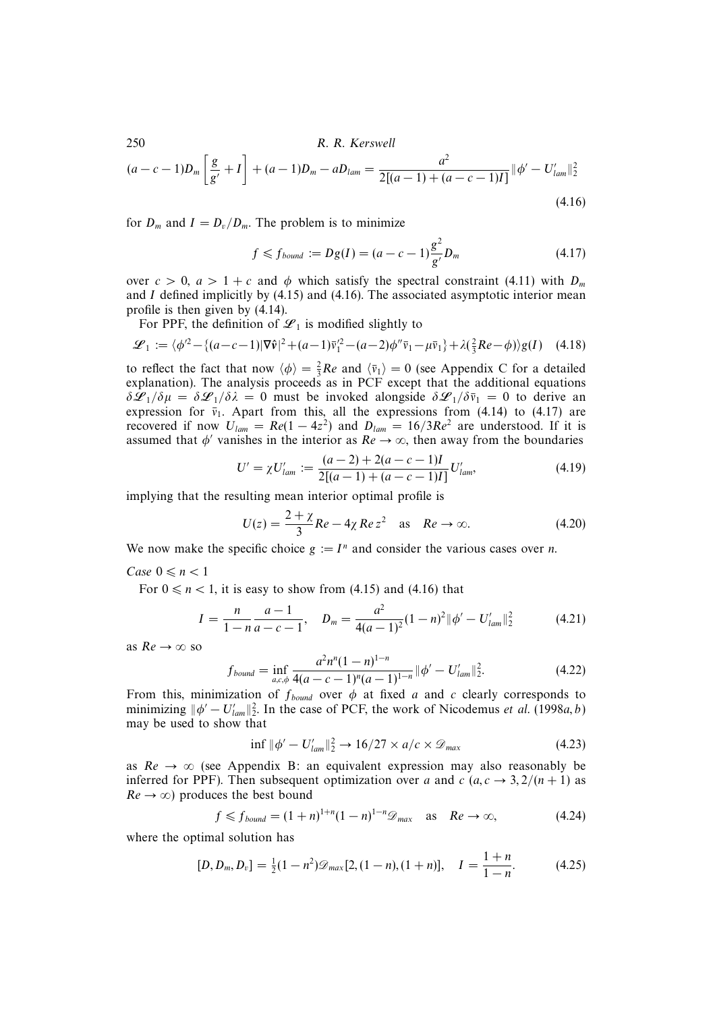$$
(a-c-1)D_m\left[\frac{g}{g'}+I\right] + (a-1)D_m - aD_{lam} = \frac{a^2}{2[(a-1)+(a-c-1)I]} ||\phi' - U'_{lam}||_2^2
$$
\n(4.16)

for  $D_m$  and  $I = D_v/D_m$ . The problem is to minimize

$$
f \le f_{bound} := Dg(I) = (a - c - 1)\frac{g^2}{g'}D_m
$$
\n(4.17)

over  $c > 0$ ,  $a > 1 + c$  and  $\phi$  which satisfy the spectral constraint (4.11) with  $D_m$ and I defined implicitly by  $(4.15)$  and  $(4.16)$ . The associated asymptotic interior mean profile is then given by (4.14).

For PPF, the definition of  $\mathcal{L}_1$  is modified slightly to

$$
\mathcal{L}_1 := \langle \phi'^2 - \{(a-c-1)|\nabla \hat{\mathbf{v}}|^2 + (a-1)\bar{v}_1'^2 - (a-2)\phi''\bar{v}_1 - \mu \bar{v}_1\} + \lambda(\frac{2}{3}Re - \phi)\rangle g(I) \quad (4.18)
$$

to reflect the fact that now  $\langle \phi \rangle = \frac{2}{3}Re$  and  $\langle \bar{v}_1 \rangle = 0$  (see Appendix C for a detailed explanation). The analysis proceeds as in PCF except that the additional equations  $\delta \mathscr{L}_1/\delta \mu = \delta \mathscr{L}_1/\delta \lambda = 0$  must be invoked alongside  $\delta \mathscr{L}_1/\delta \bar{v}_1 = 0$  to derive an expression for  $\bar{v}_1$ . Apart from this, all the expressions from (4.14) to (4.17) are recovered if now  $U_{lam} = Re(1 - 4z^2)$  and  $D_{lam} = 16/3Re^2$  are understood. If it is assumed that  $\phi'$  vanishes in the interior as  $Re \rightarrow \infty$ , then away from the boundaries

$$
U' = \chi U'_{lam} := \frac{(a-2) + 2(a-c-1)I}{2[(a-1) + (a-c-1)I]} U'_{lam}, \tag{4.19}
$$

implying that the resulting mean interior optimal profile is

$$
U(z) = \frac{2 + \chi}{3} Re - 4\chi Re z^2 \quad \text{as} \quad Re \to \infty. \tag{4.20}
$$

We now make the specific choice  $g := I^n$  and consider the various cases over *n*. Case  $0 \leq n < 1$ 

For  $0 \le n < 1$ , it is easy to show from (4.15) and (4.16) that

$$
I = \frac{n}{1 - n} \frac{a - 1}{a - c - 1}, \quad D_m = \frac{a^2}{4(a - 1)^2} (1 - n)^2 ||\phi' - U'_{lam}||_2^2 \tag{4.21}
$$

as  $Re \rightarrow \infty$  so

$$
f_{bound} = \inf_{a,c,\phi} \frac{a^2 n^n (1-n)^{1-n}}{4(a-c-1)^n (a-1)^{1-n}} ||\phi' - U'_{lam}||_2^2.
$$
 (4.22)

From this, minimization of  $f_{bound}$  over  $\phi$  at fixed a and c clearly corresponds to minimizing  $\|\phi' - U'_{lam}\|_2^2$ . In the case of PCF, the work of Nicodemus *et al.* (1998*a, b*) may be used to show that

$$
\inf \|\phi' - U'_{lam}\|_2^2 \to 16/27 \times a/c \times \mathcal{D}_{max} \tag{4.23}
$$

as  $Re \rightarrow \infty$  (see Appendix B: an equivalent expression may also reasonably be inferred for PPF). Then subsequent optimization over a and c  $(a, c \rightarrow 3, 2/(n + 1)$  as  $Re \rightarrow \infty$ ) produces the best bound

$$
f \le f_{bound} = (1+n)^{1+n}(1-n)^{1-n}\mathcal{D}_{max} \quad \text{as} \quad Re \to \infty,
$$
 (4.24)

where the optimal solution has

$$
[D, D_m, D_v] = \frac{1}{2}(1 - n^2)\mathcal{D}_{max}[2, (1 - n), (1 + n)], \quad I = \frac{1 + n}{1 - n}.
$$
 (4.25)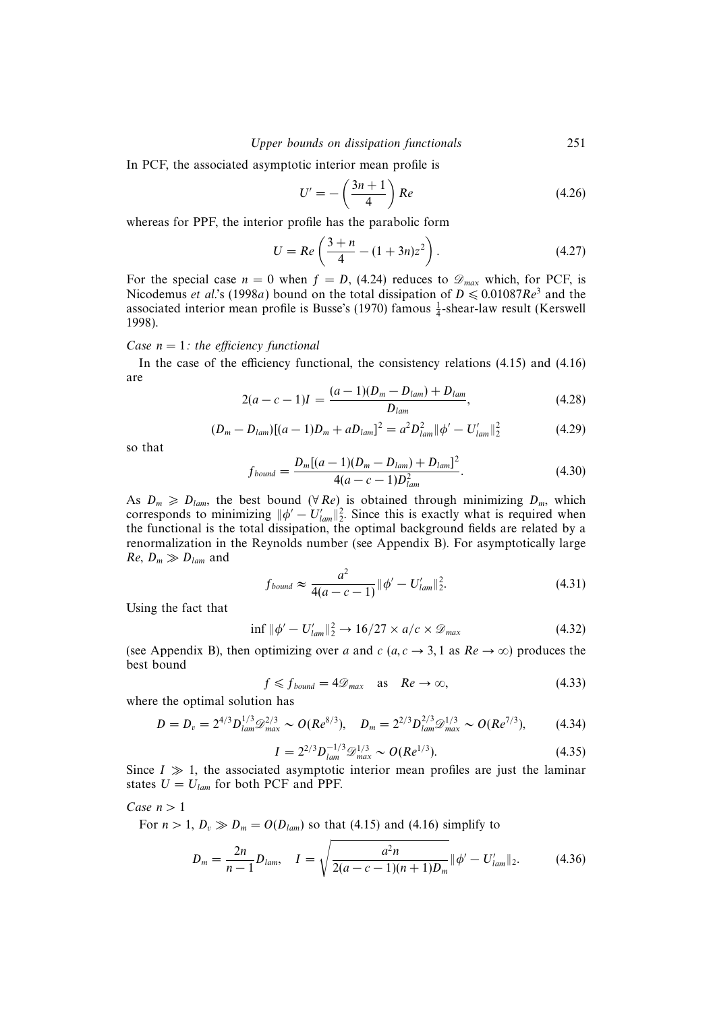In PCF, the associated asymptotic interior mean profile is

$$
U' = -\left(\frac{3n+1}{4}\right)Re\tag{4.26}
$$

whereas for PPF, the interior profile has the parabolic form

$$
U = Re\left(\frac{3+n}{4} - (1+3n)z^2\right).
$$
 (4.27)

For the special case  $n = 0$  when  $f = D$ , (4.24) reduces to  $\mathscr{D}_{max}$  which, for PCF, is Nicodemus et al.'s (1998a) bound on the total dissipation of  $D \le 0.01087Re^3$  and the associated interior mean profile is Busse's (1970) famous  $\frac{1}{4}$ -shear-law result (Kerswell 1998).

## Case  $n = 1$ : the efficiency functional

In the case of the efficiency functional, the consistency relations (4.15) and (4.16) are

$$
2(a-c-1)I = \frac{(a-1)(D_m - D_{lam}) + D_{lam}}{D_{lam}},
$$
\n(4.28)

$$
(D_m - D_{lam})[(a-1)D_m + aD_{lam}]^2 = a^2 D_{lam}^2 ||\phi' - U'_{lam}||_2^2
$$
 (4.29)

so that

$$
f_{bound} = \frac{D_m[(a-1)(D_m - D_{lam}) + D_{lam}]^2}{4(a-c-1)D_{lam}^2}.
$$
\n(4.30)

As  $D_m \ge D_{lam}$ , the best bound ( $\forall Re$ ) is obtained through minimizing  $D_m$ , which corresponds to minimizing  $\|\phi' - U'_{lam}\|_2^2$ . Since this is exactly what is required when the functional is the total dissipation, the optimal background fields are related by a renormalization in the Reynolds number (see Appendix B). For asymptotically large  $Re, D_m \gg D_{lam}$  and

$$
f_{bound} \approx \frac{a^2}{4(a-c-1)} \|\phi' - U'_{lam}\|_2^2.
$$
 (4.31)

Using the fact that

$$
\inf \|\phi' - U'_{lam}\|_2^2 \to 16/27 \times a/c \times \mathcal{D}_{max} \tag{4.32}
$$

(see Appendix B), then optimizing over a and c (a, c  $\rightarrow$  3, 1 as  $Re \rightarrow \infty$ ) produces the best bound

$$
f \le f_{bound} = 4\mathcal{D}_{max} \quad \text{as} \quad Re \to \infty,
$$
 (4.33)

where the optimal solution has

$$
D = D_v = 2^{4/3} D_{lam}^{1/3} \mathscr{D}_{max}^{2/3} \sim O(Re^{8/3}), \quad D_m = 2^{2/3} D_{lam}^{2/3} \mathscr{D}_{max}^{1/3} \sim O(Re^{7/3}), \tag{4.34}
$$

$$
I = 2^{2/3} D_{lam}^{-1/3} \mathcal{D}_{max}^{1/3} \sim O(Re^{1/3}).
$$
 (4.35)

Since  $I \gg 1$ , the associated asymptotic interior mean profiles are just the laminar states  $U = U_{lam}$  for both PCF and PPF.

## Case  $n > 1$

For  $n > 1$ ,  $D_v \gg D_m = O(D_{lam})$  so that (4.15) and (4.16) simplify to

$$
D_m = \frac{2n}{n-1} D_{lam}, \quad I = \sqrt{\frac{a^2 n}{2(a-c-1)(n+1)D_m}} ||\phi' - U'_{lam}||_2.
$$
 (4.36)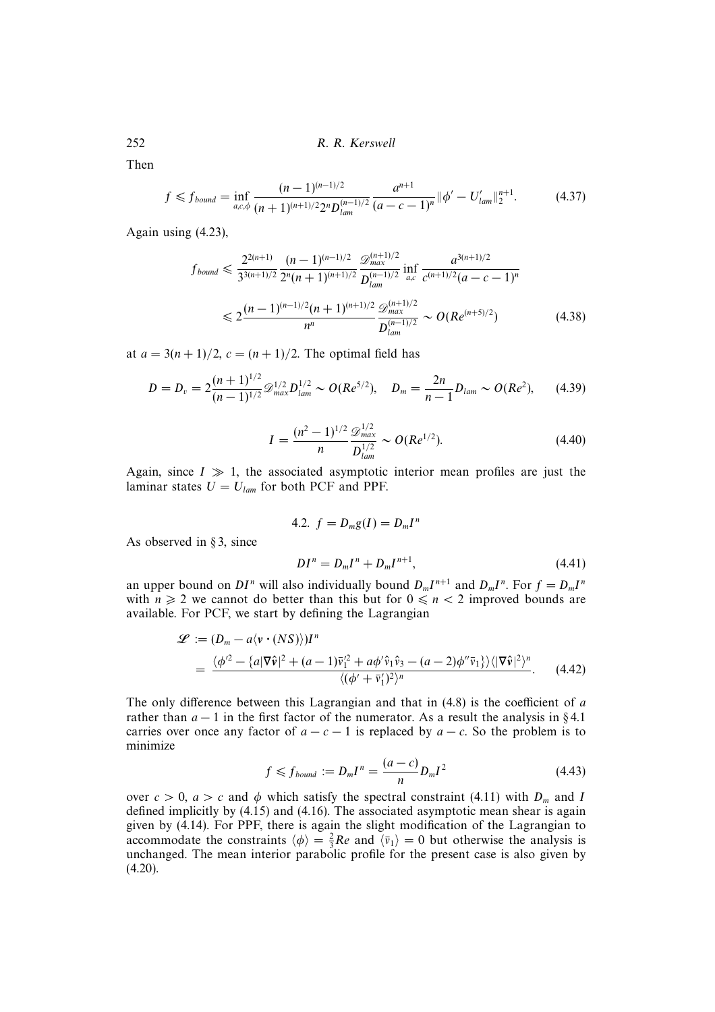Then

$$
f \le f_{bound} = \inf_{a,c,\phi} \frac{(n-1)^{(n-1)/2}}{(n+1)^{(n+1)/2} 2^n D_{lam}^{(n-1)/2}} \frac{a^{n+1}}{(a-c-1)^n} \|\phi' - U'_{lam}\|_2^{n+1}.
$$
 (4.37)

Again using (4.23),

$$
f_{bound} \leq \frac{2^{2(n+1)}}{3^{3(n+1)/2}} \frac{(n-1)^{(n-1)/2}}{2^n (n+1)^{(n+1)/2}} \frac{\mathcal{D}_{max}^{(n+1)/2}}{D_{lam}^{(n-1)/2}} \inf_{a,c} \frac{a^{3(n+1)/2}}{c^{(n+1)/2} (a-c-1)^n}
$$
  

$$
\leq 2 \frac{(n-1)^{(n-1)/2} (n+1)^{(n+1)/2}}{n^n} \frac{\mathcal{D}_{max}^{(n+1)/2}}{D_{lam}^{(n-1)/2}} \sim O(Re^{(n+5)/2})
$$
(4.38)

at  $a = 3(n + 1)/2$ ,  $c = (n + 1)/2$ . The optimal field has

$$
D = D_v = 2\frac{(n+1)^{1/2}}{(n-1)^{1/2}} \mathcal{D}_{max}^{1/2} D_{lam}^{1/2} \sim O(Re^{5/2}), \quad D_m = \frac{2n}{n-1} D_{lam} \sim O(Re^2), \quad (4.39)
$$

$$
I = \frac{(n^2 - 1)^{1/2}}{n} \frac{\mathcal{D}_{\text{max}}^{1/2}}{D_{\text{lam}}^{1/2}} \sim O(Re^{1/2}).
$$
 (4.40)

Again, since  $I \gg 1$ , the associated asymptotic interior mean profiles are just the laminar states  $U = U_{lam}$  for both PCF and PPF.

4.2. 
$$
f = D_m g(I) = D_m I^n
$$

As observed in § 3, since

$$
DI^{n} = D_{m}I^{n} + D_{m}I^{n+1}, \qquad (4.41)
$$

an upper bound on  $DI^n$  will also individually bound  $D_mI^{n+1}$  and  $D_mI^n$ . For  $f = D_mI^n$ with  $n \geq 2$  we cannot do better than this but for  $0 \leq n < 2$  improved bounds are available. For PCF, we start by defining the Lagrangian

$$
\mathcal{L} := (D_m - a \langle \mathbf{v} \cdot (NS) \rangle) I^n
$$
  
= 
$$
\frac{\langle \phi'^2 - \{a | \nabla \hat{\mathbf{v}} |^2 + (a-1) \bar{v}_1'^2 + a \phi' \hat{v}_1 \hat{v}_3 - (a-2) \phi'' \bar{v}_1 \} \rangle \langle |\nabla \hat{\mathbf{v}}|^2 \rangle^n}{\langle (\phi' + \bar{v}_1')^2 \rangle^n}.
$$
 (4.42)

The only difference between this Lagrangian and that in  $(4.8)$  is the coefficient of a rather than  $a - 1$  in the first factor of the numerator. As a result the analysis in §4.1 carries over once any factor of  $a - c - 1$  is replaced by  $a - c$ . So the problem is to minimize

$$
f \leqslant f_{bound} := D_m I^n = \frac{(a-c)}{n} D_m I^2 \tag{4.43}
$$

over  $c > 0$ ,  $a > c$  and  $\phi$  which satisfy the spectral constraint (4.11) with  $D_m$  and I defined implicitly by (4.15) and (4.16). The associated asymptotic mean shear is again given by (4.14). For PPF, there is again the slight modification of the Lagrangian to accommodate the constraints  $\langle \phi \rangle = \frac{2}{3}Re$  and  $\langle \bar{v}_1 \rangle = 0$  but otherwise the analysis is unchanged. The mean interior parabolic profile for the present case is also given by (4.20).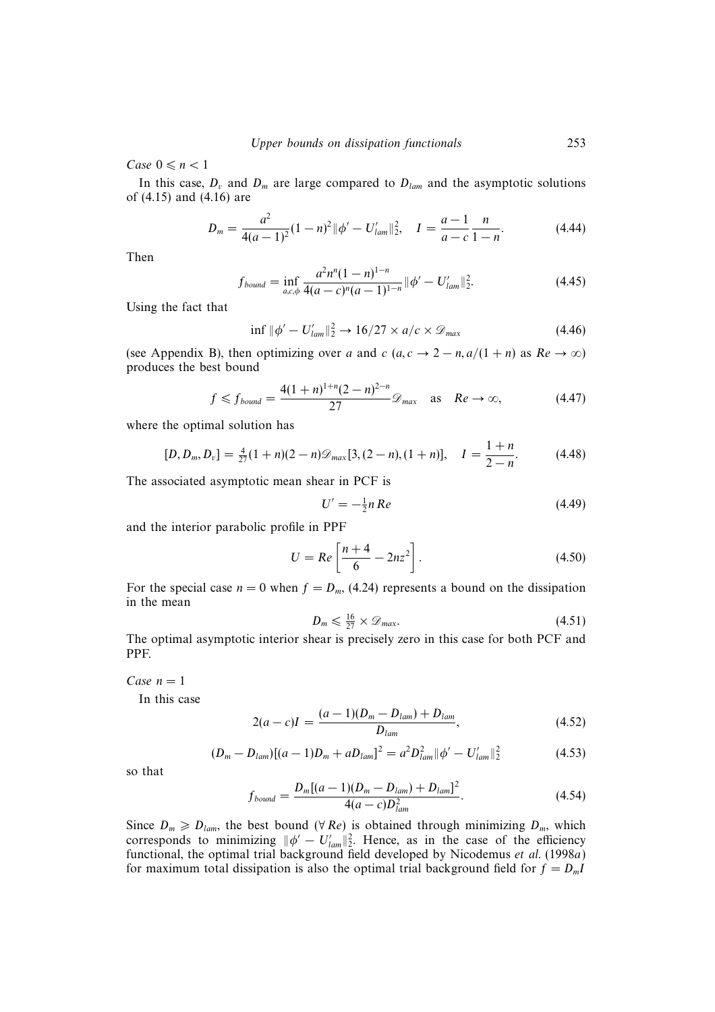Case  $0 \leq n < 1$ 

In this case,  $D_v$  and  $D_m$  are large compared to  $D_{lam}$  and the asymptotic solutions of (4.15) and (4.16) are

$$
D_m = \frac{a^2}{4(a-1)^2} (1-n)^2 ||\phi' - U'_{lam}||_2^2, \quad I = \frac{a-1}{a-c} \frac{n}{1-n}.
$$
 (4.44)

Then

$$
f_{bound} = \inf_{a,c,\phi} \frac{a^2 n^n (1-n)^{1-n}}{4(a-c)^n (a-1)^{1-n}} ||\phi' - U'_{lam}||_2^2.
$$
 (4.45)

Using the fact that

$$
\inf \|\phi' - U'_{lam}\|_2^2 \to 16/27 \times a/c \times \mathcal{D}_{max} \tag{4.46}
$$

(see Appendix B), then optimizing over a and c (a, c  $\rightarrow$  2 – n, a/(1 + n) as Re  $\rightarrow \infty$ ) produces the best bound

$$
f \le f_{bound} = \frac{4(1+n)^{1+n}(2-n)^{2-n}}{27} \mathcal{D}_{max} \quad \text{as} \quad Re \to \infty,
$$
 (4.47)

where the optimal solution has

$$
[D, D_m, D_v] = \frac{4}{27}(1+n)(2-n)\mathcal{D}_{max}[3, (2-n), (1+n)], \quad I = \frac{1+n}{2-n}.
$$
 (4.48)

The associated asymptotic mean shear in PCF is

$$
U' = -\frac{1}{2}n\operatorname{Re}\tag{4.49}
$$

and the interior parabolic profile in PPF

$$
U = Re\left[\frac{n+4}{6} - 2nz^2\right].
$$
\n(4.50)

For the special case  $n = 0$  when  $f = D_m$ , (4.24) represents a bound on the dissipation in the mean

$$
D_m \leq \frac{16}{27} \times \mathcal{D}_{max}.\tag{4.51}
$$

The optimal asymptotic interior shear is precisely zero in this case for both PCF and PPF.

Case  $n = 1$ 

In this case

$$
2(a-c)I = \frac{(a-1)(D_m - D_{lam}) + D_{lam}}{D_{lam}},
$$
\n(4.52)

$$
(D_m - D_{lam})[(a-1)D_m + aD_{lam}]^2 = a^2 D_{lam}^2 ||\phi' - U'_{lam}||_2^2
$$
 (4.53)

so that

$$
f_{bound} = \frac{D_m[(a-1)(D_m - D_{lam}) + D_{lam}]^2}{4(a-c)D_{lam}^2}.
$$
\n(4.54)

Since  $D_m \ge D_{lam}$ , the best bound ( $\forall Re$ ) is obtained through minimizing  $D_m$ , which corresponds to minimizing  $\|\phi' - U'_{lam}\|_2^2$ . Hence, as in the case of the efficiency functional, the optimal trial background field developed by Nicodemus et al. (1998a) for maximum total dissipation is also the optimal trial background field for  $f = D<sub>m</sub>I$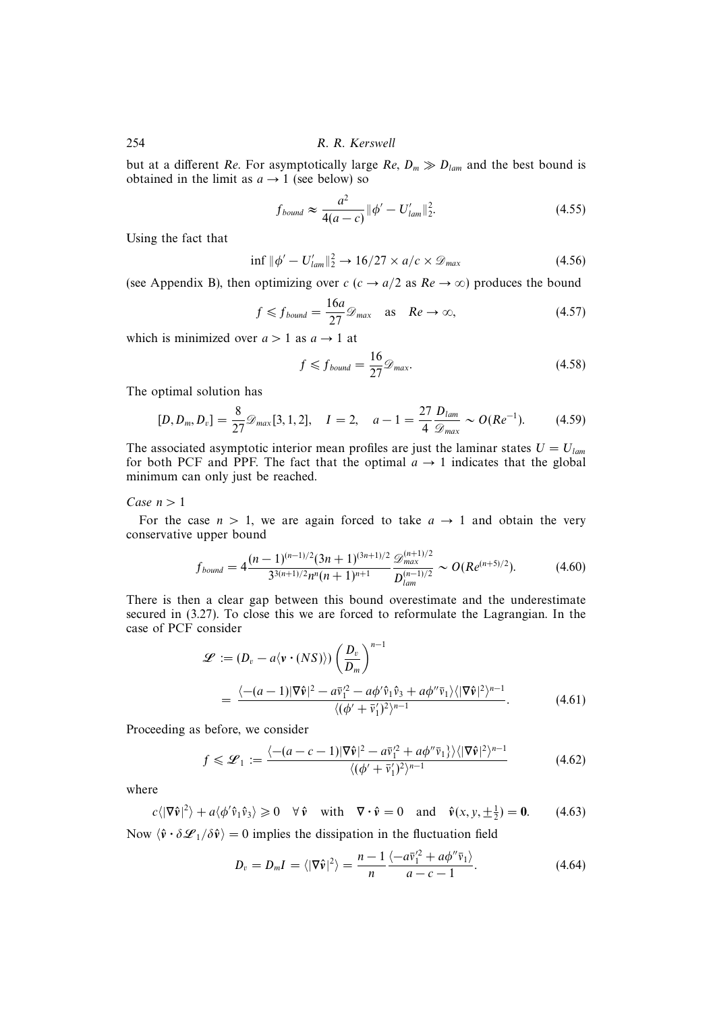but at a different Re. For asymptotically large Re,  $D_m \gg D_{lam}$  and the best bound is obtained in the limit as  $a \rightarrow 1$  (see below) so

$$
f_{bound} \approx \frac{a^2}{4(a-c)} ||\phi' - U'_{lam}||_2^2.
$$
 (4.55)

Using the fact that

$$
\inf \|\phi' - U'_{lam}\|_2^2 \to 16/27 \times a/c \times \mathcal{D}_{max} \tag{4.56}
$$

(see Appendix B), then optimizing over  $c$  ( $c \rightarrow a/2$  as  $Re \rightarrow \infty$ ) produces the bound

$$
f \le f_{bound} = \frac{16a}{27} \mathcal{D}_{max} \quad \text{as} \quad Re \to \infty,
$$
 (4.57)

which is minimized over  $a > 1$  as  $a \rightarrow 1$  at

$$
f \le f_{bound} = \frac{16}{27} \mathcal{D}_{max}.
$$
 (4.58)

The optimal solution has

$$
[D, D_m, D_v] = \frac{8}{27} \mathcal{D}_{max}[3, 1, 2], \quad I = 2, \quad a - 1 = \frac{27}{4} \frac{D_{lam}}{\mathcal{D}_{max}} \sim O(Re^{-1}). \tag{4.59}
$$

The associated asymptotic interior mean profiles are just the laminar states  $U = U_{lam}$ for both PCF and PPF. The fact that the optimal  $a \rightarrow 1$  indicates that the global minimum can only just be reached.

Case  $n > 1$ 

For the case  $n > 1$ , we are again forced to take  $a \to 1$  and obtain the very conservative upper bound

$$
f_{bound} = 4 \frac{(n-1)^{(n-1)/2} (3n+1)^{(3n+1)/2}}{3^{3(n+1)/2} n^n (n+1)^{n+1}} \frac{\mathcal{D}_{max}^{(n+1)/2}}{D_{lam}^{(n-1)/2}} \sim O(Re^{(n+5)/2}). \tag{4.60}
$$

There is then a clear gap between this bound overestimate and the underestimate secured in (3.27). To close this we are forced to reformulate the Lagrangian. In the case of PCF consider

$$
\mathcal{L} := (D_v - a \langle \mathbf{v} \cdot (NS) \rangle) \left( \frac{D_v}{D_m} \right)^{n-1}
$$
  
= 
$$
\frac{\langle -(a-1) |\nabla \hat{\mathbf{v}}|^2 - a \bar{v}_1'^2 - a \phi' \hat{v}_1 \hat{v}_3 + a \phi'' \bar{v}_1 \rangle \langle |\nabla \hat{\mathbf{v}}|^2 \rangle^{n-1}}{\langle (\phi' + \bar{v}_1')^2 \rangle^{n-1}}.
$$
 (4.61)

Proceeding as before, we consider

$$
f \leqslant \mathcal{L}_1 := \frac{\langle -(a-c-1)|\nabla \hat{\mathbf{v}}|^2 - a\bar{v}_1'^2 + a\phi''\bar{v}_1 \rangle \langle |\nabla \hat{\mathbf{v}}|^2 \rangle^{n-1}}{\langle (\phi' + \bar{v}_1')^2 \rangle^{n-1}} \tag{4.62}
$$

where

 $c\langle |\nabla \hat{\mathbf{v}}|^2 \rangle + a\langle \phi' \hat{\mathbf{v}}_1 \hat{\mathbf{v}}_3 \rangle \ge 0 \quad \forall \hat{\mathbf{v}} \text{ with } \nabla \cdot \hat{\mathbf{v}} = 0 \text{ and } \hat{\mathbf{v}}(x, y, \pm \frac{1}{2}) = \mathbf{0}.$  (4.63)

Now  $\langle \hat{\mathbf{v}} \cdot \delta \mathcal{L}_1 / \delta \hat{\mathbf{v}} \rangle = 0$  implies the dissipation in the fluctuation field

$$
D_v = D_m I = \langle |\nabla \hat{\mathbf{v}}|^2 \rangle = \frac{n-1}{n} \frac{\langle -a\bar{v}_1'^2 + a\phi''\bar{v}_1 \rangle}{a-c-1}.
$$
 (4.64)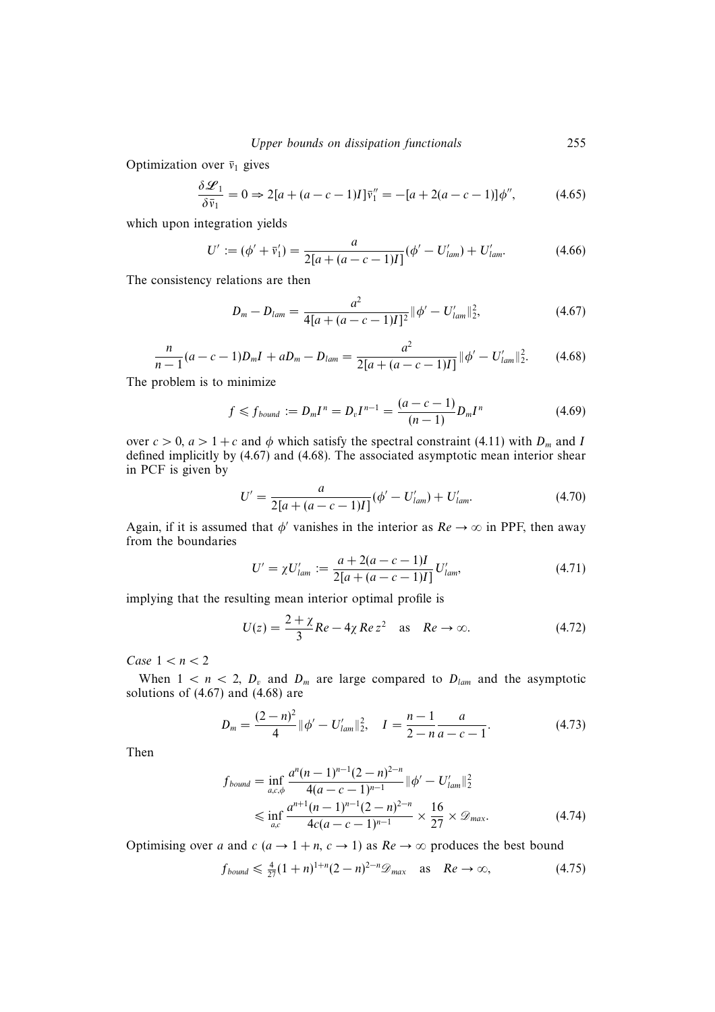Optimization over  $\bar{v}_1$  gives

$$
\frac{\delta \mathcal{L}_1}{\delta \bar{v}_1} = 0 \Rightarrow 2[a + (a - c - 1)I] \bar{v}_1'' = -[a + 2(a - c - 1)] \phi'', \tag{4.65}
$$

which upon integration yields

$$
U' := (\phi' + \bar{v}'_1) = \frac{a}{2[a + (a - c - 1)I]} (\phi' - U'_{lam}) + U'_{lam}.
$$
 (4.66)

The consistency relations are then

$$
D_m - D_{lam} = \frac{a^2}{4[a + (a - c - 1)I]^2} ||\phi' - U'_{lam}||_2^2, \tag{4.67}
$$

$$
\frac{n}{n-1}(a-c-1)D_m I + aD_m - D_{lam} = \frac{a^2}{2[a + (a-c-1)I]} ||\phi' - U'_{lam}||_2^2.
$$
 (4.68)

The problem is to minimize

$$
f \le f_{bound} := D_m I^n = D_v I^{n-1} = \frac{(a-c-1)}{(n-1)} D_m I^n \tag{4.69}
$$

over  $c > 0$ ,  $a > 1 + c$  and  $\phi$  which satisfy the spectral constraint (4.11) with  $D_m$  and I defined implicitly by (4.67) and (4.68). The associated asymptotic mean interior shear in PCF is given by

$$
U' = \frac{a}{2[a + (a - c - 1)I]} (\phi' - U'_{lam}) + U'_{lam}.
$$
 (4.70)

Again, if it is assumed that  $\phi'$  vanishes in the interior as  $Re \rightarrow \infty$  in PPF, then away from the boundaries

$$
U' = \chi U'_{lam} := \frac{a + 2(a - c - 1)I}{2[a + (a - c - 1)I]} U'_{lam},
$$
\n(4.71)

implying that the resulting mean interior optimal profile is

$$
U(z) = \frac{2 + \chi}{3} Re - 4\chi Re z^2 \quad \text{as} \quad Re \to \infty. \tag{4.72}
$$

Case  $1 < n < 2$ 

When  $1 < n < 2$ ,  $D_v$  and  $D_m$  are large compared to  $D_{lam}$  and the asymptotic solutions of (4.67) and (4.68) are

$$
D_m = \frac{(2-n)^2}{4} ||\phi' - U'_{lam}||_2^2, \quad I = \frac{n-1}{2-n} \frac{a}{a-c-1}.
$$
 (4.73)

Then

$$
f_{bound} = \inf_{a,c,\phi} \frac{a^n (n-1)^{n-1} (2-n)^{2-n}}{4(a-c-1)^{n-1}} ||\phi' - U'_{lam}||_2^2
$$
  
\$\leq \inf\_{a,c} \frac{a^{n+1} (n-1)^{n-1} (2-n)^{2-n}}{4c(a-c-1)^{n-1}} \times \frac{16}{27} \times \mathcal{D}\_{max}. \tag{4.74}

Optimising over a and  $c$  ( $a \rightarrow 1 + n$ ,  $c \rightarrow 1$ ) as  $Re \rightarrow \infty$  produces the best bound

$$
f_{bound} \leq \frac{4}{27}(1+n)^{1+n}(2-n)^{2-n}\mathcal{D}_{max} \quad \text{as} \quad Re \to \infty,
$$
 (4.75)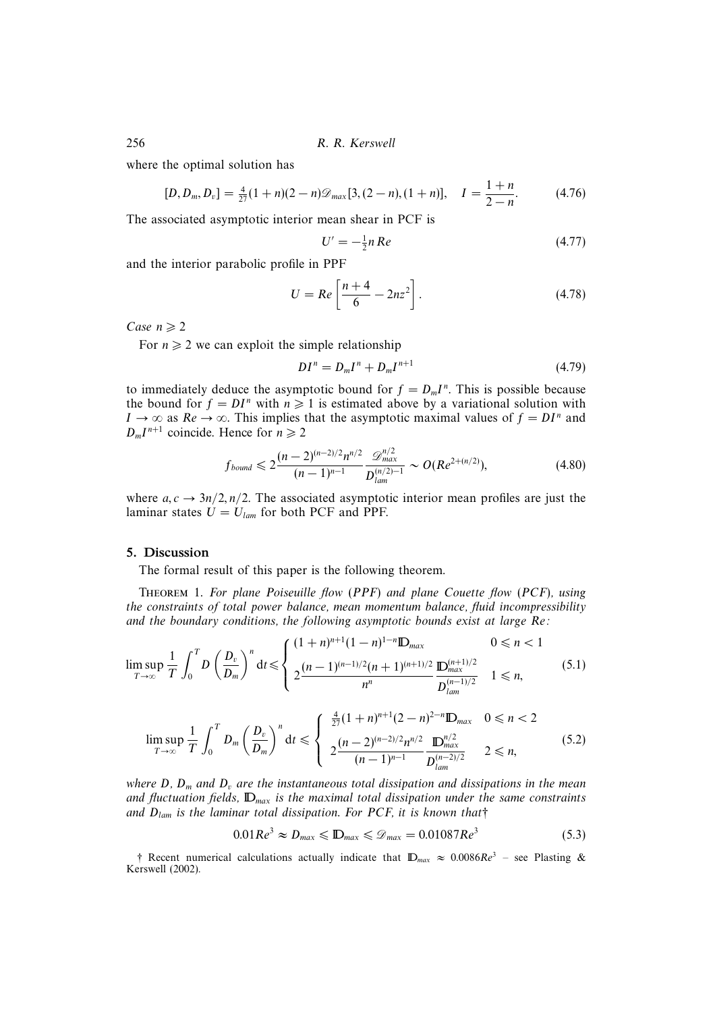where the optimal solution has

$$
[D, D_m, D_v] = \frac{4}{27}(1+n)(2-n)\mathcal{D}_{max}[3, (2-n), (1+n)], \quad I = \frac{1+n}{2-n}.
$$
 (4.76)

The associated asymptotic interior mean shear in PCF is

$$
U' = -\frac{1}{2}n\,Re\tag{4.77}
$$

and the interior parabolic profile in PPF

$$
U = Re\left[\frac{n+4}{6} - 2nz^2\right].
$$
\n(4.78)

Case  $n \geqslant 2$ 

For  $n \geq 2$  we can exploit the simple relationship

$$
DI^{n} = D_{m}I^{n} + D_{m}I^{n+1}
$$
\n(4.79)

to immediately deduce the asymptotic bound for  $f = D_m I^n$ . This is possible because the bound for  $f = DI^n$  with  $n \ge 1$  is estimated above by a variational solution with  $I \rightarrow \infty$  as  $Re \rightarrow \infty$ . This implies that the asymptotic maximal values of  $f = D I^n$  and  $D_m I^{n+1}$  coincide. Hence for  $n \ge 2$ 

$$
f_{bound} \leq 2 \frac{(n-2)^{(n-2)/2} n^{n/2}}{(n-1)^{n-1}} \frac{\mathcal{D}_{max}^{n/2}}{D_{lam}^{(n/2)-1}} \sim O(Re^{2+(n/2)}),
$$
\n(4.80)

where  $a, c \rightarrow 3n/2, n/2$ . The associated asymptotic interior mean profiles are just the laminar states  $U = U_{lam}$  for both PCF and PPF.

### 5. Discussion

The formal result of this paper is the following theorem.

Theorem 1. For plane Poiseuille flow (PPF) and plane Couette flow (PCF), using the constraints of total power balance, mean momentum balance, fluid incompressibility and the boundary conditions, the following asymptotic bounds exist at large Re:

$$
\limsup_{T \to \infty} \frac{1}{T} \int_0^T D\left(\frac{D_v}{D_m}\right)^n dt \leqslant \begin{cases} (1+n)^{n+1} (1-n)^{1-n} D_{max} & 0 \leqslant n < 1\\ 2 \frac{(n-1)^{(n-1)/2} (n+1)^{(n+1)/2}}{n^n} \frac{D_{max}^{(n+1)/2}}{D_{lam}^{(n-1)/2}} & 1 \leqslant n, \end{cases} \tag{5.1}
$$

$$
\limsup_{T \to \infty} \frac{1}{T} \int_0^T D_m \left( \frac{D_v}{D_m} \right)^n dt \leqslant \begin{cases} \frac{\frac{4}{27}(1+n)^{n+1}(2-n)^{2-n} \mathbb{D}_{max}}{2(n-2)^{(n-2)/2} n^{n/2}} & 0 \leqslant n < 2\\ 2 \frac{(n-2)^{(n-2)/2} n^{n/2}}{(n-1)^{n-1}} & \frac{\mathbb{D}_{max}^{n/2}}{D_{lam}^{(n-2)/2}} & 2 \leqslant n, \end{cases} \tag{5.2}
$$

where D,  $D_m$  and  $D_v$  are the instantaneous total dissipation and dissipations in the mean and fluctuation fields,  $\mathbb{D}_{max}$  is the maximal total dissipation under the same constraints and  $D_{lam}$  is the laminar total dissipation. For PCF, it is known that

$$
0.01Re3 \approx D_{max} \leqslant D_{max} \leqslant \mathcal{D}_{max} = 0.01087Re3
$$
\n(5.3)

† Recent numerical calculations actually indicate that  $\mathbb{D}_{max} \approx 0.0086Re^3$  – see Plasting & Kerswell (2002).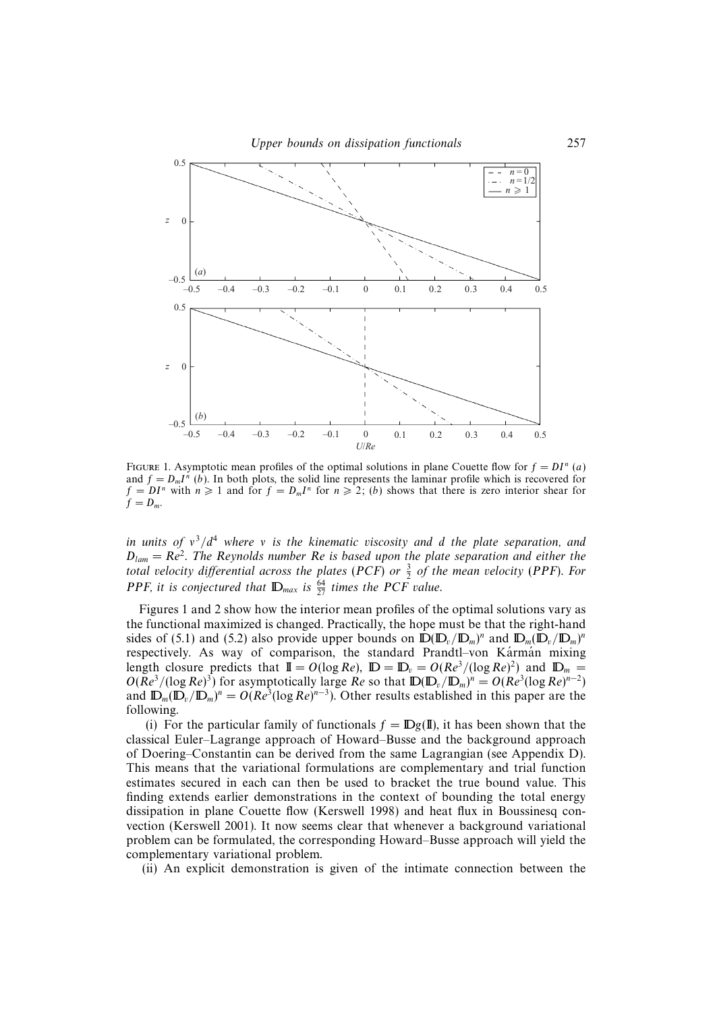

FIGURE 1. Asymptotic mean profiles of the optimal solutions in plane Couette flow for  $f = DI^n$  (a) and  $f = D_m I^n$  (b). In both plots, the solid line represents the laminar profile which is recovered for  $f = DI^n$  with  $n \ge 1$  and for  $f = D_mI^n$  for  $n \ge 2$ ; (b) shows that there is zero interior shear for  $f = D_m$ .

in units of  $v^3/d^4$  where v is the kinematic viscosity and d the plate separation, and  $D_{lam} = Re^2$ . The Reynolds number Re is based upon the plate separation and either the total velocity differential across the plates (PCF) or  $\frac{3}{2}$  of the mean velocity (PPF). For PPF, it is conjectured that  $\mathbb{D}_{max}$  is  $\frac{64}{27}$  times the PCF value.

Figures 1 and 2 show how the interior mean profiles of the optimal solutions vary as the functional maximized is changed. Practically, the hope must be that the right-hand sides of (5.1) and (5.2) also provide upper bounds on  $\mathbb{D}(\mathbb{D}_v/\mathbb{D}_m)^n$  and  $\mathbb{D}_m(\mathbb{D}_v/\mathbb{D}_m)^n$ respectively. As way of comparison, the standard Prandtl-von Kármán mixing length closure predicts that  $\mathbb{I} = O(\log Re)$ ,  $\mathbb{D} = \mathbb{D}_v = O(Re^3/(\log Re)^2)$  and  $\mathbb{D}_m =$  $O(Re^3/(\log Re)^3)$  for asymptotically large Re so that  $\mathbb{D}(\mathbb{D}_v/\mathbb{D}_m)^n = O(Re^3(\log Re)^{n-2})$ and  $\mathbb{D}_m(\mathbb{D}_v/\mathbb{D}_m)^n = O(Re^3(\log Re)^{n-3})$ . Other results established in this paper are the following.

(i) For the particular family of functionals  $f = \mathbb{D}g(\mathbb{I})$ , it has been shown that the classical Euler–Lagrange approach of Howard–Busse and the background approach of Doering–Constantin can be derived from the same Lagrangian (see Appendix D). This means that the variational formulations are complementary and trial function estimates secured in each can then be used to bracket the true bound value. This finding extends earlier demonstrations in the context of bounding the total energy dissipation in plane Couette flow (Kerswell 1998) and heat flux in Boussinesq convection (Kerswell 2001). It now seems clear that whenever a background variational problem can be formulated, the corresponding Howard–Busse approach will yield the complementary variational problem.

(ii) An explicit demonstration is given of the intimate connection between the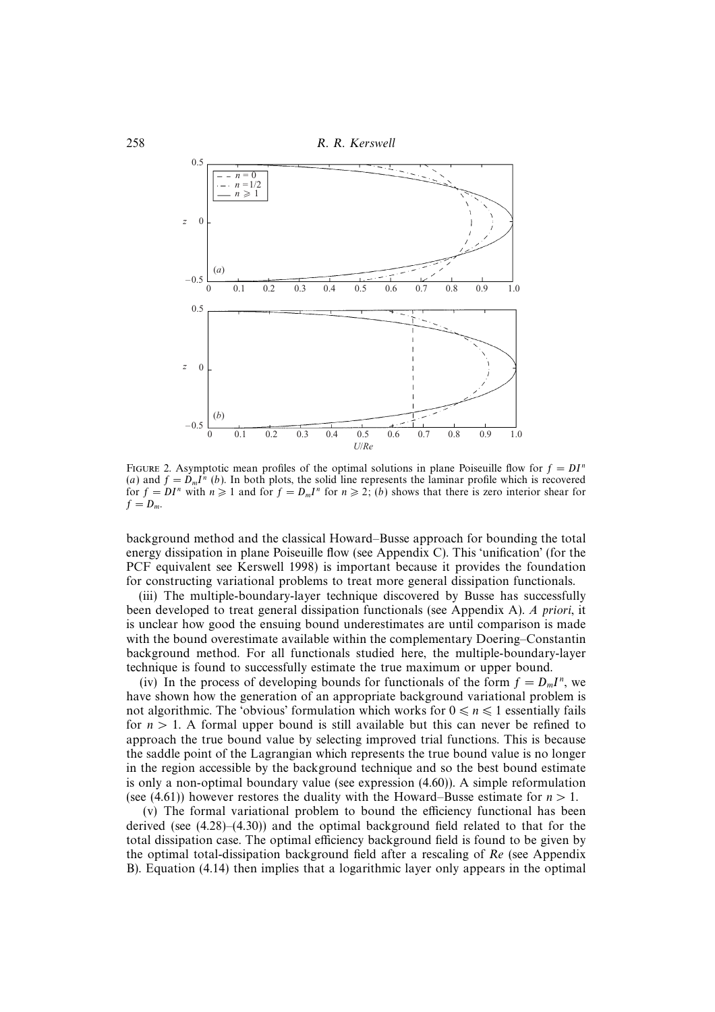

FIGURE 2. Asymptotic mean profiles of the optimal solutions in plane Poiseuille flow for  $f = DI^n$ (a) and  $f = D_m I^n$  (b). In both plots, the solid line represents the laminar profile which is recovered for  $f = D I^n$  with  $n \ge 1$  and for  $f = D_m I^n$  for  $n \ge 2$ ; (b) shows that there is zero interior shear for  $f = D_m$ .

background method and the classical Howard–Busse approach for bounding the total energy dissipation in plane Poiseuille flow (see Appendix C). This 'unification' (for the PCF equivalent see Kerswell 1998) is important because it provides the foundation for constructing variational problems to treat more general dissipation functionals.

(iii) The multiple-boundary-layer technique discovered by Busse has successfully been developed to treat general dissipation functionals (see Appendix A). A priori, it is unclear how good the ensuing bound underestimates are until comparison is made with the bound overestimate available within the complementary Doering–Constantin background method. For all functionals studied here, the multiple-boundary-layer technique is found to successfully estimate the true maximum or upper bound.

(iv) In the process of developing bounds for functionals of the form  $f = D_m I^n$ , we have shown how the generation of an appropriate background variational problem is not algorithmic. The 'obvious' formulation which works for  $0 \le n \le 1$  essentially fails for  $n > 1$ . A formal upper bound is still available but this can never be refined to approach the true bound value by selecting improved trial functions. This is because the saddle point of the Lagrangian which represents the true bound value is no longer in the region accessible by the background technique and so the best bound estimate is only a non-optimal boundary value (see expression (4.60)). A simple reformulation (see (4.61)) however restores the duality with the Howard–Busse estimate for  $n > 1$ .

(v) The formal variational problem to bound the efficiency functional has been derived (see (4.28)–(4.30)) and the optimal background field related to that for the total dissipation case. The optimal efficiency background field is found to be given by the optimal total-dissipation background field after a rescaling of Re (see Appendix B). Equation (4.14) then implies that a logarithmic layer only appears in the optimal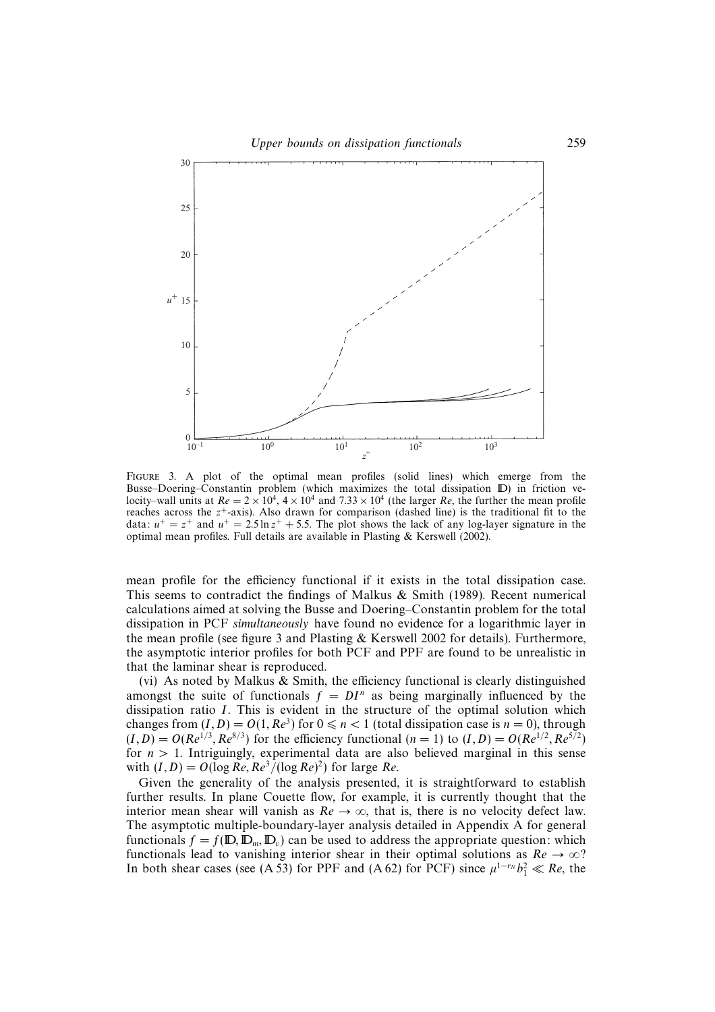

Figure 3. A plot of the optimal mean profiles (solid lines) which emerge from the Busse–Doering–Constantin problem (which maximizes the total dissipation D) in friction velocity–wall units at  $Re = 2 \times 10^4$ ,  $4 \times 10^4$  and  $7.33 \times 10^4$  (the larger Re, the further the mean profile reaches across the  $z^+$ -axis). Also drawn for comparison (dashed line) is the traditional fit to the data:  $u^+ = z^+$  and  $u^+ = 2.5 \ln z^+ + 5.5$ . The plot shows the lack of any log-layer signature in the optimal mean profiles. Full details are available in Plasting & Kerswell (2002).

mean profile for the efficiency functional if it exists in the total dissipation case. This seems to contradict the findings of Malkus  $\&$  Smith (1989). Recent numerical calculations aimed at solving the Busse and Doering–Constantin problem for the total dissipation in PCF simultaneously have found no evidence for a logarithmic layer in the mean profile (see figure 3 and Plasting & Kerswell 2002 for details). Furthermore, the asymptotic interior profiles for both PCF and PPF are found to be unrealistic in that the laminar shear is reproduced.

(vi) As noted by Malkus & Smith, the efficiency functional is clearly distinguished amongst the suite of functionals  $f = DI^n$  as being marginally influenced by the dissipation ratio I. This is evident in the structure of the optimal solution which changes from  $(I, D) = O(1, Re^3)$  for  $0 \le n < 1$  (total dissipation case is  $n = 0$ ), through  $(I, D) = O(Re^{1/3}, Re^{8/3})$  for the efficiency functional  $(n = 1)$  to  $(I, D) = O(Re^{1/2}, Re^{5/2})$ for  $n > 1$ . Intriguingly, experimental data are also believed marginal in this sense with  $(I, D) = O(\log Re, Re^3/(\log Re)^2)$  for large Re.

Given the generality of the analysis presented, it is straightforward to establish further results. In plane Couette flow, for example, it is currently thought that the interior mean shear will vanish as  $Re \rightarrow \infty$ , that is, there is no velocity defect law. The asymptotic multiple-boundary-layer analysis detailed in Appendix A for general functionals  $f = f(\mathbb{D}, \mathbb{D}_m, \mathbb{D}_v)$  can be used to address the appropriate question: which functionals lead to vanishing interior shear in their optimal solutions as  $Re \rightarrow \infty$ ? In both shear cases (see (A 53) for PPF and (A 62) for PCF) since  $\mu^{1-r_N} b_1^2 \ll Re$ , the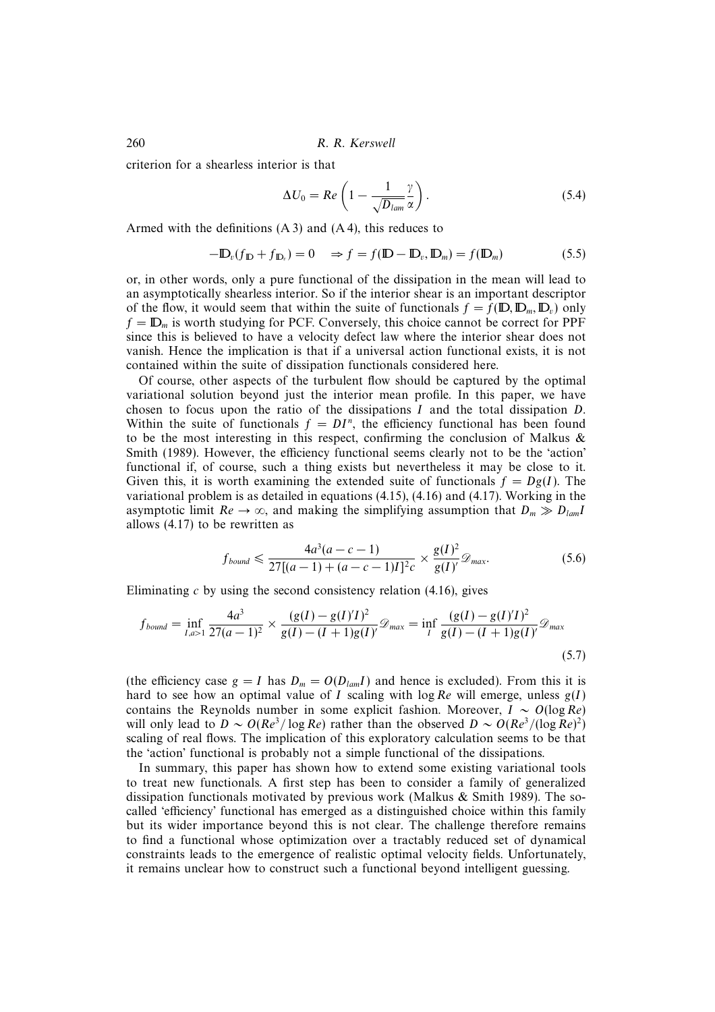criterion for a shearless interior is that

$$
\Delta U_0 = Re \left( 1 - \frac{1}{\sqrt{D_{lam}}} \frac{\gamma}{\alpha} \right). \tag{5.4}
$$

Armed with the definitions (A 3) and (A 4), this reduces to

$$
-D_v(f_D + f_{D_v}) = 0 \Rightarrow f = f(D - D_v, D_m) = f(D_m)
$$
\n(5.5)

or, in other words, only a pure functional of the dissipation in the mean will lead to an asymptotically shearless interior. So if the interior shear is an important descriptor of the flow, it would seem that within the suite of functionals  $f = f(\mathbb{D}, \mathbb{D}_m, \mathbb{D}_v)$  only  $f = D_m$  is worth studying for PCF. Conversely, this choice cannot be correct for PPF since this is believed to have a velocity defect law where the interior shear does not vanish. Hence the implication is that if a universal action functional exists, it is not contained within the suite of dissipation functionals considered here.

Of course, other aspects of the turbulent flow should be captured by the optimal variational solution beyond just the interior mean profile. In this paper, we have chosen to focus upon the ratio of the dissipations  $I$  and the total dissipation  $D$ . Within the suite of functionals  $f = DI^n$ , the efficiency functional has been found to be the most interesting in this respect, confirming the conclusion of Malkus  $\&$ Smith (1989). However, the efficiency functional seems clearly not to be the 'action' functional if, of course, such a thing exists but nevertheless it may be close to it. Given this, it is worth examining the extended suite of functionals  $f = Dg(I)$ . The variational problem is as detailed in equations (4.15), (4.16) and (4.17). Working in the asymptotic limit  $Re \rightarrow \infty$ , and making the simplifying assumption that  $D_m \gg D_{lam}I$ allows (4.17) to be rewritten as

$$
f_{bound} \leq \frac{4a^3(a-c-1)}{27[(a-1)+(a-c-1)I]^2c} \times \frac{g(I)^2}{g(I)'} \mathcal{D}_{max}.
$$
 (5.6)

Eliminating  $c$  by using the second consistency relation (4.16), gives

$$
f_{bound} = \inf_{I, a>1} \frac{4a^3}{27(a-1)^2} \times \frac{(g(I) - g(I)T)^2}{g(I) - (I+1)g(I)} \mathcal{D}_{max} = \inf_{I} \frac{(g(I) - g(I)T)^2}{g(I) - (I+1)g(I)} \mathcal{D}_{max}
$$
\n(5.7)

(the efficiency case  $g = I$  has  $D_m = O(D_{lam}I)$  and hence is excluded). From this it is hard to see how an optimal value of I scaling with log Re will emerge, unless  $g(I)$ contains the Reynolds number in some explicit fashion. Moreover,  $I \sim O(\log Re)$ will only lead to  $D \sim O(Re^3 / \log Re)$  rather than the observed  $D \sim O(Re^3 / (\log Re)^2)$ scaling of real flows. The implication of this exploratory calculation seems to be that the 'action' functional is probably not a simple functional of the dissipations.

In summary, this paper has shown how to extend some existing variational tools to treat new functionals. A first step has been to consider a family of generalized dissipation functionals motivated by previous work (Malkus & Smith 1989). The socalled 'efficiency' functional has emerged as a distinguished choice within this family but its wider importance beyond this is not clear. The challenge therefore remains to find a functional whose optimization over a tractably reduced set of dynamical constraints leads to the emergence of realistic optimal velocity fields. Unfortunately, it remains unclear how to construct such a functional beyond intelligent guessing.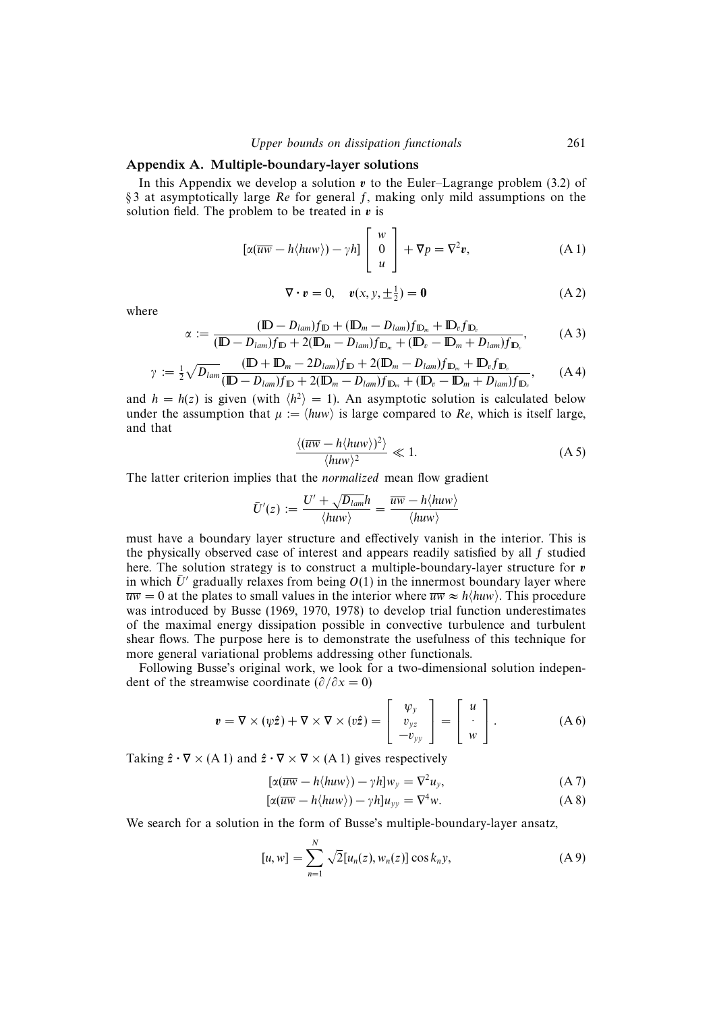# Appendix A. Multiple-boundary-layer solutions

In this Appendix we develop a solution *v* to the Euler–Lagrange problem (3.2) of § 3 at asymptotically large Re for general  $f$ , making only mild assumptions on the solution field. The problem to be treated in  $v$  is

$$
[\alpha(\overline{uw} - h\langle huw \rangle) - \gamma h] \begin{bmatrix} w \\ 0 \\ u \end{bmatrix} + \nabla p = \nabla^2 v,
$$
 (A 1)

$$
\nabla \cdot \mathbf{v} = 0, \quad \mathbf{v}(x, y, \pm \frac{1}{2}) = \mathbf{0} \tag{A.2}
$$

where

$$
\alpha := \frac{(\mathbb{D} - D_{lam})f_{\mathbb{D}} + (\mathbb{D}_m - D_{lam})f_{\mathbb{D}_m} + \mathbb{D}_v f_{\mathbb{D}_v}}{(\mathbb{D} - D_{lam})f_{\mathbb{D}} + 2(\mathbb{D}_m - D_{lam})f_{\mathbb{D}_m} + (\mathbb{D}_v - \mathbb{D}_m + D_{lam})f_{\mathbb{D}_v}},\tag{A 3}
$$

$$
\gamma := \frac{1}{2} \sqrt{D_{lam}} \frac{(\mathbb{D} + \mathbb{D}_m - 2D_{lam}) f_{\mathbb{D}} + 2(\mathbb{D}_m - D_{lam}) f_{\mathbb{D}_m} + \mathbb{D}_v f_{\mathbb{D}_v}}{(\mathbb{D} - D_{lam}) f_{\mathbb{D}} + 2(\mathbb{D}_m - D_{lam}) f_{\mathbb{D}_m} + (\mathbb{D}_v - \mathbb{D}_m + D_{lam}) f_{\mathbb{D}_v}}, \qquad (A\ 4)
$$

and  $h = h(z)$  is given (with  $\langle h^2 \rangle = 1$ ). An asymptotic solution is calculated below under the assumption that  $\mu := \langle h u w \rangle$  is large compared to Re, which is itself large, and that

$$
\frac{\langle (\overline{uw} - h\langle huw \rangle)^2 \rangle}{\langle huw \rangle^2} \ll 1.
$$
 (A 5)

The latter criterion implies that the normalized mean flow gradient

$$
\bar{U}'(z) := \frac{U' + \sqrt{D_{lam}}h}{\langle h u w \rangle} = \frac{\overline{u w} - h \langle h u w \rangle}{\langle h u w \rangle}
$$

must have a boundary layer structure and effectively vanish in the interior. This is the physically observed case of interest and appears readily satisfied by all f studied here. The solution strategy is to construct a multiple-boundary-layer structure for *v* in which  $\bar{U}'$  gradually relaxes from being  $O(1)$  in the innermost boundary layer where  $\overline{uw} = 0$  at the plates to small values in the interior where  $\overline{uw} \approx h\langle huw \rangle$ . This procedure was introduced by Busse (1969, 1970, 1978) to develop trial function underestimates of the maximal energy dissipation possible in convective turbulence and turbulent shear flows. The purpose here is to demonstrate the usefulness of this technique for more general variational problems addressing other functionals.

Following Busse's original work, we look for a two-dimensional solution independent of the streamwise coordinate ( $\partial/\partial x = 0$ )

$$
\mathbf{v} = \nabla \times (\psi \hat{z}) + \nabla \times \nabla \times (v \hat{z}) = \begin{bmatrix} \psi_y \\ v_{yz} \\ -v_{yy} \end{bmatrix} = \begin{bmatrix} u \\ \cdot \\ w \end{bmatrix}.
$$
 (A6)

Taking  $\hat{z} \cdot \nabla \times (A \cdot 1)$  and  $\hat{z} \cdot \nabla \times \nabla \times (A \cdot 1)$  gives respectively

$$
[\alpha(\overline{uw} - h\langle huw \rangle) - \gamma h]w_y = \nabla^2 u_y, \tag{A.7}
$$

$$
[\alpha(\overline{uw} - h\langle huw \rangle) - \gamma h]u_{yy} = \nabla^4 w.
$$
 (A 8)

We search for a solution in the form of Busse's multiple-boundary-layer ansatz,

$$
[u, w] = \sum_{n=1}^{N} \sqrt{2} [u_n(z), w_n(z)] \cos k_n y,
$$
 (A 9)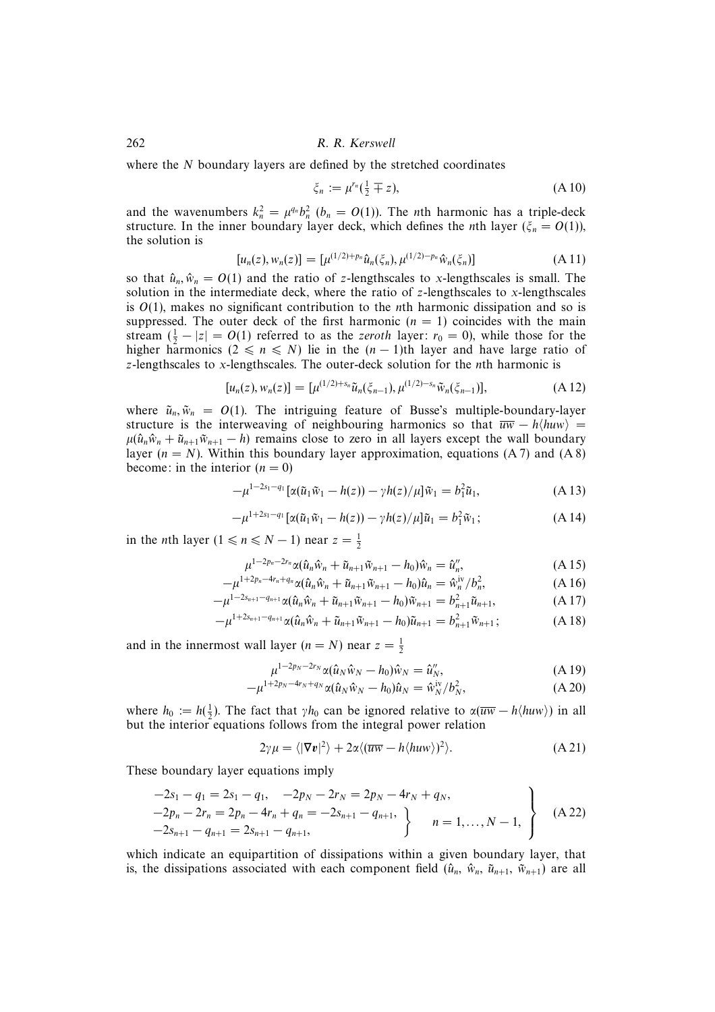where the N boundary layers are defined by the stretched coordinates

$$
\xi_n := \mu^{r_n}(\tfrac{1}{2} \mp z),\tag{A.10}
$$

and the wavenumbers  $k_n^2 = \mu^{q_n} b_n^2$  ( $b_n = O(1)$ ). The *n*th harmonic has a triple-deck structure. In the inner boundary layer deck, which defines the *n*th layer ( $\xi_n = O(1)$ ), the solution is

$$
[u_n(z), w_n(z)] = [\mu^{(1/2) + p_n} \hat{u}_n(\xi_n), \mu^{(1/2) - p_n} \hat{w}_n(\xi_n)]
$$
\n(A 11)

so that  $\hat{u}_n, \hat{w}_n = O(1)$  and the ratio of z-lengthscales to x-lengthscales is small. The solution in the intermediate deck, where the ratio of  $z$ -lengthscales to  $x$ -lengthscales is  $O(1)$ , makes no significant contribution to the *n*th harmonic dissipation and so is suppressed. The outer deck of the first harmonic  $(n = 1)$  coincides with the main stream  $(\frac{1}{2} - |z| = O(1)$  referred to as the *zeroth* layer:  $r_0 = 0$ , while those for the higher harmonics (2  $\le n \le N$ ) lie in the (n − 1)th layer and have large ratio of z-lengthscales to x-lengthscales. The outer-deck solution for the nth harmonic is

$$
[u_n(z), w_n(z)] = [\mu^{(1/2) + s_n} \tilde{u}_n(\xi_{n-1}), \mu^{(1/2) - s_n} \tilde{w}_n(\xi_{n-1})],
$$
 (A 12)

where  $\tilde{u}_n, \tilde{w}_n = O(1)$ . The intriguing feature of Busse's multiple-boundary-layer structure is the interweaving of neighbouring harmonics so that  $\overline{uw} - h\langle huw \rangle =$  $\mu(\hat{u}_n\hat{w}_n + \tilde{u}_{n+1}\hat{w}_{n+1} - h)$  remains close to zero in all layers except the wall boundary layer ( $n = N$ ). Within this boundary layer approximation, equations (A 7) and (A 8) become: in the interior  $(n = 0)$ 

$$
-\mu^{1-2s_1-q_1} [\alpha(\tilde{u}_1\tilde{w}_1 - h(z)) - \gamma h(z) / \mu] \tilde{w}_1 = b_1^2 \tilde{u}_1,
$$
 (A 13)

$$
-\mu^{1+2s_1-q_1} [\alpha(\tilde{u}_1\tilde{w}_1 - h(z)) - \gamma h(z) / \mu] \tilde{u}_1 = b_1^2 \tilde{w}_1; \tag{A.14}
$$

in the *n*th layer  $(1 \le n \le N - 1)$  near  $z = \frac{1}{2}$ 

$$
\mu^{1-2p_n-2r_n}\alpha(\hat{u}_n\hat{w}_n+\tilde{u}_{n+1}\tilde{w}_{n+1}-h_0)\hat{w}_n=\hat{u}_n'',\tag{A.15}
$$

$$
-\mu^{1+2p_n-4r_n+q_n}\alpha(\hat{u}_n\hat{w}_n+\tilde{u}_{n+1}\tilde{w}_{n+1}-h_0)\hat{u}_n=\hat{w}_n^{\text{iv}}/b_n^2,\tag{A.16}
$$

$$
-\mu^{1-2s_{n+1}-q_{n+1}}\alpha(\hat{u}_n\hat{w}_n+\tilde{u}_{n+1}\tilde{w}_{n+1}-h_0)\tilde{w}_{n+1}=b_{n+1}^2\tilde{u}_{n+1},\tag{A.17}
$$

$$
-\mu^{1+2s_{n+1}-q_{n+1}}\alpha(\hat{u}_n\hat{w}_n+\tilde{u}_{n+1}\tilde{w}_{n+1}-h_0)\tilde{u}_{n+1}=b_{n+1}^2\tilde{w}_{n+1};
$$
\n(A 18)

and in the innermost wall layer  $(n = N)$  near  $z = \frac{1}{2}$ 

$$
\mu^{1-2p_N-2r_N}\alpha(\hat{u}_N\hat{w}_N-h_0)\hat{w}_N=\hat{u}_N'',\tag{A.19}
$$

$$
-\mu^{1+2p_N-4r_N+q_N}\alpha(\hat{u}_N\hat{w}_N-h_0)\hat{u}_N=\hat{w}_N^{\text{iv}}/b_N^2,
$$
\n(A 20)

where  $h_0 := h(\frac{1}{2})$ . The fact that  $\gamma h_0$  can be ignored relative to  $\alpha(\overline{uw} - h\langle huw \rangle)$  in all but the interior equations follows from the integral power relation

$$
2\gamma\mu = \langle |\nabla v|^2 \rangle + 2\alpha \langle (\overline{uw} - h \langle huw \rangle)^2 \rangle. \tag{A.21}
$$

These boundary layer equations imply

$$
\begin{aligned}\n-2s_1 - q_1 &= 2s_1 - q_1, \quad -2p_N - 2r_N = 2p_N - 4r_N + q_N, \\
-2p_n - 2r_n &= 2p_n - 4r_n + q_n = -2s_{n+1} - q_{n+1}, \\
-2s_{n+1} - q_{n+1} &= 2s_{n+1} - q_{n+1},\n\end{aligned}\n\quad (A\ 22)
$$

which indicate an equipartition of dissipations within a given boundary layer, that is, the dissipations associated with each component field  $(\hat{u}_n, \hat{w}_n, \hat{u}_{n+1}, \hat{w}_{n+1})$  are all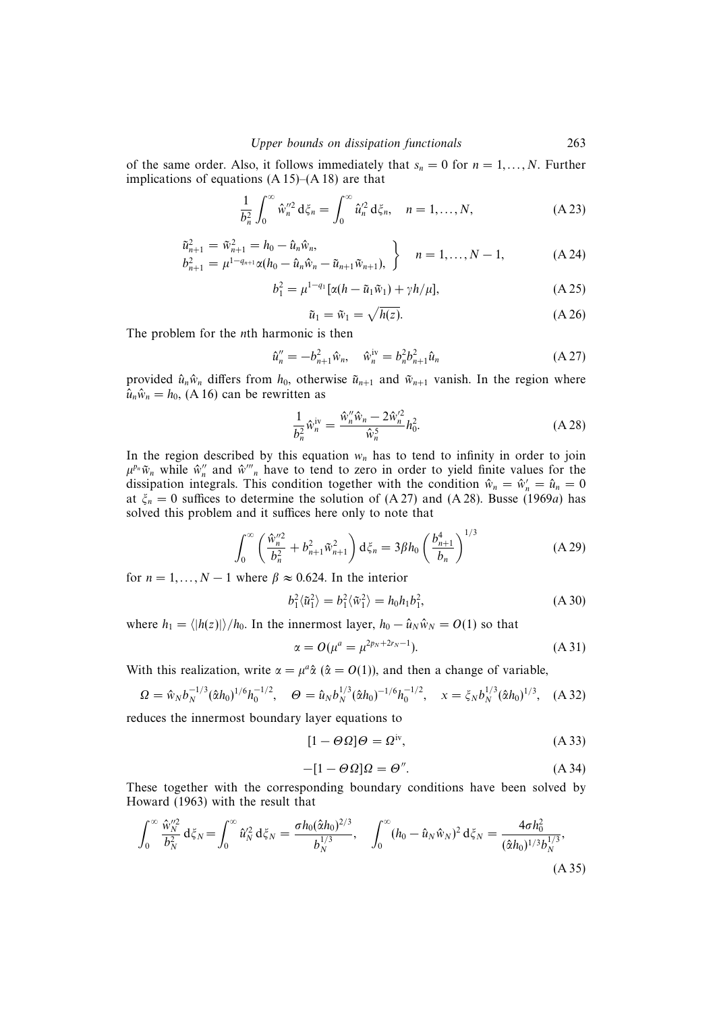of the same order. Also, it follows immediately that  $s_n = 0$  for  $n = 1, \ldots, N$ . Further implications of equations (A 15)–(A 18) are that

$$
\frac{1}{b_n^2} \int_0^\infty \hat{w}_n''^2 d\xi_n = \int_0^\infty \hat{u}_n'^2 d\xi_n, \quad n = 1, ..., N,
$$
 (A 23)

$$
\tilde{u}_{n+1}^2 = \tilde{w}_{n+1}^2 = h_0 - \hat{u}_n \hat{w}_n, \n b_{n+1}^2 = \mu^{1-q_{n+1}} \alpha(h_0 - \hat{u}_n \hat{w}_n - \tilde{u}_{n+1} \tilde{w}_{n+1}), \quad n = 1, ..., N-1,
$$
\n(A.24)

$$
b_1^2 = \mu^{1-q_1} [\alpha(h - \tilde{u}_1 \tilde{w}_1) + \gamma h/\mu], \tag{A.25}
$$

$$
\tilde{u}_1 = \tilde{w}_1 = \sqrt{h(z)}.
$$
\n(A 26)

The problem for the nth harmonic is then

$$
\hat{u}_n'' = -b_{n+1}^2 \hat{w}_n, \quad \hat{w}_n^{iv} = b_n^2 b_{n+1}^2 \hat{u}_n \tag{A.27}
$$

provided  $\hat{u}_n \hat{w}_n$  differs from  $h_0$ , otherwise  $\tilde{u}_{n+1}$  and  $\tilde{w}_{n+1}$  vanish. In the region where  $\hat{u}_n \hat{w}_n = h_0$ , (A 16) can be rewritten as

$$
\frac{1}{b_n^2} \hat{w}_n^{\text{iv}} = \frac{\hat{w}_n'' \hat{w}_n - 2\hat{w}_n'^2}{\hat{w}_n^5} h_0^2.
$$
 (A 28)

In the region described by this equation  $w_n$  has to tend to infinity in order to join  $\mu^{p_n}\tilde{w}_n$  while  $\hat{w}_n''$  and  $\hat{w}_n''$  have to tend to zero in order to yield finite values for the dissipation integrals. This condition together with the condition  $\hat{w}_n = \hat{w}'_n = \hat{u}_n = 0$ at  $\xi_n = 0$  suffices to determine the solution of (A 27) and (A 28). Busse (1969a) has solved this problem and it suffices here only to note that

$$
\int_0^\infty \left( \frac{\hat{w}_n''^2}{b_n^2} + b_{n+1}^2 \tilde{w}_{n+1}^2 \right) d\xi_n = 3\beta h_0 \left( \frac{b_{n+1}^4}{b_n} \right)^{1/3} \tag{A.29}
$$

for  $n = 1, ..., N - 1$  where  $\beta \approx 0.624$ . In the interior

$$
b_1^2 \langle \tilde{u}_1^2 \rangle = b_1^2 \langle \tilde{w}_1^2 \rangle = h_0 h_1 b_1^2,
$$
 (A 30)

where  $h_1 = \langle |h(z)| \rangle / h_0$ . In the innermost layer,  $h_0 - \hat{u}_N \hat{w}_N = O(1)$  so that

$$
\alpha = O(\mu^a = \mu^{2p_N + 2r_N - 1}).
$$
\n(A 31)

With this realization, write  $\alpha = \mu^a \hat{\alpha}$  ( $\hat{\alpha} = O(1)$ ), and then a change of variable,

$$
\Omega = \hat{w}_N b_N^{-1/3} (\hat{\alpha} h_0)^{1/6} h_0^{-1/2}, \quad \Theta = \hat{u}_N b_N^{1/3} (\hat{\alpha} h_0)^{-1/6} h_0^{-1/2}, \quad x = \xi_N b_N^{1/3} (\hat{\alpha} h_0)^{1/3}, \quad (A \ 32)
$$

reduces the innermost boundary layer equations to

$$
[1 - \Theta \Omega] \Theta = \Omega^{\text{iv}}, \tag{A33}
$$

$$
-[1 - \Theta \Omega] \Omega = \Theta''.
$$
 (A 34)

These together with the corresponding boundary conditions have been solved by Howard (1963) with the result that

$$
\int_0^\infty \frac{\hat{w}_N''^2}{b_N^2} d\xi_N = \int_0^\infty \hat{u}_N'^2 d\xi_N = \frac{\sigma h_0 (\hat{\alpha} h_0)^{2/3}}{b_N^{1/3}}, \quad \int_0^\infty (h_0 - \hat{u}_N \hat{w}_N)^2 d\xi_N = \frac{4\sigma h_0^2}{(\hat{\alpha} h_0)^{1/3} b_N^{1/3}},
$$
\n(A 35)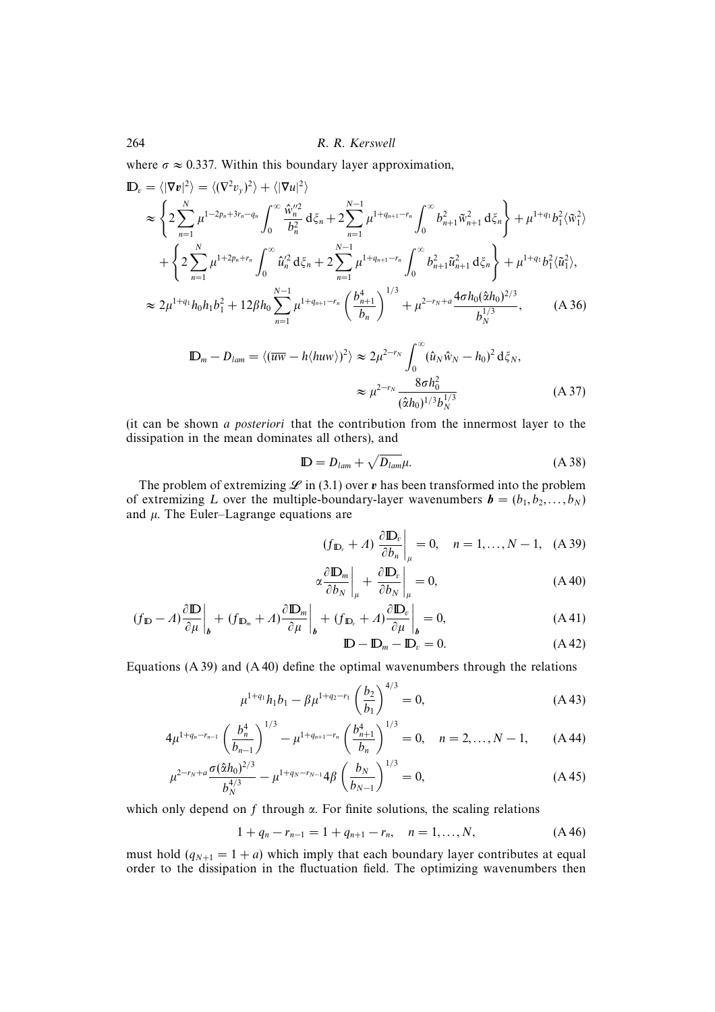where  $\sigma \approx 0.337$ . Within this boundary layer approximation,

 $\sim$ 

$$
\mathbf{D}_{v} = \langle |\nabla v|^{2} \rangle = \langle (\nabla^{2} v_{y})^{2} \rangle + \langle |\nabla u|^{2} \rangle
$$
\n
$$
\approx \left\{ 2 \sum_{n=1}^{N} \mu^{1-2p_{n}+3r_{n}-q_{n}} \int_{0}^{\infty} \frac{\hat{w}_{n}^{\prime 2}}{b_{n}^{2}} d\xi_{n} + 2 \sum_{n=1}^{N-1} \mu^{1+q_{n+1}-r_{n}} \int_{0}^{\infty} b_{n+1}^{2} \tilde{w}_{n+1}^{2} d\xi_{n} \right\} + \mu^{1+q_{1}} b_{1}^{2} \langle \tilde{w}_{1}^{2} \rangle
$$
\n
$$
+ \left\{ 2 \sum_{n=1}^{N} \mu^{1+2p_{n}+r_{n}} \int_{0}^{\infty} \hat{u}_{n}^{\prime 2} d\xi_{n} + 2 \sum_{n=1}^{N-1} \mu^{1+q_{n+1}-r_{n}} \int_{0}^{\infty} b_{n+1}^{2} \tilde{u}_{n+1}^{2} d\xi_{n} \right\} + \mu^{1+q_{1}} b_{1}^{2} \langle \tilde{u}_{1}^{2} \rangle,
$$
\n
$$
\approx 2 \mu^{1+q_{1}} h_{0} h_{1} b_{1}^{2} + 12 \beta h_{0} \sum_{n=1}^{N-1} \mu^{1+q_{n+1}-r_{n}} \left( \frac{b_{n+1}^{4}}{b_{n}} \right)^{1/3} + \mu^{2-r_{N}+a} \frac{4 \sigma h_{0}(\hat{\alpha} h_{0})^{2/3}}{b_{N}^{1/3}}, \qquad (A \ 36)
$$

$$
\mathbb{D}_{m} - D_{lam} = \langle (\overline{uw} - h \langle huw \rangle)^{2} \rangle \approx 2\mu^{2-r_{N}} \int_{0}^{\infty} (\hat{u}_{N}\hat{w}_{N} - h_{0})^{2} d\xi_{N},
$$

$$
\approx \mu^{2-r_{N}} \frac{8\sigma h_{0}^{2}}{(\hat{\alpha}h_{0})^{1/3}b_{N}^{1/3}} \tag{A 37}
$$

(it can be shown a posteriori that the contribution from the innermost layer to the dissipation in the mean dominates all others), and

$$
\mathbb{D} = D_{lam} + \sqrt{D_{lam}} \mu. \tag{A.38}
$$

The problem of extremizing  $\mathcal{L}$  in (3.1) over  $v$  has been transformed into the problem of extremizing L over the multiple-boundary-layer wavenumbers  $\mathbf{b} = (b_1, b_2, \dots, b_N)$ and  $\mu$ . The Euler–Lagrange equations are

$$
(f_{\mathbb{D}_v} + A) \left. \frac{\partial \mathbb{D}_v}{\partial b_n} \right|_{\mu} = 0, \quad n = 1, ..., N - 1, \quad (A\,39)
$$

$$
\alpha \frac{\partial \mathbf{D}_m}{\partial b_N} \bigg|_{\mu} + \frac{\partial \mathbf{D}_v}{\partial b_N} \bigg|_{\mu} = 0, \tag{A40}
$$

$$
(f_{\mathbb{D}} - A) \frac{\partial \mathbb{D}}{\partial \mu} \bigg|_{b} + (f_{\mathbb{D}_{m}} + A) \frac{\partial \mathbb{D}_{m}}{\partial \mu} \bigg|_{b} + (f_{\mathbb{D}_{v}} + A) \frac{\partial \mathbb{D}_{v}}{\partial \mu} \bigg|_{b} = 0, \tag{A 41}
$$

$$
\mathbb{D} - \mathbb{D}_m - \mathbb{D}_v = 0. \tag{A42}
$$

Equations (A 39) and (A 40) define the optimal wavenumbers through the relations

$$
\mu^{1+q_1}h_1b_1 - \beta \mu^{1+q_2-r_1} \left(\frac{b_2}{b_1}\right)^{4/3} = 0, \tag{A.43}
$$

$$
4\mu^{1+q_n-r_{n-1}}\left(\frac{b_n^4}{b_{n-1}}\right)^{1/3}-\mu^{1+q_{n+1}-r_n}\left(\frac{b_{n+1}^4}{b_n}\right)^{1/3}=0, \quad n=2,\ldots,N-1,\qquad\text{(A 44)}
$$

$$
\mu^{2-r_N+a} \frac{\sigma(\hat{\alpha}h_0)^{2/3}}{b_N^{4/3}} - \mu^{1+q_N-r_{N-1}} 4\beta \left(\frac{b_N}{b_{N-1}}\right)^{1/3} = 0, \tag{A.45}
$$

which only depend on  $f$  through  $\alpha$ . For finite solutions, the scaling relations

$$
1 + q_n - r_{n-1} = 1 + q_{n+1} - r_n, \quad n = 1, ..., N,
$$
 (A 46)

must hold  $(q_{N+1} = 1 + a)$  which imply that each boundary layer contributes at equal order to the dissipation in the fluctuation field. The optimizing wavenumbers then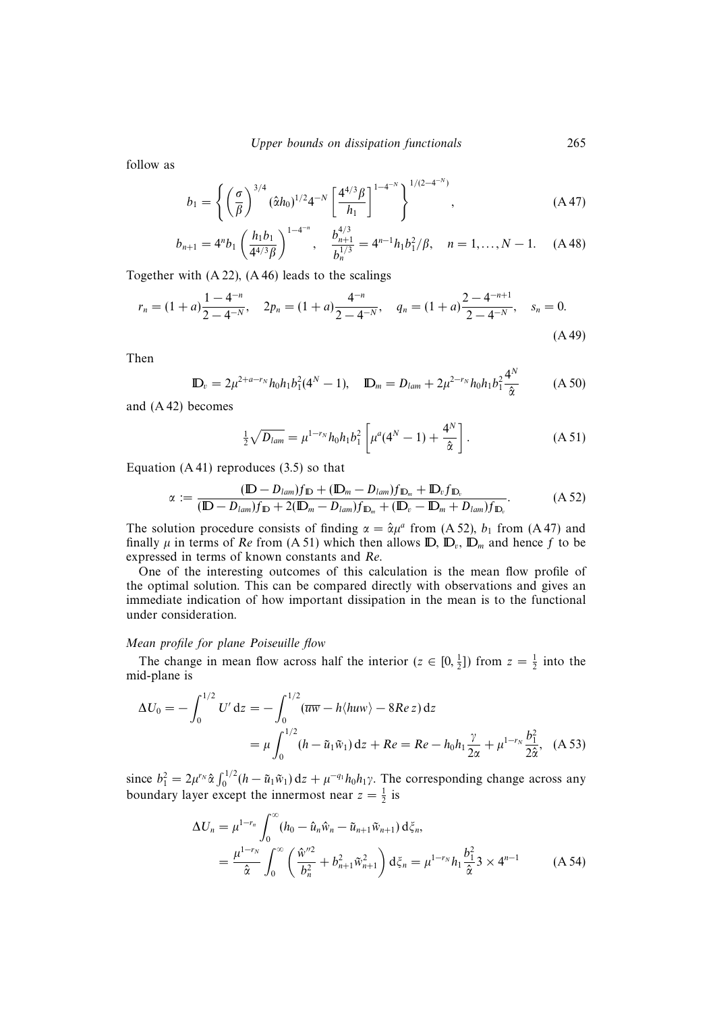follow as

$$
b_1 = \left\{ \left( \frac{\sigma}{\beta} \right)^{3/4} (\hat{\alpha} h_0)^{1/2} 4^{-N} \left[ \frac{4^{4/3} \beta}{h_1} \right]^{1-4^{-N}} \right\}^{1/(2-4^{-N})}, \tag{A 47}
$$

$$
b_{n+1} = 4^n b_1 \left(\frac{h_1 b_1}{4^{4/3} \beta}\right)^{1-4^{-n}}, \quad \frac{b_{n+1}^{4/3}}{b_n^{1/3}} = 4^{n-1} h_1 b_1^2/\beta, \quad n = 1, ..., N-1. \quad (A\,48)
$$

Together with (A 22), (A 46) leads to the scalings

$$
r_n = (1+a)\frac{1-4^{-n}}{2-4^{-N}}, \quad 2p_n = (1+a)\frac{4^{-n}}{2-4^{-N}}, \quad q_n = (1+a)\frac{2-4^{-n+1}}{2-4^{-N}}, \quad s_n = 0.
$$
\n(A.49)

Then

$$
\mathbb{D}_{v} = 2\mu^{2+a-r_{N}}h_{0}h_{1}b_{1}^{2}(4^{N}-1), \quad \mathbb{D}_{m} = D_{lam} + 2\mu^{2-r_{N}}h_{0}h_{1}b_{1}^{2}\frac{4^{N}}{\hat{\alpha}}
$$
 (A 50)

and (A 42) becomes

$$
\frac{1}{2}\sqrt{D_{lam}} = \mu^{1-r_N} h_0 h_1 b_1^2 \left[ \mu^a (4^N - 1) + \frac{4^N}{\hat{\alpha}} \right].
$$
 (A 51)

Equation  $(A 41)$  reproduces  $(3.5)$  so that

$$
\alpha := \frac{(\mathbf{D} - D_{lam})f_{\mathbf{D}} + (\mathbf{D}_m - D_{lam})f_{\mathbf{D}_m} + \mathbf{D}_v f_{\mathbf{D}_v}}{(\mathbf{D} - D_{lam})f_{\mathbf{D}} + 2(\mathbf{D}_m - D_{lam})f_{\mathbf{D}_m} + (\mathbf{D}_v - \mathbf{D}_m + D_{lam})f_{\mathbf{D}_v}}.
$$
(A 52)

The solution procedure consists of finding  $\alpha = \hat{\alpha}\mu^a$  from (A 52),  $b_1$  from (A 47) and finally  $\mu$  in terms of Re from (A 51) which then allows  $\mathbb{D}, \mathbb{D}_v, \mathbb{D}_m$  and hence f to be expressed in terms of known constants and Re.

One of the interesting outcomes of this calculation is the mean flow profile of the optimal solution. This can be compared directly with observations and gives an immediate indication of how important dissipation in the mean is to the functional under consideration.

#### Mean profile for plane Poiseuille flow

The change in mean flow across half the interior ( $z \in [0, \frac{1}{2}]$ ) from  $z = \frac{1}{2}$  into the mid-plane is

$$
\Delta U_0 = -\int_0^{1/2} U' dz = -\int_0^{1/2} (\overline{u}\overline{w} - h\langle h u w \rangle - 8Re z) dz
$$
  
=  $\mu \int_0^{1/2} (h - \tilde{u}_1 \tilde{w}_1) dz + Re = Re - h_0 h_1 \frac{\gamma}{2\alpha} + \mu^{1 - r_N} \frac{b_1^2}{2\alpha}, \quad (A 53)$ 

since  $b_1^2 = 2\mu^{r \wedge 2} \int_0^{1/2} (h - \tilde{u}_1 \tilde{w}_1) dz + \mu^{-q_1} h_0 h_1 \gamma$ . The corresponding change across any boundary layer except the innermost near  $z = \frac{1}{2}$  is

$$
\Delta U_n = \mu^{1-r_n} \int_0^\infty (h_0 - \hat{u}_n \hat{w}_n - \tilde{u}_{n+1} \tilde{w}_{n+1}) d\xi_n,
$$
  
=  $\frac{\mu^{1-r_n}}{\hat{\alpha}} \int_0^\infty \left( \frac{\hat{w}^{"2}}{b_n^2} + b_{n+1}^2 \tilde{w}_{n+1}^2 \right) d\xi_n = \mu^{1-r_n} h_1 \frac{b_1^2}{\hat{\alpha}} 3 \times 4^{n-1}$  (A 54)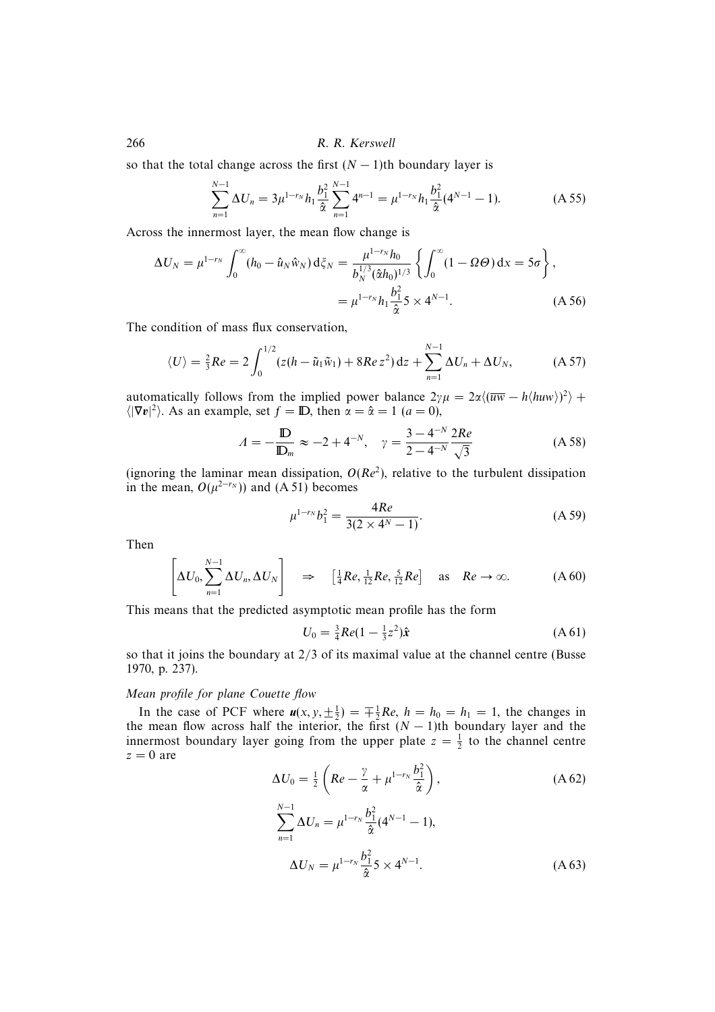so that the total change across the first  $(N - 1)$ th boundary layer is

$$
\sum_{n=1}^{N-1} \Delta U_n = 3\mu^{1-r_N} h_1 \frac{b_1^2}{\hat{\alpha}} \sum_{n=1}^{N-1} 4^{n-1} = \mu^{1-r_N} h_1 \frac{b_1^2}{\hat{\alpha}} (4^{N-1} - 1).
$$
 (A 55)

Across the innermost layer, the mean flow change is

$$
\Delta U_N = \mu^{1-r_N} \int_0^\infty (h_0 - \hat{u}_N \hat{w}_N) d\xi_N = \frac{\mu^{1-r_N} h_0}{b_N^{1/3} (\hat{u}_0)^{1/3}} \left\{ \int_0^\infty (1 - \Omega \Theta) dx = 5\sigma \right\},
$$
  
= 
$$
\mu^{1-r_N} h_1 \frac{b_1^2}{\hat{u}} 5 \times 4^{N-1}.
$$
 (A 56)

The condition of mass flux conservation,

$$
\langle U \rangle = \frac{2}{3} Re = 2 \int_0^{1/2} (z(h - \tilde{u}_1 \tilde{w}_1) + 8Re z^2) dz + \sum_{n=1}^{N-1} \Delta U_n + \Delta U_N,
$$
 (A 57)

automatically follows from the implied power balance  $2\gamma\mu = 2\alpha\langle(\overline{u}\overline{w} - h\langle h u w \rangle)^2 \rangle +$  $\langle |\nabla v|^2 \rangle$ . As an example, set  $f = \mathbb{D}$ , then  $\alpha = \hat{\alpha} = 1$  ( $a = 0$ ),

$$
A = -\frac{\mathbb{D}}{\mathbb{D}_m} \approx -2 + 4^{-N}, \quad \gamma = \frac{3 - 4^{-N}}{2 - 4^{-N}} \frac{2Re}{\sqrt{3}}
$$
(A 58)

(ignoring the laminar mean dissipation,  $O(Re^2)$ , relative to the turbulent dissipation in the mean,  $O(\mu^{2-r_N})$  and (A 51) becomes

$$
\mu^{1-r_N} b_1^2 = \frac{4Re}{3(2 \times 4^N - 1)}.\tag{A 59}
$$

Then

$$
\left[\Delta U_0, \sum_{n=1}^{N-1} \Delta U_n, \Delta U_N\right] \Rightarrow \left[\frac{1}{4} Re, \frac{1}{12} Re, \frac{5}{12} Re\right] \text{ as } Re \to \infty. \tag{A 60}
$$

This means that the predicted asymptotic mean profile has the form

$$
U_0 = \frac{3}{4}Re(1 - \frac{1}{3}z^2)\hat{\mathbf{x}} \tag{A61}
$$

so that it joins the boundary at 2/3 of its maximal value at the channel centre (Busse 1970, p. 237).

## Mean profile for plane Couette flow

In the case of PCF where  $u(x, y, \pm \frac{1}{2}) = \pm \frac{1}{2}Re$ ,  $h = h_0 = h_1 = 1$ , the changes in the mean flow across half the interior, the first  $(N - 1)$ th boundary layer and the innermost boundary layer going from the upper plate  $z = \frac{1}{2}$  to the channel centre  $z = 0$  are

$$
\Delta U_0 = \frac{1}{2} \left( Re - \frac{\gamma}{\alpha} + \mu^{1 - r_N} \frac{b_1^2}{\hat{\alpha}} \right),
$$
\n(A 62)\n
$$
\sum_{n=1}^{N-1} \Delta U_n = \mu^{1 - r_N} \frac{b_1^2}{\hat{\alpha}} (4^{N-1} - 1),
$$
\n
$$
\Delta U_N = \mu^{1 - r_N} \frac{b_1^2}{\hat{\alpha}} 5 \times 4^{N-1}.
$$
\n(A 63)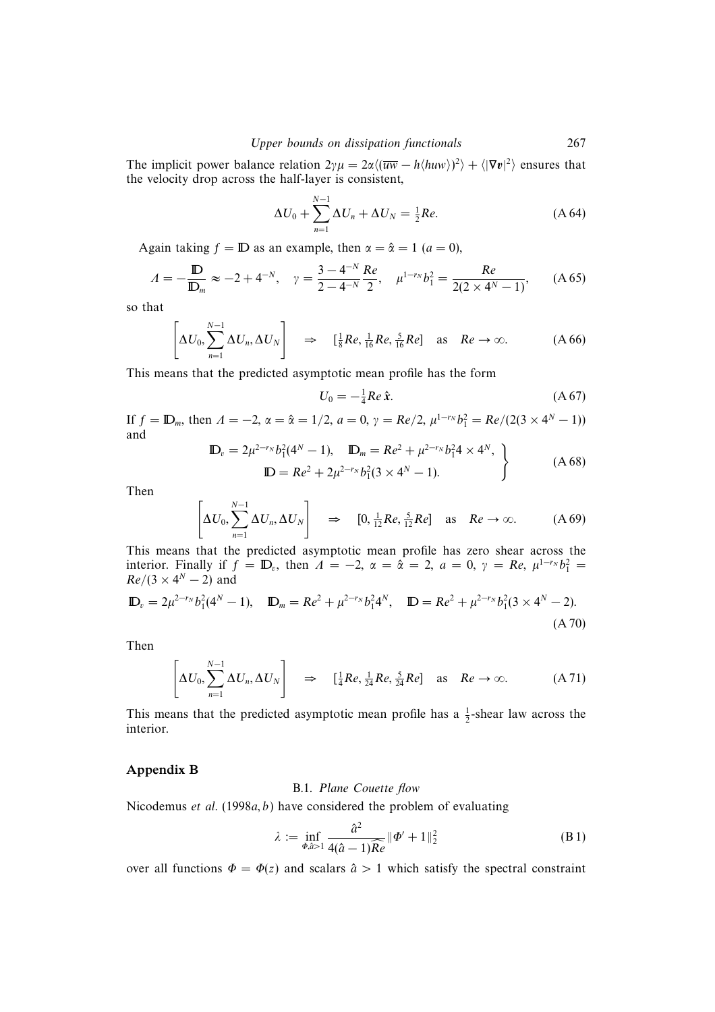The implicit power balance relation  $2\gamma\mu = 2\alpha\langle (\overline{uw} - h\langle huw \rangle)^2 \rangle + \langle |\nabla v|^2 \rangle$  ensures that the velocity drop across the half-layer is consistent,

$$
\Delta U_0 + \sum_{n=1}^{N-1} \Delta U_n + \Delta U_N = \frac{1}{2} Re. \tag{A 64}
$$

Again taking  $f = D$  as an example, then  $\alpha = \hat{\alpha} = 1$  ( $a = 0$ ),

$$
A = -\frac{\mathbb{D}}{\mathbb{D}_m} \approx -2 + 4^{-N}, \quad \gamma = \frac{3 - 4^{-N} \text{ Re}}{2 - 4^{-N} \text{ 2}}, \quad \mu^{1 - r_N} b_1^2 = \frac{\text{Re}}{2(2 \times 4^N - 1)}, \quad (A \, 65)
$$

so that

$$
\left[\Delta U_0, \sum_{n=1}^{N-1} \Delta U_n, \Delta U_N\right] \Rightarrow \left[\frac{1}{8} Re, \frac{1}{16} Re, \frac{5}{16} Re\right] \text{ as } Re \to \infty. \tag{A 66}
$$

This means that the predicted asymptotic mean profile has the form

$$
U_0 = -\frac{1}{4} Re \,\hat{\mathbf{x}}.\tag{A67}
$$

If 
$$
f = \mathbb{D}_m
$$
, then  $A = -2$ ,  $\alpha = \hat{\alpha} = 1/2$ ,  $a = 0$ ,  $\gamma = Re/2$ ,  $\mu^{1-r_N} b_1^2 = Re/(2(3 \times 4^N - 1))$   
and

$$
\mathbb{D}_{v} = 2\mu^{2-r_{N}}b_{1}^{2}(4^{N}-1), \quad \mathbb{D}_{m} = Re^{2} + \mu^{2-r_{N}}b_{1}^{2}4 \times 4^{N},
$$
\n
$$
\mathbb{D} = Re^{2} + 2\mu^{2-r_{N}}b_{1}^{2}(3 \times 4^{N}-1).
$$
\n(A 68)

Then

$$
\left[\Delta U_0, \sum_{n=1}^{N-1} \Delta U_n, \Delta U_N\right] \Rightarrow [0, \frac{1}{12} Re, \frac{5}{12} Re] \text{ as } Re \to \infty. \quad (A 69)
$$

This means that the predicted asymptotic mean profile has zero shear across the interior. Finally if  $f = \mathbb{D}_v$ , then  $\Lambda = -2$ ,  $\alpha = \hat{\alpha} = 2$ ,  $a = 0$ ,  $\gamma = Re$ ,  $\mu^{1-r_N} b_1^2 =$  $Re/(3 \times 4^N - 2)$  and

$$
\mathbb{D}_v = 2\mu^{2-r_N} b_1^2 (4^N - 1), \quad \mathbb{D}_m = Re^2 + \mu^{2-r_N} b_1^2 4^N, \quad \mathbb{D} = Re^2 + \mu^{2-r_N} b_1^2 (3 \times 4^N - 2).
$$
\n(A 70)

Then

$$
\left[\Delta U_0, \sum_{n=1}^{N-1} \Delta U_n, \Delta U_N\right] \Rightarrow \left[\frac{1}{4} Re, \frac{1}{24} Re, \frac{5}{24} Re\right] \text{ as } Re \to \infty. \tag{A 71}
$$

This means that the predicted asymptotic mean profile has a  $\frac{1}{2}$ -shear law across the interior.

## Appendix B

## B.1. Plane Couette flow

Nicodemus et al. (1998a, b) have considered the problem of evaluating

$$
\lambda := \inf_{\Phi, \hat{a} > 1} \frac{\hat{a}^2}{4(\hat{a} - 1)\widehat{Re}} \|\Phi' + 1\|_2^2
$$
 (B1)

over all functions  $\Phi = \Phi(z)$  and scalars  $\hat{a} > 1$  which satisfy the spectral constraint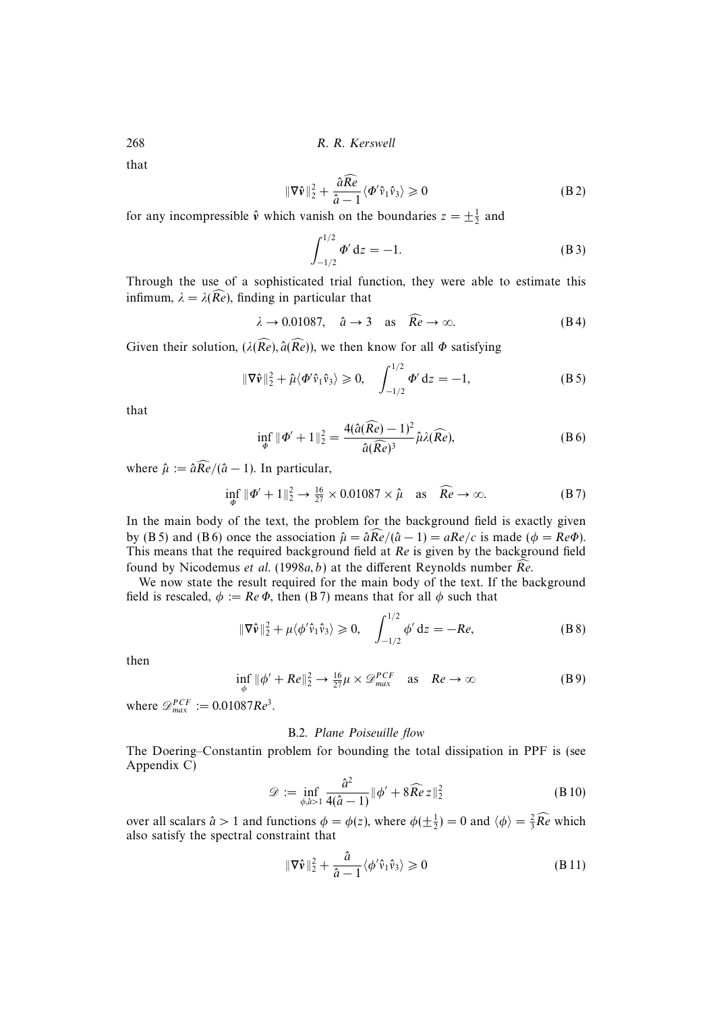that

$$
\|\nabla \hat{\mathbf{v}}\|_{2}^{2} + \frac{\hat{a}\widehat{Re}}{\hat{a}-1} \langle \Phi' \hat{\mathbf{v}}_{1} \hat{\mathbf{v}}_{3} \rangle \ge 0
$$
 (B 2)

for any incompressible  $\hat{v}$  which vanish on the boundaries  $z = \pm \frac{1}{2}$  and

$$
\int_{-1/2}^{1/2} \Phi' dz = -1.
$$
 (B 3)

Through the use of a sophisticated trial function, they were able to estimate this infimum,  $\lambda = \lambda(\widehat{Re})$ , finding in particular that

 $\lambda \to 0.01087$ ,  $\hat{a} \to 3$  as  $\widehat{Re} \to \infty$ . (B4)

Given their solution,  $(\lambda(\widehat{Re}), \widehat{a}(\widehat{Re}))$ , we then know for all  $\Phi$  satisfying

$$
\|\nabla \hat{\mathbf{v}}\|_{2}^{2} + \hat{\mu} \langle \Phi' \hat{\mathbf{v}}_{1} \hat{\mathbf{v}}_{3} \rangle \ge 0, \quad \int_{-1/2}^{1/2} \Phi' dz = -1,
$$
 (B 5)

that

$$
\inf_{\Phi} \|\Phi' + 1\|_2^2 = \frac{4(\hat{a}(\widehat{Re}) - 1)^2}{\hat{a}(\widehat{Re})^3} \hat{\mu}\lambda(\widehat{Re}),
$$
 (B6)

where  $\hat{\mu} := \hat{a}\hat{R}\hat{e}/(\hat{a}-1)$ . In particular,

$$
\inf_{\phi} \|\Phi' + 1\|_2^2 \to \frac{16}{27} \times 0.01087 \times \hat{\mu} \quad \text{as} \quad \widehat{Re} \to \infty. \tag{B 7}
$$

In the main body of the text, the problem for the background field is exactly given by (B 5) and (B 6) once the association  $\hat{\mu} = \hat{a}Re/(\hat{a}-1) = aRe/c$  is made ( $\phi = Re\Phi$ ). This means that the required background field at Re is given by the background field found by Nicodemus et al. (1998a, b) at the different Reynolds number  $\tilde{Re}$ .

We now state the result required for the main body of the text. If the background field is rescaled,  $\phi := Re \Phi$ , then (B7) means that for all  $\phi$  such that

$$
\|\nabla \hat{\mathbf{v}}\|_{2}^{2} + \mu \langle \phi' \hat{\mathbf{v}}_{1} \hat{\mathbf{v}}_{3} \rangle \ge 0, \quad \int_{-1/2}^{1/2} \phi' dz = -Re,
$$
 (B 8)

then

$$
\inf_{\phi} \|\phi' + Re\|_2^2 \to \frac{16}{27}\mu \times \mathcal{D}_{max}^{PCF} \quad \text{as} \quad Re \to \infty
$$
 (B9)

where  $\mathscr{D}_{max}^{PCF} := 0.01087Re^3$ .

### B.2. Plane Poiseuille flow

The Doering–Constantin problem for bounding the total dissipation in PPF is (see Appendix C)

$$
\mathcal{D} := \inf_{\phi, \hat{a} > 1} \frac{\hat{a}^2}{4(\hat{a} - 1)} ||\phi' + 8\widehat{Re} z||_2^2
$$
 (B.10)

over all scalars  $\hat{a} > 1$  and functions  $\phi = \phi(z)$ , where  $\phi(\pm \frac{1}{2}) = 0$  and  $\langle \phi \rangle = \frac{2}{3}\hat{Re}$  which also satisfy the spectral constraint that

$$
\|\nabla \hat{\mathbf{v}}\|_{2}^{2} + \frac{\hat{a}}{\hat{a}-1} \langle \phi' \hat{\mathbf{v}}_{1} \hat{\mathbf{v}}_{3} \rangle \ge 0
$$
 (B 11)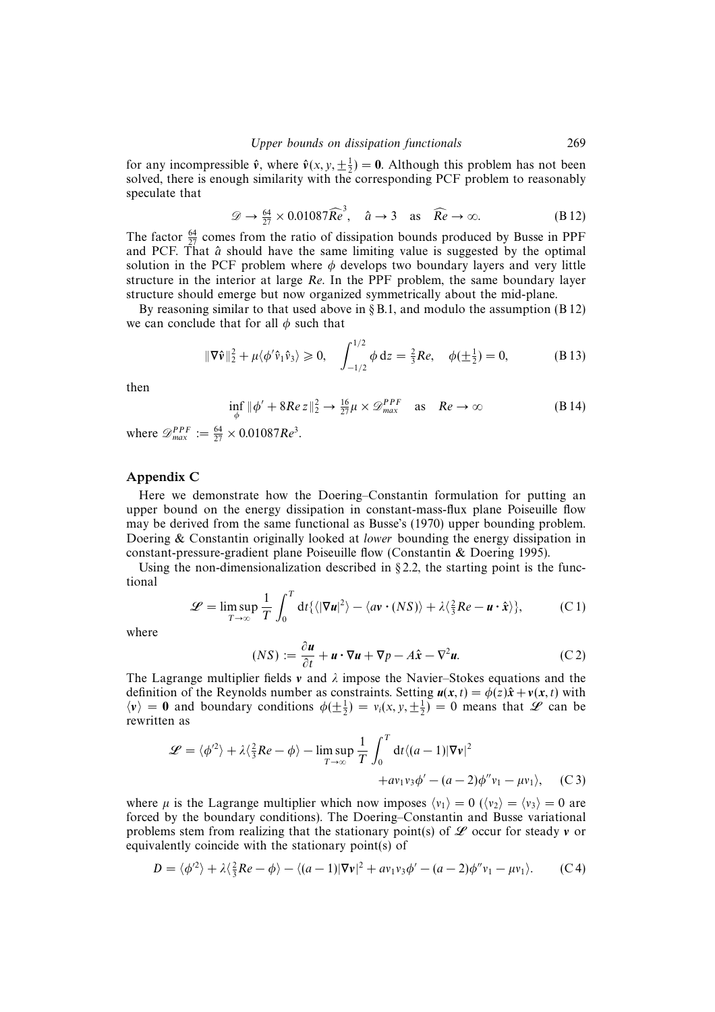for any incompressible  $\hat{v}$ , where  $\hat{v}(x, y, \pm \frac{1}{2}) = 0$ . Although this problem has not been solved, there is enough similarity with the corresponding PCF problem to reasonably speculate that

$$
\mathcal{D} \to \frac{64}{27} \times 0.01087 \widehat{Re}^3, \quad \hat{a} \to 3 \quad \text{as} \quad \widehat{Re} \to \infty. \tag{B.12}
$$

The factor  $\frac{64}{27}$  comes from the ratio of dissipation bounds produced by Busse in PPF and PCF. That  $\hat{a}$  should have the same limiting value is suggested by the optimal solution in the PCF problem where  $\phi$  develops two boundary layers and very little structure in the interior at large Re. In the PPF problem, the same boundary layer structure should emerge but now organized symmetrically about the mid-plane.

By reasoning similar to that used above in  $\S$  B.1, and modulo the assumption (B 12) we can conclude that for all  $\phi$  such that

$$
\|\nabla \hat{\mathbf{v}}\|_{2}^{2} + \mu \langle \phi' \hat{\mathbf{v}}_{1} \hat{\mathbf{v}}_{3} \rangle \ge 0, \quad \int_{-1/2}^{1/2} \phi \, dz = \frac{2}{3} Re, \quad \phi(\pm \frac{1}{2}) = 0,
$$
 (B.13)

then

$$
\inf_{\phi} \|\phi' + 8Re z\|_2^2 \to \frac{16}{27} \mu \times \mathcal{D}_{max}^{PPF} \quad \text{as} \quad Re \to \infty
$$
 (B14)

where  $\mathscr{D}^{PPF}_{max} := \frac{64}{27} \times 0.01087 Re^3$ .

## Appendix C

Here we demonstrate how the Doering–Constantin formulation for putting an upper bound on the energy dissipation in constant-mass-flux plane Poiseuille flow may be derived from the same functional as Busse's (1970) upper bounding problem. Doering & Constantin originally looked at lower bounding the energy dissipation in constant-pressure-gradient plane Poiseuille flow (Constantin & Doering 1995).

Using the non-dimensionalization described in  $\S 2.2$ , the starting point is the functional

$$
\mathcal{L} = \limsup_{T \to \infty} \frac{1}{T} \int_0^T dt \{ \langle |\nabla u|^2 \rangle - \langle av \cdot (NS) \rangle + \lambda \langle \frac{2}{3} Re - u \cdot \hat{x} \rangle \}, \tag{C.1}
$$

where

$$
(NS) := \frac{\partial u}{\partial t} + \mathbf{u} \cdot \nabla \mathbf{u} + \nabla p - A\hat{\mathbf{x}} - \nabla^2 \mathbf{u}.
$$
 (C.2)

The Lagrange multiplier fields *ν* and λ impose the Navier–Stokes equations and the definition of the Reynolds number as constraints. Setting  $u(x, t) = \phi(z)\hat{x} + v(x, t)$  with  $\langle v \rangle = 0$  and boundary conditions  $\phi(\pm \frac{1}{2}) = v_i(x, y, \pm \frac{1}{2}) = 0$  means that  $\mathscr L$  can be rewritten as

$$
\mathcal{L} = \langle \phi'^2 \rangle + \lambda \langle \frac{2}{3} Re - \phi \rangle - \limsup_{T \to \infty} \frac{1}{T} \int_0^T dt \langle (a-1) |\nabla v|^2 + av_1 v_3 \phi' - (a-2) \phi'' v_1 - \mu v_1 \rangle, \quad (C.3)
$$

where  $\mu$  is the Lagrange multiplier which now imposes  $\langle v_1 \rangle = 0$  ( $\langle v_2 \rangle = \langle v_3 \rangle = 0$  are forced by the boundary conditions). The Doering–Constantin and Busse variational problems stem from realizing that the stationary point(s) of **L** occur for steady *ν* or equivalently coincide with the stationary point(s) of

$$
D = \langle \phi'^2 \rangle + \lambda \langle \frac{2}{3}Re - \phi \rangle - \langle (a-1)|\nabla v|^2 + av_1v_3\phi' - (a-2)\phi''v_1 - \mu v_1 \rangle. \tag{C4}
$$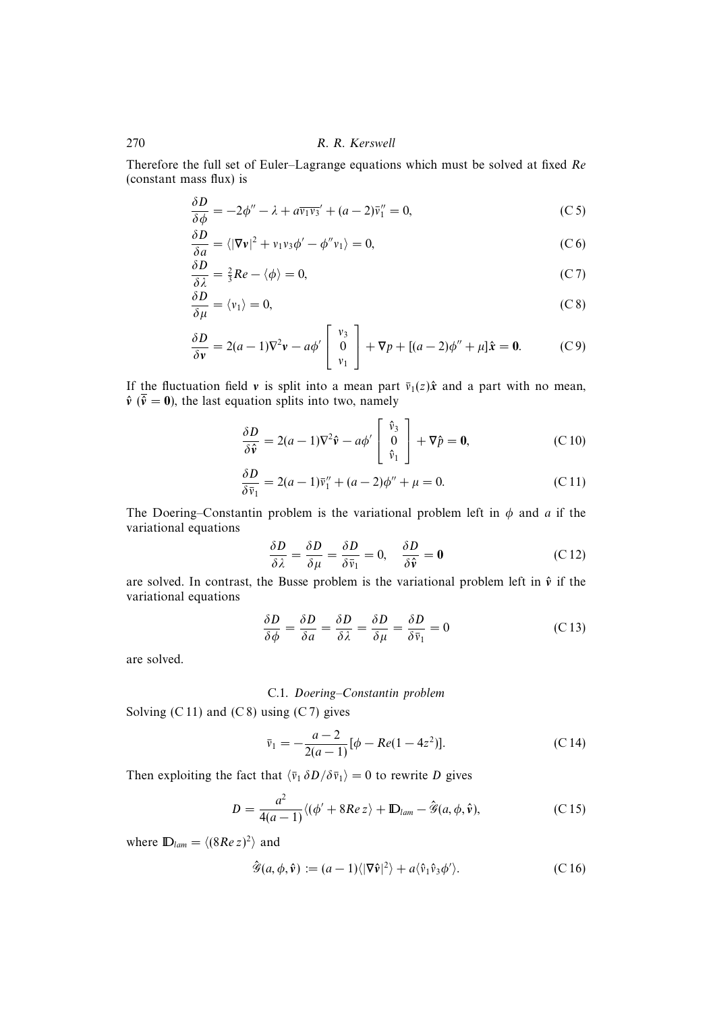Therefore the full set of Euler–Lagrange equations which must be solved at fixed Re (constant mass flux) is

$$
\frac{\delta D}{\delta \phi} = -2\phi'' - \lambda + a\overline{v_1 v_3}' + (a - 2)\overline{v_1}'' = 0,
$$
\n(C5)

$$
\frac{\partial D}{\partial a} = \langle |\nabla v|^2 + v_1 v_3 \phi' - \phi'' v_1 \rangle = 0, \tag{C6}
$$

$$
\frac{\delta D}{\delta \lambda} = \frac{2}{3} Re - \langle \phi \rangle = 0, \tag{C7}
$$

$$
\frac{\delta D}{\delta \mu} = \langle v_1 \rangle = 0, \tag{C8}
$$

$$
\frac{\delta D}{\delta v} = 2(a-1)\nabla^2 v - a\phi' \begin{bmatrix} v_3 \\ 0 \\ v_1 \end{bmatrix} + \nabla p + [(a-2)\phi'' + \mu]\hat{\mathbf{x}} = \mathbf{0}.
$$
 (C9)

If the fluctuation field *v* is split into a mean part  $\bar{v}_1(z)\hat{x}$  and a part with no mean,  $\hat{v}$  ( $\hat{v}$  = 0), the last equation splits into two, namely

 $\mathbf{r}$ 

$$
\frac{\delta D}{\delta \hat{\mathbf{v}}} = 2(a-1)\nabla^2 \hat{\mathbf{v}} - a\phi' \begin{bmatrix} \hat{\mathbf{v}}_3 \\ 0 \\ \hat{\mathbf{v}}_1 \end{bmatrix} + \nabla \hat{p} = \mathbf{0},\tag{C.10}
$$

$$
\frac{\delta D}{\delta \bar{v}_1} = 2(a-1)\bar{v}_1'' + (a-2)\phi'' + \mu = 0.
$$
 (C.11)

The Doering–Constantin problem is the variational problem left in  $\phi$  and a if the variational equations

$$
\frac{\delta D}{\delta \lambda} = \frac{\delta D}{\delta \mu} = \frac{\delta D}{\delta \bar{v}_1} = 0, \quad \frac{\delta D}{\delta \hat{v}} = 0 \tag{C12}
$$

are solved. In contrast, the Busse problem is the variational problem left in *ν*ˆ if the variational equations

$$
\frac{\delta D}{\delta \phi} = \frac{\delta D}{\delta a} = \frac{\delta D}{\delta \lambda} = \frac{\delta D}{\delta \mu} = \frac{\delta D}{\delta \bar{v}_1} = 0
$$
 (C13)

are solved.

## C.1. Doering–Constantin problem

Solving  $(C 11)$  and  $(C 8)$  using  $(C 7)$  gives

$$
\bar{v}_1 = -\frac{a-2}{2(a-1)}[\phi - Re(1-4z^2)].
$$
\n(C14)

Then exploiting the fact that  $\langle \bar{v}_1 \, \delta D / \delta \bar{v}_1 \rangle = 0$  to rewrite D gives

$$
D = \frac{a^2}{4(a-1)} \langle (\phi' + 8Re z) + \mathbb{D}_{lam} - \hat{\mathscr{G}}(a, \phi, \hat{\mathbf{v}}), \qquad (C.15)
$$

where  $\mathbb{D}_{lam} = \langle (8Re z)^2 \rangle$  and

$$
\hat{\mathscr{G}}(a,\phi,\hat{\mathbf{v}}) := (a-1)\langle |\nabla \hat{\mathbf{v}}|^2 \rangle + a \langle \hat{v}_1 \hat{v}_3 \phi' \rangle. \tag{C.16}
$$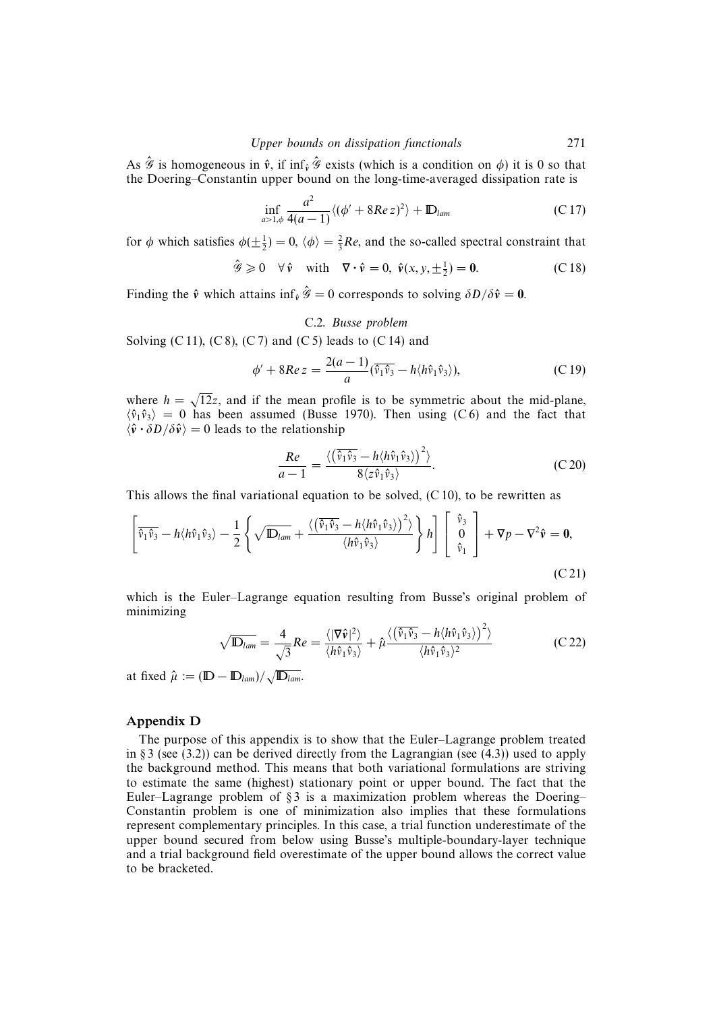As  $\hat{\mathscr{G}}$  is homogeneous in  $\hat{v}$ , if inf<sub> $\hat{v}$ </sub>  $\hat{\mathscr{G}}$  exists (which is a condition on  $\phi$ ) it is 0 so that the Doering–Constantin upper bound on the long-time-averaged dissipation rate is

$$
\inf_{a>1,\phi} \frac{a^2}{4(a-1)} \langle (\phi'+8Re z)^2 \rangle + \mathbb{D}_{\text{lam}} \tag{C.17}
$$

for  $\phi$  which satisfies  $\phi(\pm \frac{1}{2}) = 0$ ,  $\langle \phi \rangle = \frac{2}{3}Re$ , and the so-called spectral constraint that

$$
\hat{\mathscr{G}} \geq 0 \quad \forall \,\hat{\mathbf{v}} \quad \text{with} \quad \nabla \cdot \hat{\mathbf{v}} = 0, \ \hat{\mathbf{v}}(x, y, \pm \frac{1}{2}) = \mathbf{0}.\tag{C.18}
$$

Finding the  $\hat{v}$  which attains inf<sub> $\hat{v}$ </sub>  $\hat{\mathscr{G}} = 0$  corresponds to solving  $\delta D/\delta \hat{v} = 0$ .

## C.2. Busse problem

Solving  $(C 11)$ ,  $(C 8)$ ,  $(C 7)$  and  $(C 5)$  leads to  $(C 14)$  and

$$
\phi' + 8Re z = \frac{2(a-1)}{a} (\overline{\hat{v}_1 \hat{v}_3} - h \langle h \hat{v}_1 \hat{v}_3 \rangle), \tag{C.19}
$$

where  $h = \sqrt{12}z$ , and if the mean profile is to be symmetric about the mid-plane,  $\langle \hat{v}_1 \hat{v}_3 \rangle = 0$  has been assumed (Busse 1970). Then using (C6) and the fact that  $\langle \hat{\mathbf{v}} \cdot \delta \mathbf{D}/\delta \hat{\mathbf{v}} \rangle = 0$  leads to the relationship

$$
\frac{Re}{a-1} = \frac{\langle (\hat{v}_1 \hat{v}_3 - h \langle h \hat{v}_1 \hat{v}_3 \rangle)^2 \rangle}{8 \langle z \hat{v}_1 \hat{v}_3 \rangle}.
$$
 (C.20)

This allows the final variational equation to be solved,  $(C 10)$ , to be rewritten as

$$
\left[\overline{\hat{v}_1\hat{v}_3} - h\langle h\hat{v}_1\hat{v}_3\rangle - \frac{1}{2}\left\{\sqrt{\mathbf{D}_{lam}} + \frac{\langle(\overline{\hat{v}_1\hat{v}_3} - h\langle h\hat{v}_1\hat{v}_3\rangle)^2\rangle}{\langle h\hat{v}_1\hat{v}_3\rangle}\right\}h\right] \begin{bmatrix} \hat{v}_3 \\ 0 \\ \hat{v}_1 \end{bmatrix} + \nabla p - \nabla^2 \hat{\mathbf{v}} = \mathbf{0},
$$
\n(C21)

which is the Euler–Lagrange equation resulting from Busse's original problem of minimizing

$$
\sqrt{\mathbb{D}_{lam}} = \frac{4}{\sqrt{3}} Re = \frac{\langle |\nabla \hat{v}|^2 \rangle}{\langle h \hat{v}_1 \hat{v}_3 \rangle} + \hat{\mu} \frac{\langle (\hat{v}_1 \hat{v}_3 - h \langle h \hat{v}_1 \hat{v}_3 \rangle)^2 \rangle}{\langle h \hat{v}_1 \hat{v}_3 \rangle^2}
$$
(C.22)

at fixed  $\hat{\mu} := (\mathbb{D} - \mathbb{D}_{lam}) / \sqrt{\mathbb{D}_{lam}}$ .

## Appendix D

The purpose of this appendix is to show that the Euler–Lagrange problem treated in § 3 (see  $(3.2)$ ) can be derived directly from the Lagrangian (see  $(4.3)$ ) used to apply the background method. This means that both variational formulations are striving to estimate the same (highest) stationary point or upper bound. The fact that the Euler–Lagrange problem of  $\S 3$  is a maximization problem whereas the Doering– Constantin problem is one of minimization also implies that these formulations represent complementary principles. In this case, a trial function underestimate of the upper bound secured from below using Busse's multiple-boundary-layer technique and a trial background field overestimate of the upper bound allows the correct value to be bracketed.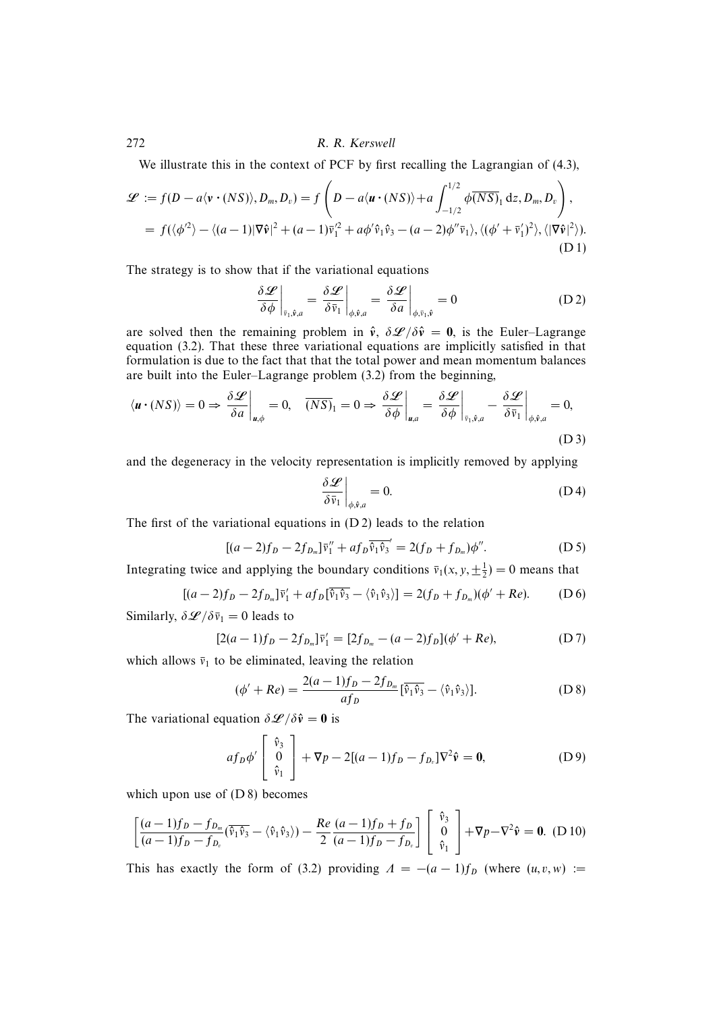We illustrate this in the context of PCF by first recalling the Lagrangian of  $(4.3)$ ,

$$
\mathcal{L} := f(D - a\langle v \cdot (NS)\rangle, D_m, D_v) = f\left(D - a\langle u \cdot (NS)\rangle + a\int_{-1/2}^{1/2} \phi(\overline{NS})_1 dz, D_m, D_v\right),
$$
  
=  $f(\langle \phi'^2 \rangle - \langle (a-1)|\nabla \hat{v}|^2 + (a-1)\bar{v}_1'^2 + a\phi' \hat{v}_1 \hat{v}_3 - (a-2)\phi'' \bar{v}_1 \rangle, \langle (\phi' + \bar{v}_1')^2 \rangle, \langle |\nabla \hat{v}|^2 \rangle).$  (D1)

The strategy is to show that if the variational equations

$$
\frac{\delta \mathcal{L}}{\delta \phi}\bigg|_{\bar{v}_1,\hat{v},a} = \frac{\delta \mathcal{L}}{\delta \bar{v}_1}\bigg|_{\phi,\hat{v},a} = \frac{\delta \mathcal{L}}{\delta a}\bigg|_{\phi,\bar{v}_1,\hat{v}} = 0 \tag{D.2}
$$

are solved then the remaining problem in  $\hat{v}$ ,  $\delta \mathcal{L}/\delta \hat{v} = 0$ , is the Euler–Lagrange equation (3.2). That these three variational equations are implicitly satisfied in that formulation is due to the fact that that the total power and mean momentum balances are built into the Euler–Lagrange problem (3.2) from the beginning,

$$
\langle \boldsymbol{u} \cdot (NS) \rangle = 0 \Rightarrow \left. \frac{\delta \mathcal{L}}{\delta a} \right|_{\boldsymbol{u}, \phi} = 0, \quad \overline{(NS)}_1 = 0 \Rightarrow \left. \frac{\delta \mathcal{L}}{\delta \phi} \right|_{\boldsymbol{u}, a} = \left. \frac{\delta \mathcal{L}}{\delta \phi} \right|_{\bar{\boldsymbol{v}}_1, \hat{\boldsymbol{v}}, a} - \left. \frac{\delta \mathcal{L}}{\delta \bar{\boldsymbol{v}}_1} \right|_{\phi, \hat{\boldsymbol{v}}, a} = 0, \tag{D 3}
$$

and the degeneracy in the velocity representation is implicitly removed by applying

$$
\left. \frac{\delta \mathcal{L}}{\delta \bar{v}_1} \right|_{\phi, \hat{v}, a} = 0. \tag{D4}
$$

The first of the variational equations in (D 2) leads to the relation

$$
[(a-2)f_D - 2f_{D_m}]\bar{v}_1'' + af_D\bar{\hat{v}_1}\bar{\hat{v}_3}' = 2(f_D + f_{D_m})\phi''.
$$
 (D 5)

Integrating twice and applying the boundary conditions  $\bar{v}_1(x, y, \pm \frac{1}{2}) = 0$  means that

$$
[(a-2)f_D - 2f_{D_m}]\overline{v}_1' + af_D[\overline{\hat{v}_1\hat{v}_3} - \langle \hat{v}_1\hat{v}_3 \rangle] = 2(f_D + f_{D_m})(\phi' + Re). \tag{D 6}
$$

Similarly,  $\delta \mathcal{L}/\delta \bar{v}_1 = 0$  leads to

$$
[2(a-1)f_D - 2f_{D_m}]\bar{v}'_1 = [2f_{D_m} - (a-2)f_D](\phi' + Re),
$$
 (D7)

which allows  $\bar{v}_1$  to be eliminated, leaving the relation

$$
(\phi' + Re) = \frac{2(a-1)f_D - 2f_{D_m}}{af_D} [\overline{\hat{v}_1 \hat{v}_3} - \langle \hat{v}_1 \hat{v}_3 \rangle].
$$
 (D 8)

The variational equation  $\delta \mathcal{L}/\delta \hat{v} = 0$  is

$$
af_D \phi' \begin{bmatrix} \hat{v}_3 \\ 0 \\ \hat{v}_1 \end{bmatrix} + \nabla p - 2[(a-1)f_D - f_{D_v}] \nabla^2 \hat{\mathbf{v}} = \mathbf{0},
$$
 (D9)

which upon use of  $(D 8)$  becomes

$$
\left[\frac{(a-1)f_D - f_{D_m}}{(a-1)f_D - f_{D_v}}(\overline{\hat{v}_1}\overline{\hat{v}_3} - \langle \hat{v}_1\hat{v}_3 \rangle) - \frac{Re}{2}\frac{(a-1)f_D + f_D}{(a-1)f_D - f_{D_v}}\right] \begin{bmatrix} \hat{v}_3 \\ 0 \\ \hat{v}_1 \end{bmatrix} + \nabla p - \nabla^2 \hat{v} = \mathbf{0}.
$$
 (D.10)

This has exactly the form of (3.2) providing  $\Lambda = -(a-1)f_D$  (where  $(u, v, w) :=$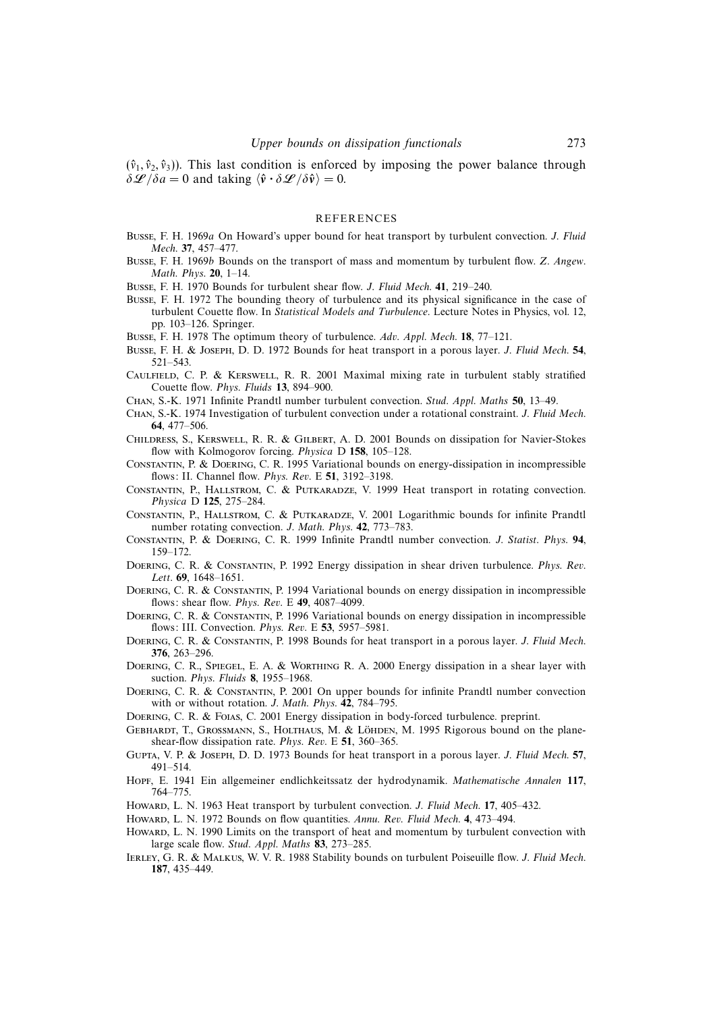$(\hat{v}_1, \hat{v}_2, \hat{v}_3)$ ). This last condition is enforced by imposing the power balance through  $\delta \mathcal{L}/\delta a = 0$  and taking  $\langle \hat{\mathbf{v}} \cdot \delta \mathcal{L}/\delta \hat{\mathbf{v}} \rangle = 0$ .

## REFERENCES

- BUSSE, F. H. 1969a On Howard's upper bound for heat transport by turbulent convection. J. Fluid Mech. **37**, 457–477.
- Busse, F. H. 1969b Bounds on the transport of mass and momentum by turbulent flow. Z. Angew. Math. Phys. **20**, 1–14.
- Busse, F. H. 1970 Bounds for turbulent shear flow. J. Fluid Mech. **41**, 219–240.
- Busse, F. H. 1972 The bounding theory of turbulence and its physical significance in the case of turbulent Couette flow. In Statistical Models and Turbulence. Lecture Notes in Physics, vol. 12, pp. 103–126. Springer.
- Busse, F. H. 1978 The optimum theory of turbulence. Adv. Appl. Mech. **18**, 77–121.
- Busse, F. H. & Joseph, D. D. 1972 Bounds for heat transport in a porous layer. J. Fluid Mech. **54**, 521–543.
- Caulfield, C. P. & Kerswell, R. R. 2001 Maximal mixing rate in turbulent stably stratified Couette flow. Phys. Fluids **13**, 894–900.
- Chan, S.-K. 1971 Infinite Prandtl number turbulent convection. Stud. Appl. Maths **50**, 13–49.
- Chan, S.-K. 1974 Investigation of turbulent convection under a rotational constraint. J. Fluid Mech. **64**, 477–506.
- Childress, S., Kerswell, R. R. & Gilbert, A. D. 2001 Bounds on dissipation for Navier-Stokes flow with Kolmogorov forcing. Physica D **158**, 105–128.
- Constantin, P. & Doering, C. R. 1995 Variational bounds on energy-dissipation in incompressible flows: II. Channel flow. Phys. Rev. E **51**, 3192–3198.
- Constantin, P., Hallstrom, C. & Putkaradze, V. 1999 Heat transport in rotating convection. Physica D **125**, 275–284.
- Constantin, P., Hallstrom, C. & Putkaradze, V. 2001 Logarithmic bounds for infinite Prandtl number rotating convection. J. Math. Phys. **42**, 773–783.
- Constantin, P. & Doering, C. R. 1999 Infinite Prandtl number convection. J. Statist. Phys. **94**, 159–172.
- DOERING, C. R. & CONSTANTIN, P. 1992 Energy dissipation in shear driven turbulence. Phys. Rev. Lett. **69**, 1648–1651.
- Doering, C. R. & Constantin, P. 1994 Variational bounds on energy dissipation in incompressible flows: shear flow. Phys. Rev. E **49**, 4087–4099.
- Doering, C. R. & Constantin, P. 1996 Variational bounds on energy dissipation in incompressible flows: III. Convection. Phys. Rev. E **53**, 5957–5981.
- Doering, C. R. & Constantin, P. 1998 Bounds for heat transport in a porous layer. J. Fluid Mech. **376**, 263–296.
- Doering, C. R., Spiegel, E. A. & Worthing R. A. 2000 Energy dissipation in a shear layer with suction. Phys. Fluids **8**, 1955–1968.
- Doering, C. R. & Constantin, P. 2001 On upper bounds for infinite Prandtl number convection with or without rotation. J. Math. Phys. **42**, 784–795.
- Doering, C. R. & Foias, C. 2001 Energy dissipation in body-forced turbulence. preprint.
- GEBHARDT, T., GROSSMANN, S., HOLTHAUS, M. & LÖHDEN, M. 1995 Rigorous bound on the planeshear-flow dissipation rate. Phys. Rev. E **51**, 360–365.
- Gupta, V. P. & Joseph, D. D. 1973 Bounds for heat transport in a porous layer. J. Fluid Mech. **57**, 491–514.
- Hopf, E. 1941 Ein allgemeiner endlichkeitssatz der hydrodynamik. Mathematische Annalen **117**, 764–775.
- Howard, L. N. 1963 Heat transport by turbulent convection. J. Fluid Mech. 17, 405–432.
- Howard, L. N. 1972 Bounds on flow quantities. Annu. Rev. Fluid Mech. 4, 473–494.
- Howard, L. N. 1990 Limits on the transport of heat and momentum by turbulent convection with large scale flow. Stud. Appl. Maths **83**, 273–285.
- Ierley, G. R. & Malkus, W. V. R. 1988 Stability bounds on turbulent Poiseuille flow. J. Fluid Mech. **187**, 435–449.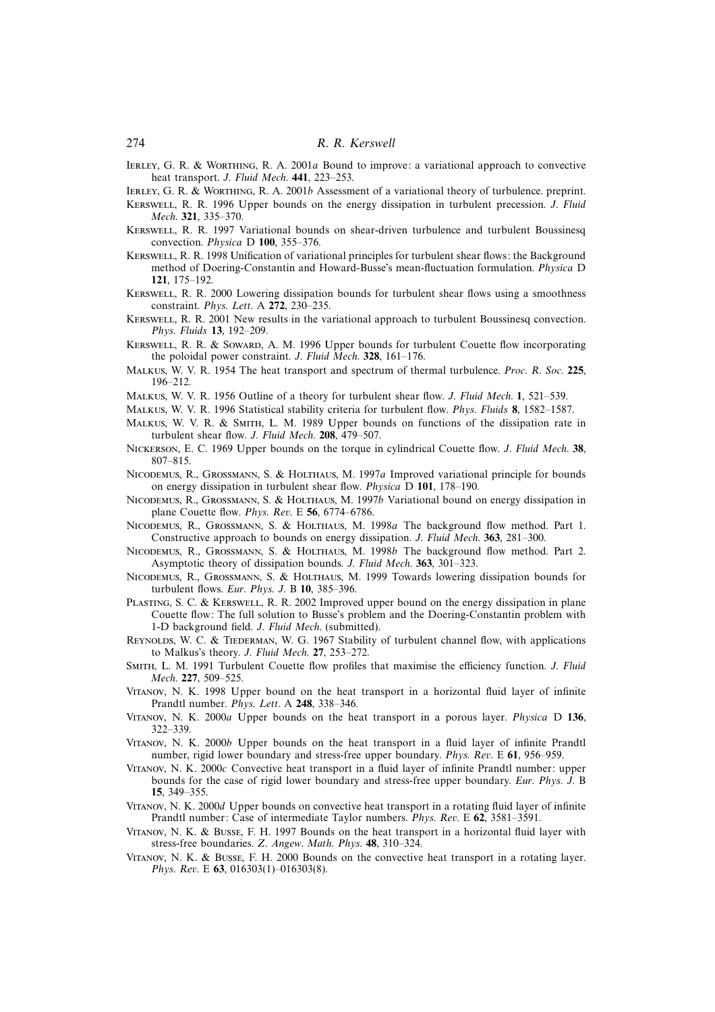- Ierley, G. R. & Worthing, R. A. 2001a Bound to improve: a variational approach to convective heat transport. J. Fluid Mech. **441**, 223–253.
- Ierley, G. R. & Worthing, R. A. 2001b Assessment of a variational theory of turbulence. preprint.
- Kerswell, R. R. 1996 Upper bounds on the energy dissipation in turbulent precession. J. Fluid Mech. **321**, 335–370.
- Kerswell, R. R. 1997 Variational bounds on shear-driven turbulence and turbulent Boussinesq convection. Physica D **100**, 355–376.
- Kerswell, R. R. 1998 Unification of variational principles for turbulent shear flows: the Background method of Doering-Constantin and Howard-Busse's mean-fluctuation formulation. Physica D **121**, 175–192.
- Kerswell, R. R. 2000 Lowering dissipation bounds for turbulent shear flows using a smoothness constraint. Phys. Lett. A **272**, 230–235.
- Kerswell, R. R. 2001 New results in the variational approach to turbulent Boussinesq convection. Phys. Fluids **13**, 192–209.
- KERSWELL, R. R. & SOWARD, A. M. 1996 Upper bounds for turbulent Couette flow incorporating the poloidal power constraint. J. Fluid Mech. **328**, 161–176.
- Malkus, W. V. R. 1954 The heat transport and spectrum of thermal turbulence. Proc. R. Soc. **225**, 196–212.
- Malkus, W. V. R. 1956 Outline of a theory for turbulent shear flow. J. Fluid Mech. **1**, 521–539.
- Malkus, W. V. R. 1996 Statistical stability criteria for turbulent flow. Phys. Fluids **8**, 1582–1587.
- Malkus, W. V. R. & Smith, L. M. 1989 Upper bounds on functions of the dissipation rate in turbulent shear flow. J. Fluid Mech. **208**, 479–507.
- Nickerson, E. C. 1969 Upper bounds on the torque in cylindrical Couette flow. J. Fluid Mech. **38**, 807–815.
- NICODEMUS, R., GROSSMANN, S. & HOLTHAUS, M. 1997a Improved variational principle for bounds on energy dissipation in turbulent shear flow. Physica D **101**, 178–190.
- NICODEMUS, R., GROSSMANN, S. & HOLTHAUS, M. 1997b Variational bound on energy dissipation in plane Couette flow. Phys. Rev. E **56**, 6774–6786.
- Nicodemus, R., Grossmann, S. & Holthaus, M. 1998a The background flow method. Part 1. Constructive approach to bounds on energy dissipation. J. Fluid Mech. **363**, 281–300.
- Nicodemus, R., Grossmann, S. & Holthaus, M. 1998b The background flow method. Part 2. Asymptotic theory of dissipation bounds. J. Fluid Mech. **363**, 301–323.
- Nicodemus, R., Grossmann, S. & Holthaus, M. 1999 Towards lowering dissipation bounds for turbulent flows. Eur. Phys. J. B **10**, 385–396.
- Plasting, S. C. & Kerswell, R. R. 2002 Improved upper bound on the energy dissipation in plane Couette flow: The full solution to Busse's problem and the Doering-Constantin problem with 1-D background field. J. Fluid Mech. (submitted).
- REYNOLDS, W. C. & TIEDERMAN, W. G. 1967 Stability of turbulent channel flow, with applications to Malkus's theory. J. Fluid Mech. **27**, 253–272.
- SMITH, L. M. 1991 Turbulent Couette flow profiles that maximise the efficiency function. J. Fluid Mech. **227**, 509–525.
- Vitanov, N. K. 1998 Upper bound on the heat transport in a horizontal fluid layer of infinite Prandtl number. Phys. Lett. A **248**, 338–346.
- Vitanov, N. K. 2000a Upper bounds on the heat transport in a porous layer. Physica D **136**, 322–339.
- Vitanov, N. K. 2000b Upper bounds on the heat transport in a fluid layer of infinite Prandtl number, rigid lower boundary and stress-free upper boundary. Phys. Rev. E **61**, 956–959.
- Vitanov, N. K. 2000c Convective heat transport in a fluid layer of infinite Prandtl number: upper bounds for the case of rigid lower boundary and stress-free upper boundary. Eur. Phys. J. B **15**, 349–355.
- Vitanov, N. K. 2000d Upper bounds on convective heat transport in a rotating fluid layer of infinite Prandtl number: Case of intermediate Taylor numbers. Phys. Rev. E **62**, 3581–3591.
- Vitanov, N. K. & Busse, F. H. 1997 Bounds on the heat transport in a horizontal fluid layer with stress-free boundaries. Z. Angew. Math. Phys. **48**, 310–324.
- Vitanov, N. K. & Busse, F. H. 2000 Bounds on the convective heat transport in a rotating layer. Phys. Rev. E **63**, 016303(1)–016303(8).